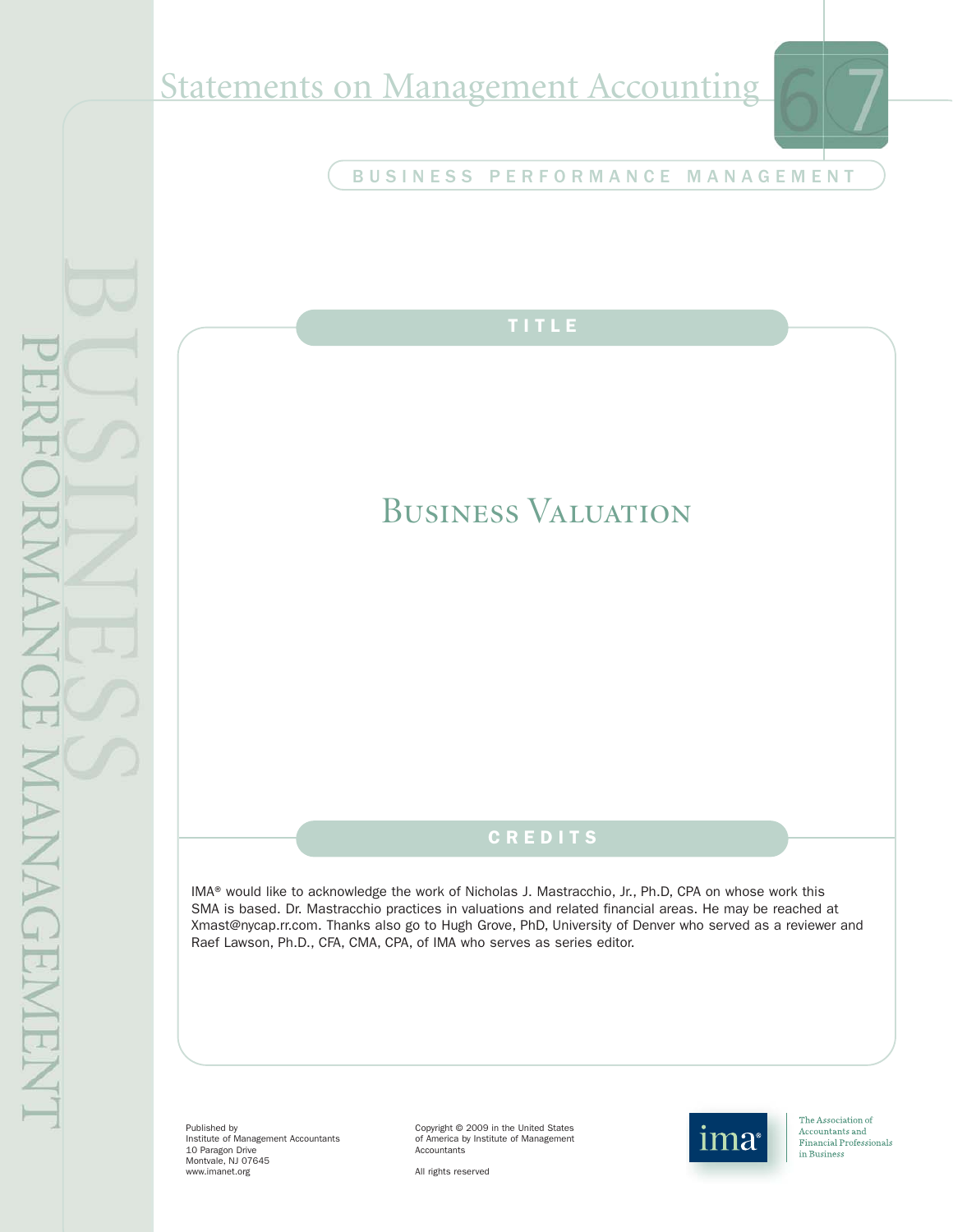# Statements on Management Accounting



# BUSINESS PERFORMANCE MANAGEMENT

# Business Valuation

# **CREDITS**

IMA®would like to acknowledge the work of Nicholas J. Mastracchio, Jr., Ph.D, CPA on whose work this SMA is based. Dr. Mastracchio practices in valuations and related financial areas. He may be reached at Xmast@nycap.rr.com. Thanks also go to Hugh Grove, PhD, University of Denver who served as a reviewer and Raef Lawson, Ph.D., CFA, CMA, CPA, of IMA who serves as series editor.

Published by Institute of Management Accountants 10 Paragon Drive Montvale, NJ 07645 www.imanet.org

Copyright © 2009 in the United States of America by Institute of Management Accountants

All rights reserved



The Association of Accountants and Financial Professionals in Business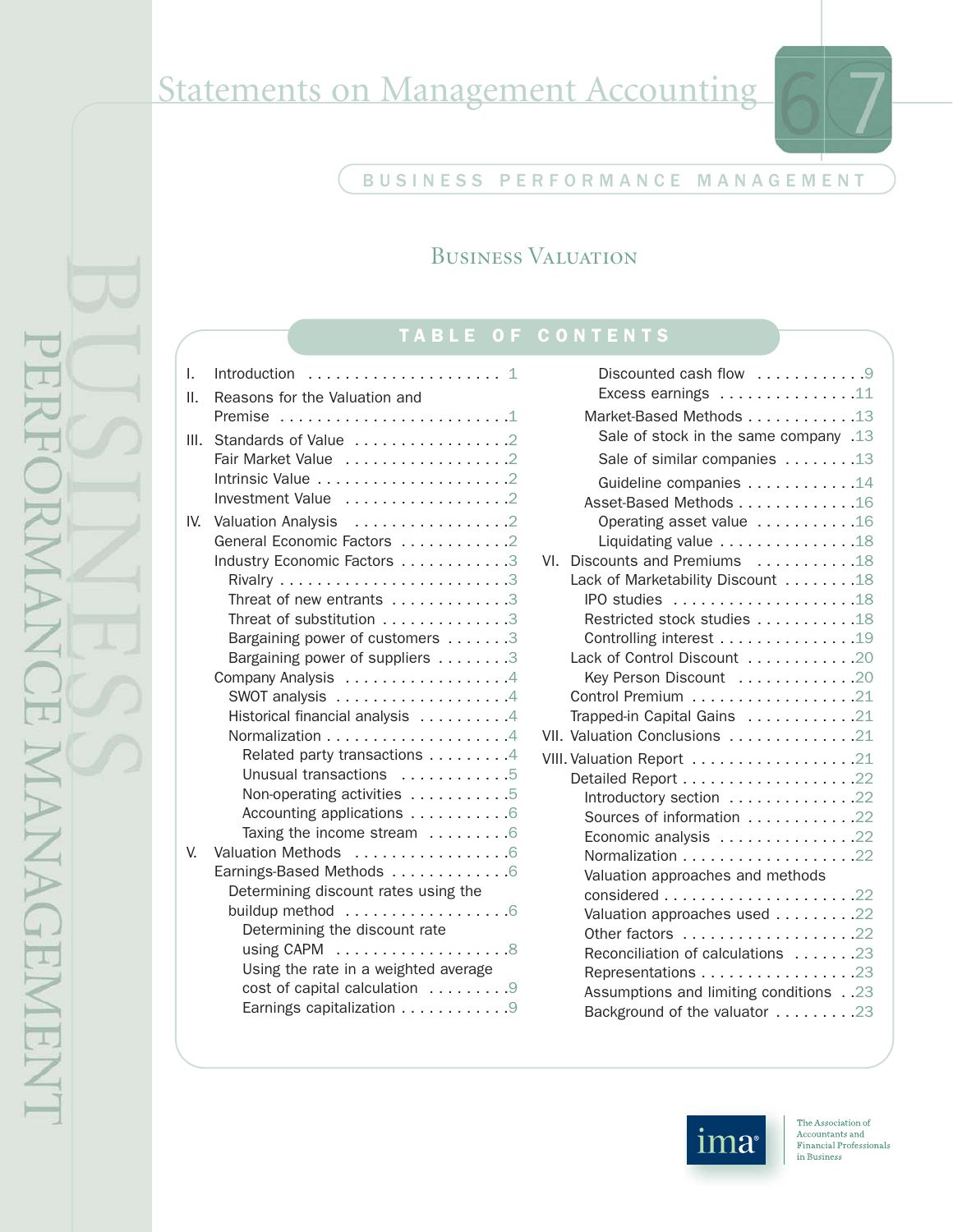# **Statements on Management Accounting**



# BUSINESS PERFORMANCE MANAGEMENT

# Business Valuation

| I.   | Introduction $1$                                                                        |
|------|-----------------------------------------------------------------------------------------|
| ΙΙ.  | Reasons for the Valuation and                                                           |
|      | Premise                                                                                 |
| III. | Standards of Value 2                                                                    |
|      | Fair Market Value 2                                                                     |
|      | Intrinsic Value 2                                                                       |
|      | Investment Value 2                                                                      |
| IV.  | Valuation Analysis 2                                                                    |
|      | General Economic Factors 2                                                              |
|      | Industry Economic Factors 3                                                             |
|      |                                                                                         |
|      | Threat of new entrants 3                                                                |
|      | Threat of substitution 3                                                                |
|      | Bargaining power of customers 3                                                         |
|      | Bargaining power of suppliers 3                                                         |
|      | Company Analysis 4                                                                      |
|      | SWOT analysis $\ldots \ldots \ldots \ldots \ldots 4$<br>Historical financial analysis 4 |
|      |                                                                                         |
|      | Related party transactions 4                                                            |
|      | Unusual transactions 5                                                                  |
|      | Non-operating activities $\ldots \ldots \ldots 5$                                       |
|      | Accounting applications 6                                                               |
|      | Taxing the income stream $\ldots \ldots \ldots$                                         |
| V    | Valuation Methods 6                                                                     |
|      | Earnings-Based Methods 6                                                                |
|      | Determining discount rates using the                                                    |
|      | buildup method $\ldots \ldots \ldots \ldots$ . 6                                        |
|      | Determining the discount rate                                                           |
|      |                                                                                         |
|      | Using the rate in a weighted average                                                    |
|      | cost of capital calculation 9                                                           |
|      | Earnings capitalization 9                                                               |

| Discounted cash flow 9                        |  |
|-----------------------------------------------|--|
| Excess earnings $\dots\dots\dots\dots\dots11$ |  |
| Market-Based Methods 13                       |  |
| Sale of stock in the same company .13         |  |
| Sale of similar companies 13                  |  |
| Guideline companies 14                        |  |
| Asset-Based Methods 16                        |  |
| Operating asset value 16                      |  |
| Liquidating value 18                          |  |
| VI.<br>Discounts and Premiums 18              |  |
| Lack of Marketability Discount 18             |  |
| IPO studies 18                                |  |
| Restricted stock studies 18                   |  |
| Controlling interest 19                       |  |
| Lack of Control Discount 20                   |  |
| Key Person Discount 20                        |  |
| Control Premium 21                            |  |
| Trapped-in Capital Gains 21                   |  |
| VII. Valuation Conclusions 21                 |  |
| VIII. Valuation Report 21                     |  |
| Detailed Report 22                            |  |
| Introductory section 22                       |  |
| Sources of information 22                     |  |
| Economic analysis 22                          |  |
|                                               |  |
| Valuation approaches and methods              |  |
|                                               |  |
| Valuation approaches used 22                  |  |
| Other factors 22                              |  |
| Reconciliation of calculations 23             |  |
| Representations 23                            |  |
| Assumptions and limiting conditions23         |  |
| Background of the valuator 23                 |  |
|                                               |  |

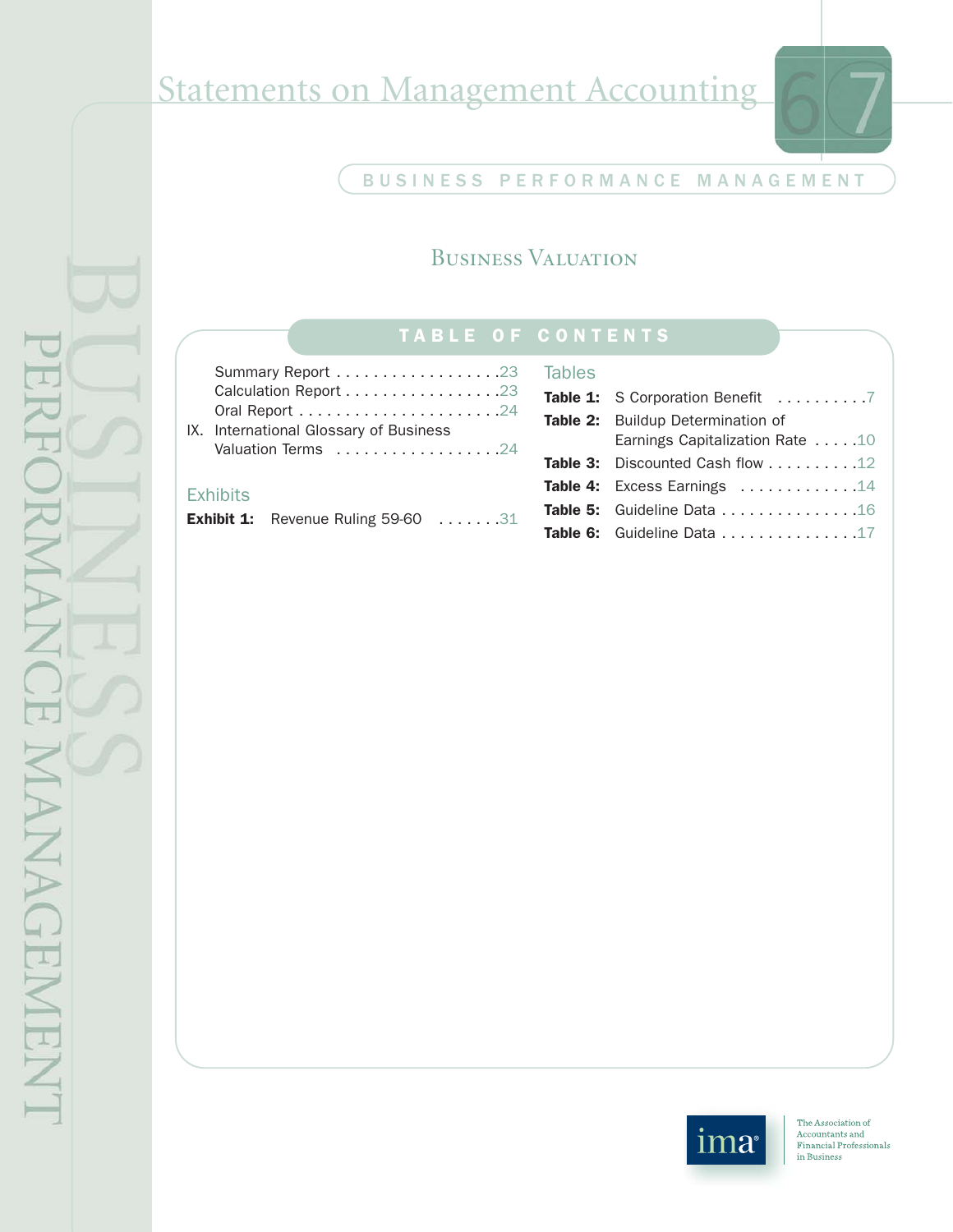# **Statements on Management Accounting**



# BUSINESS PERFORMANCE MANAGEMENT

# Business Valuation

| Summary Report 23<br>Calculation Report 23<br>IX. International Glossary of Business<br>Valuation Terms 24 |  |
|------------------------------------------------------------------------------------------------------------|--|
| <b>Exhibits</b>                                                                                            |  |

|  | <b>Exhibit 1:</b> Revenue Ruling 59-60 |  |  |  |  |  |  | .31 |
|--|----------------------------------------|--|--|--|--|--|--|-----|
|--|----------------------------------------|--|--|--|--|--|--|-----|

| <b>Tables</b> |                                                                             |
|---------------|-----------------------------------------------------------------------------|
|               |                                                                             |
|               | <b>Table 2:</b> Buildup Determination of<br>Earnings Capitalization Rate 10 |
|               | <b>Table 3:</b> Discounted Cash flow $\ldots \ldots \ldots 12$              |
|               | <b>Table 4:</b> Excess Earnings 14                                          |
|               | <b>Table 5:</b> Guideline Data 16                                           |
|               | <b>Table 6:</b> Guideline Data 17                                           |

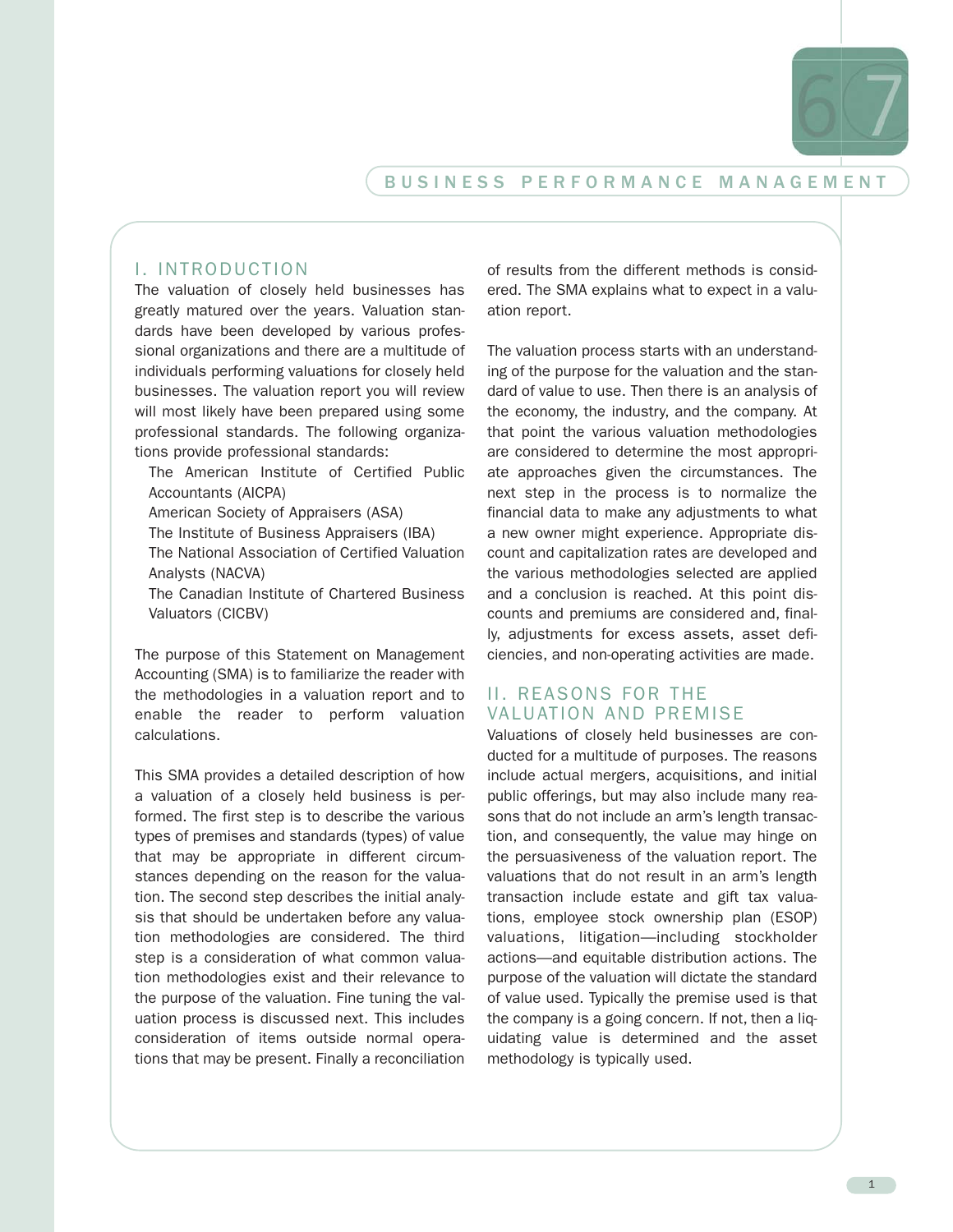

# I. INTRODUCTION

The valuation of closely held businesses has greatly matured over the years. Valuation standards have been developed by various professional organizations and there are a multitude of individuals performing valuations for closely held businesses. The valuation report you will review will most likely have been prepared using some professional standards. The following organizations provide professional standards:

The American Institute of Certified Public Accountants (AICPA)

American Society of Appraisers (ASA)

The Institute of Business Appraisers (IBA)

The National Association of Certified Valuation Analysts (NACVA)

The Canadian Institute of Chartered Business Valuators (CICBV)

The purpose of this Statement on Management Accounting (SMA) is to familiarize the reader with the methodologies in a valuation report and to enable the reader to perform valuation calculations.

This SMA provides a detailed description of how a valuation of a closely held business is performed. The first step is to describe the various types of premises and standards (types) of value that may be appropriate in different circumstances depending on the reason for the valuation. The second step describes the initial analysis that should be undertaken before any valuation methodologies are considered. The third step is a consideration of what common valuation methodologies exist and their relevance to the purpose of the valuation. Fine tuning the valuation process is discussed next. This includes consideration of items outside normal operations that may be present. Finally a reconciliation of results from the different methods is considered. The SMA explains what to expect in a valuation report.

The valuation process starts with an understanding of the purpose for the valuation and the standard of value to use. Then there is an analysis of the economy, the industry, and the company. At that point the various valuation methodologies are considered to determine the most appropriate approaches given the circumstances. The next step in the process is to normalize the financial data to make any adjustments to what a new owner might experience. Appropriate discount and capitalization rates are developed and the various methodologies selected are applied and a conclusion is reached. At this point discounts and premiums are considered and, finally, adjustments for excess assets, asset deficiencies, and non-operating activities are made.

# II. REASONS FOR THE VALUATION AND PREMISE

Valuations of closely held businesses are conducted for a multitude of purposes. The reasons include actual mergers, acquisitions, and initial public offerings, but may also include many reasons that do not include an arm's length transaction, and consequently, the value may hinge on the persuasiveness of the valuation report. The valuations that do not result in an arm's length transaction include estate and gift tax valuations, employee stock ownership plan (ESOP) valuations, litigation—including stockholder actions—and equitable distribution actions. The purpose of the valuation will dictate the standard of value used. Typically the premise used is that the company is a going concern. If not, then a liquidating value is determined and the asset methodology is typically used.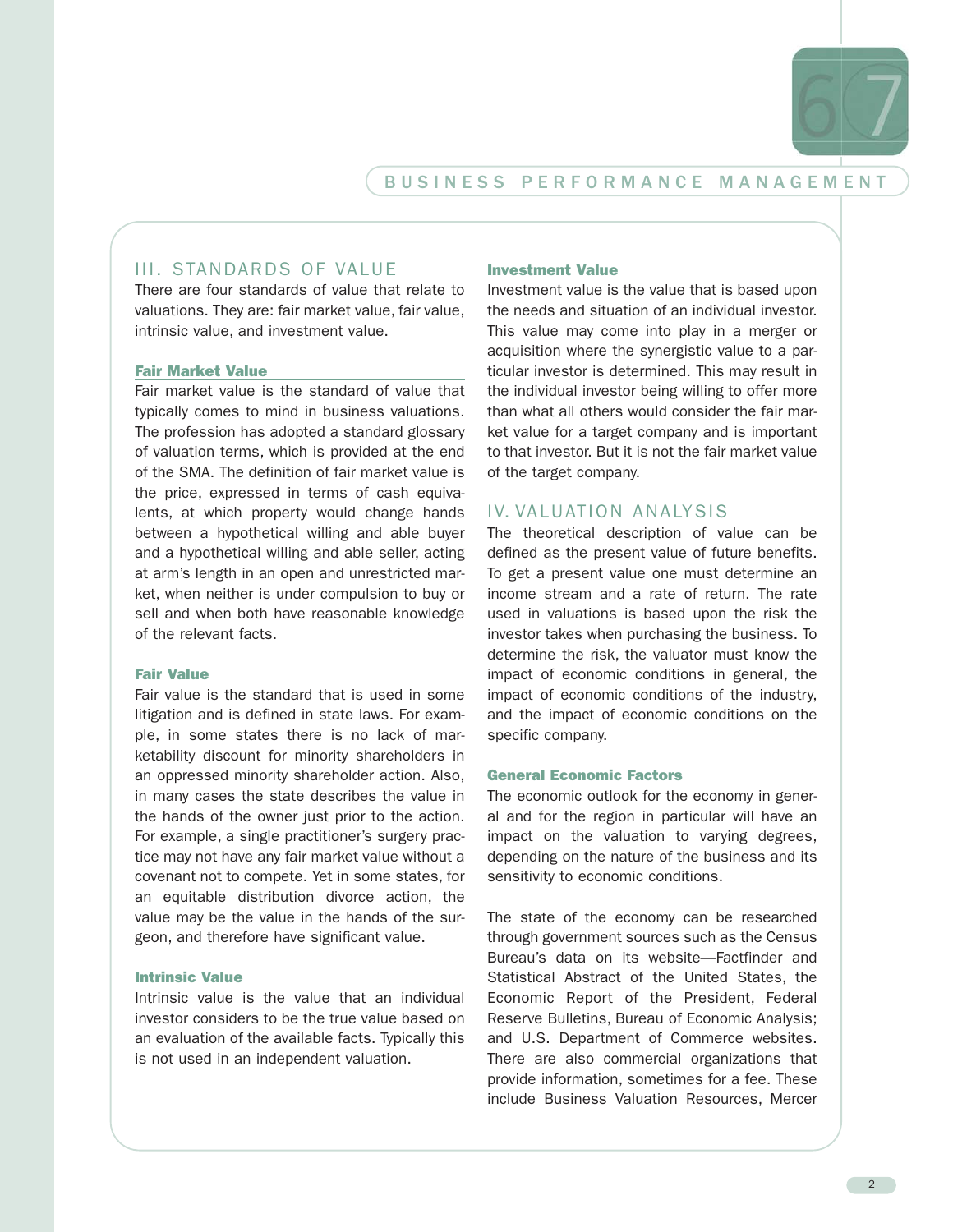

# III. STANDARDS OF VALUE

There are four standards of value that relate to valuations. They are: fair market value, fair value, intrinsic value, and investment value.

### Fair Market Value

Fair market value is the standard of value that typically comes to mind in business valuations. The profession has adopted a standard glossary of valuation terms, which is provided at the end of the SMA. The definition of fair market value is the price, expressed in terms of cash equivalents, at which property would change hands between a hypothetical willing and able buyer and a hypothetical willing and able seller, acting at arm's length in an open and unrestricted market, when neither is under compulsion to buy or sell and when both have reasonable knowledge of the relevant facts.

#### Fair Value

Fair value is the standard that is used in some litigation and is defined in state laws. For example, in some states there is no lack of marketability discount for minority shareholders in an oppressed minority shareholder action. Also, in many cases the state describes the value in the hands of the owner just prior to the action. For example, a single practitioner's surgery practice may not have any fair market value without a covenant not to compete. Yet in some states, for an equitable distribution divorce action, the value may be the value in the hands of the surgeon, and therefore have significant value.

#### Intrinsic Value

Intrinsic value is the value that an individual investor considers to be the true value based on an evaluation of the available facts. Typically this is not used in an independent valuation.

#### Investment Value

Investment value is the value that is based upon the needs and situation of an individual investor. This value may come into play in a merger or acquisition where the synergistic value to a particular investor is determined. This may result in the individual investor being willing to offer more than what all others would consider the fair market value for a target company and is important to that investor. But it is not the fair market value of the target company.

# IV. VALUATION ANALYSIS

The theoretical description of value can be defined as the present value of future benefits. To get a present value one must determine an income stream and a rate of return. The rate used in valuations is based upon the risk the investor takes when purchasing the business. To determine the risk, the valuator must know the impact of economic conditions in general, the impact of economic conditions of the industry, and the impact of economic conditions on the specific company.

#### General Economic Factors

The economic outlook for the economy in general and for the region in particular will have an impact on the valuation to varying degrees, depending on the nature of the business and its sensitivity to economic conditions.

The state of the economy can be researched through government sources such as the Census Bureau's data on its website—Factfinder and Statistical Abstract of the United States, the Economic Report of the President, Federal Reserve Bulletins, Bureau of Economic Analysis; and U.S. Department of Commerce websites. There are also commercial organizations that provide information, sometimes for a fee. These include Business Valuation Resources, Mercer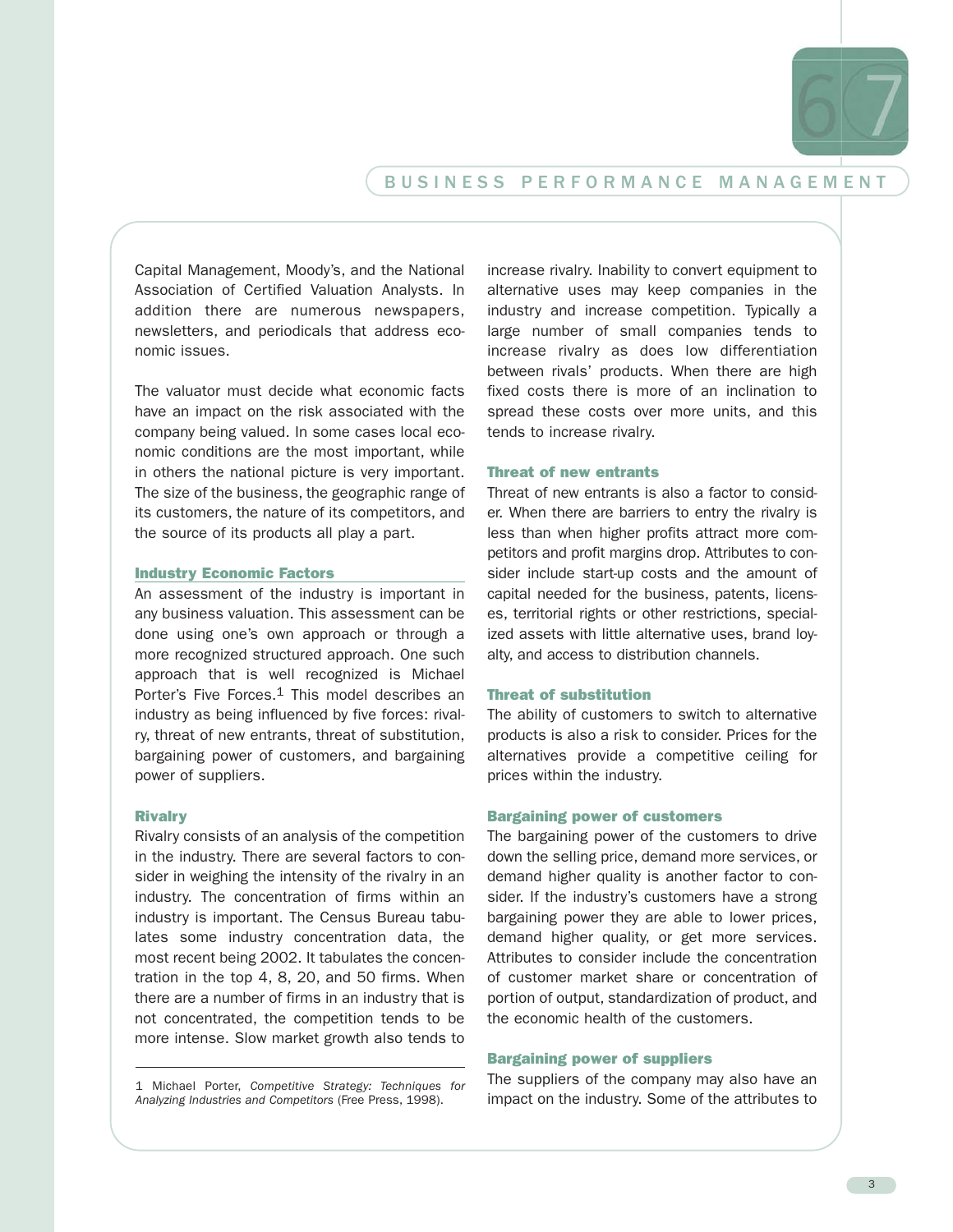

Capital Management, Moody's, and the National Association of Certified Valuation Analysts. In addition there are numerous newspapers, newsletters, and periodicals that address economic issues.

The valuator must decide what economic facts have an impact on the risk associated with the company being valued. In some cases local economic conditions are the most important, while in others the national picture is very important. The size of the business, the geographic range of its customers, the nature of its competitors, and the source of its products all play a part.

#### Industry Economic Factors

An assessment of the industry is important in any business valuation. This assessment can be done using one's own approach or through a more recognized structured approach. One such approach that is well recognized is Michael Porter's Five Forces.<sup>1</sup> This model describes an industry as being influenced by five forces: rivalry, threat of new entrants, threat of substitution, bargaining power of customers, and bargaining power of suppliers.

#### **Rivalry**

Rivalry consists of an analysis of the competition in the industry. There are several factors to consider in weighing the intensity of the rivalry in an industry. The concentration of firms within an industry is important. The Census Bureau tabulates some industry concentration data, the most recent being 2002. It tabulates the concentration in the top 4, 8, 20, and 50 firms. When there are a number of firms in an industry that is not concentrated, the competition tends to be more intense. Slow market growth also tends to increase rivalry. Inability to convert equipment to alternative uses may keep companies in the industry and increase competition. Typically a large number of small companies tends to increase rivalry as does low differentiation between rivals' products. When there are high fixed costs there is more of an inclination to spread these costs over more units, and this tends to increase rivalry.

#### Threat of new entrants

Threat of new entrants is also a factor to consider. When there are barriers to entry the rivalry is less than when higher profits attract more competitors and profit margins drop. Attributes to consider include start-up costs and the amount of capital needed for the business, patents, licenses, territorial rights or other restrictions, specialized assets with little alternative uses, brand loyalty, and access to distribution channels.

#### Threat of substitution

The ability of customers to switch to alternative products is also a risk to consider. Prices for the alternatives provide a competitive ceiling for prices within the industry.

#### Bargaining power of customers

The bargaining power of the customers to drive down the selling price, demand more services, or demand higher quality is another factor to consider. If the industry's customers have a strong bargaining power they are able to lower prices, demand higher quality, or get more services. Attributes to consider include the concentration of customer market share or concentration of portion of output, standardization of product, and the economic health of the customers.

#### Bargaining power of suppliers

The suppliers of the company may also have an impact on the industry. Some of the attributes to

<sup>1</sup> Michael Porter, *Competitive Strategy: Techniques for Analyzing Industries and Competitors* (Free Press, 1998).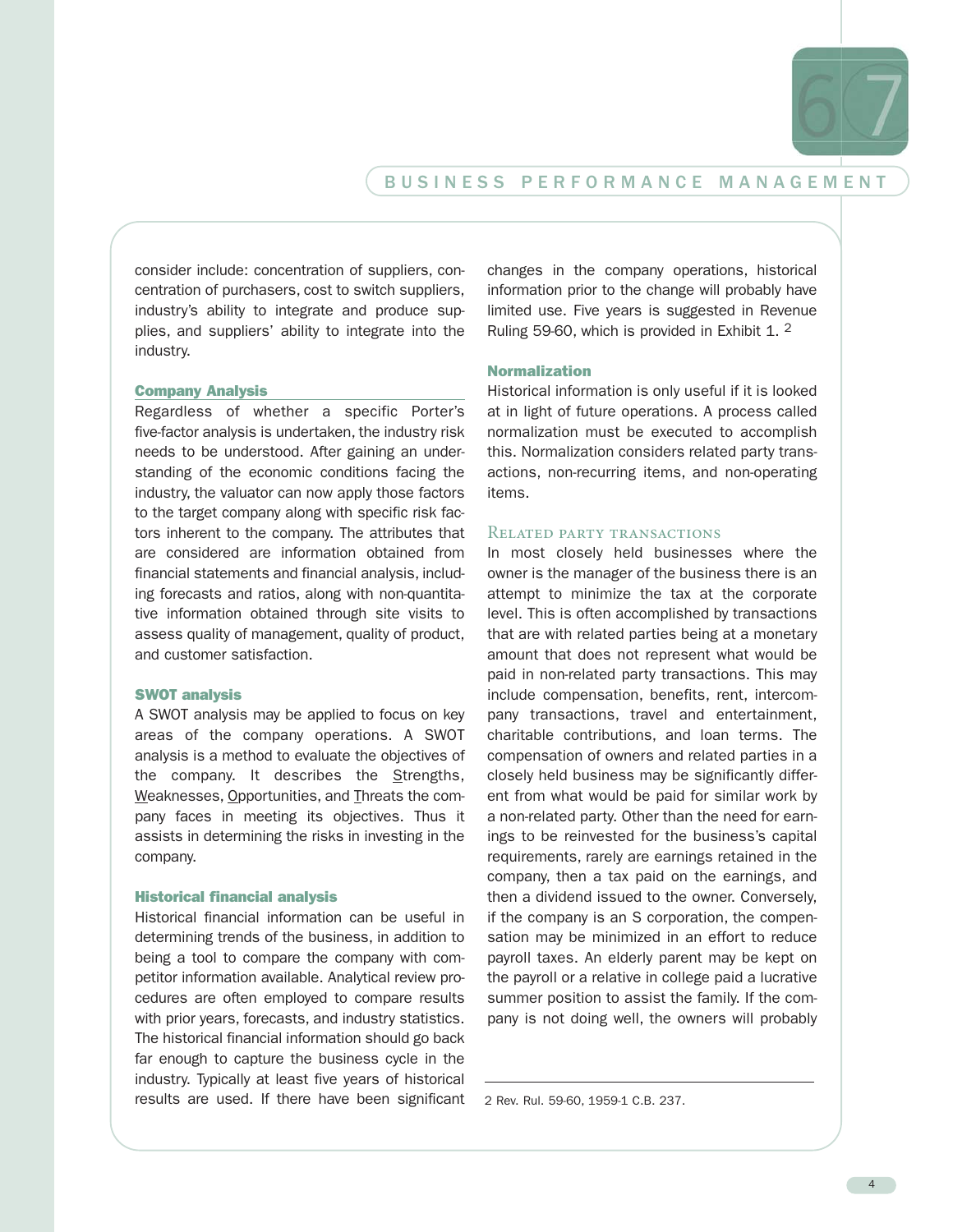

consider include: concentration of suppliers, concentration of purchasers, cost to switch suppliers, industry's ability to integrate and produce supplies, and suppliers' ability to integrate into the industry.

#### Company Analysis

Regardless of whether a specific Porter's five-factor analysis is undertaken, the industry risk needs to be understood. After gaining an understanding of the economic conditions facing the industry, the valuator can now apply those factors to the target company along with specific risk factors inherent to the company. The attributes that are considered are information obtained from financial statements and financial analysis, including forecasts and ratios, along with non-quantitative information obtained through site visits to assess quality of management, quality of product, and customer satisfaction.

#### SWOT analysis

A SWOT analysis may be applied to focus on key areas of the company operations. A SWOT analysis is a method to evaluate the objectives of the company. It describes the Strengths, Weaknesses, Opportunities, and Threats the company faces in meeting its objectives. Thus it assists in determining the risks in investing in the company.

#### Historical financial analysis

Historical financial information can be useful in determining trends of the business, in addition to being a tool to compare the company with competitor information available. Analytical review procedures are often employed to compare results with prior years, forecasts, and industry statistics. The historical financial information should go back far enough to capture the business cycle in the industry. Typically at least five years of historical results are used. If there have been significant changes in the company operations, historical information prior to the change will probably have limited use. Five years is suggested in Revenue Ruling 59-60, which is provided in Exhibit 1. <sup>2</sup>

#### **Normalization**

Historical information is only useful if it is looked at in light of future operations. A process called normalization must be executed to accomplish this. Normalization considers related party transactions, non-recurring items, and non-operating items.

#### Related party transactions

In most closely held businesses where the owner is the manager of the business there is an attempt to minimize the tax at the corporate level. This is often accomplished by transactions that are with related parties being at a monetary amount that does not represent what would be paid in non-related party transactions. This may include compensation, benefits, rent, intercompany transactions, travel and entertainment, charitable contributions, and loan terms. The compensation of owners and related parties in a closely held business may be significantly different from what would be paid for similar work by a non-related party. Other than the need for earnings to be reinvested for the business's capital requirements, rarely are earnings retained in the company, then a tax paid on the earnings, and then a dividend issued to the owner. Conversely, if the company is an S corporation, the compensation may be minimized in an effort to reduce payroll taxes. An elderly parent may be kept on the payroll or a relative in college paid a lucrative summer position to assist the family. If the company is not doing well, the owners will probably

<sup>2</sup> Rev. Rul. 59-60, 1959-1 C.B. 237.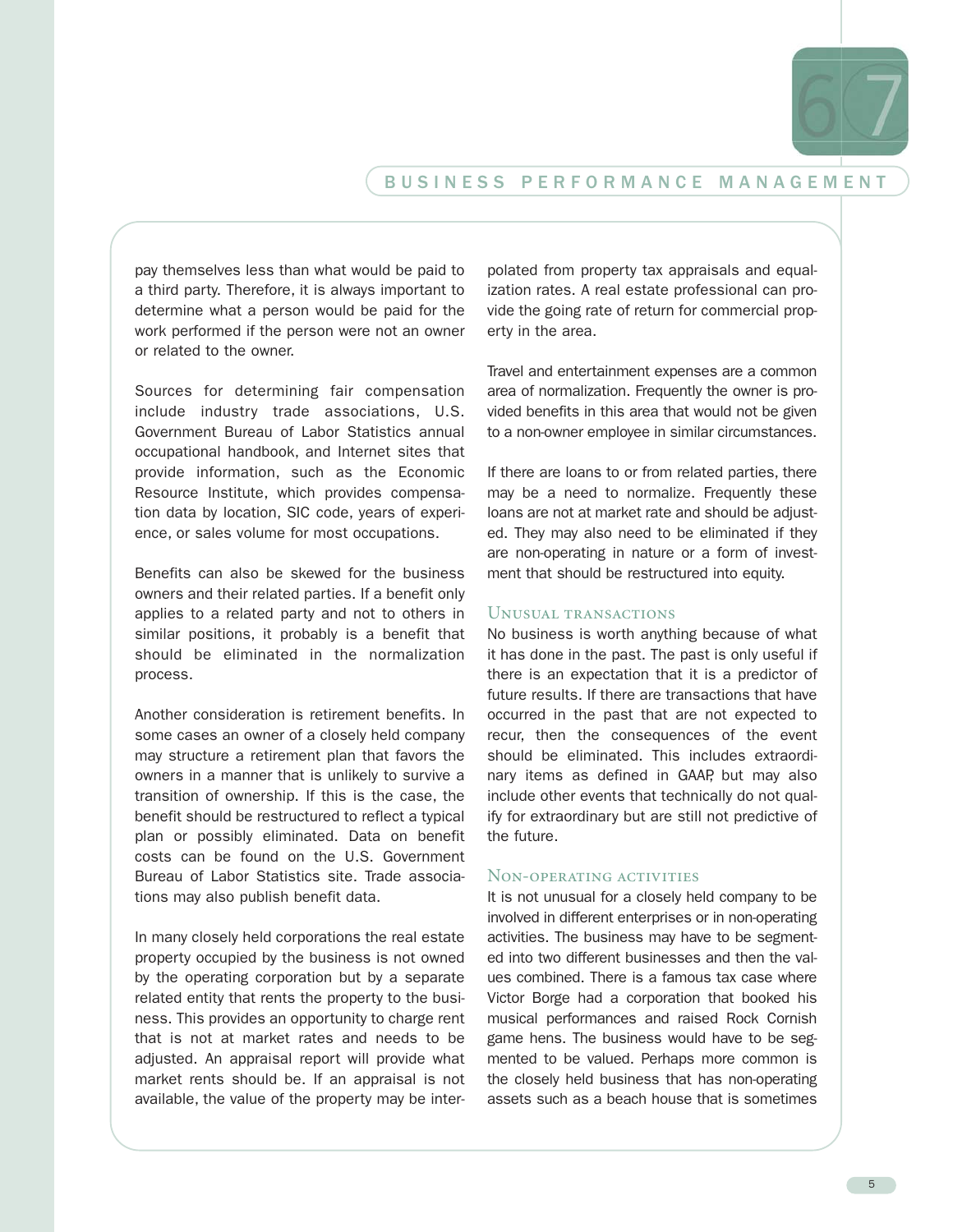

pay themselves less than what would be paid to a third party. Therefore, it is always important to determine what a person would be paid for the work performed if the person were not an owner or related to the owner.

Sources for determining fair compensation include industry trade associations, U.S. Government Bureau of Labor Statistics annual occupational handbook, and Internet sites that provide information, such as the Economic Resource Institute, which provides compensation data by location, SIC code, years of experience, or sales volume for most occupations.

Benefits can also be skewed for the business owners and their related parties. If a benefit only applies to a related party and not to others in similar positions, it probably is a benefit that should be eliminated in the normalization process.

Another consideration is retirement benefits. In some cases an owner of a closely held company may structure a retirement plan that favors the owners in a manner that is unlikely to survive a transition of ownership. If this is the case, the benefit should be restructured to reflect a typical plan or possibly eliminated. Data on benefit costs can be found on the U.S. Government Bureau of Labor Statistics site. Trade associations may also publish benefit data.

In many closely held corporations the real estate property occupied by the business is not owned by the operating corporation but by a separate related entity that rents the property to the business. This provides an opportunity to charge rent that is not at market rates and needs to be adjusted. An appraisal report will provide what market rents should be. If an appraisal is not available, the value of the property may be interpolated from property tax appraisals and equalization rates. A real estate professional can provide the going rate of return for commercial property in the area.

Travel and entertainment expenses are a common area of normalization. Frequently the owner is provided benefits in this area that would not be given to a non-owner employee in similar circumstances.

If there are loans to or from related parties, there may be a need to normalize. Frequently these loans are not at market rate and should be adjusted. They may also need to be eliminated if they are non-operating in nature or a form of investment that should be restructured into equity.

### Unusual transactions

No business is worth anything because of what it has done in the past. The past is only useful if there is an expectation that it is a predictor of future results. If there are transactions that have occurred in the past that are not expected to recur, then the consequences of the event should be eliminated. This includes extraordinary items as defined in GAAP, but may also include other events that technically do not qualify for extraordinary but are still not predictive of the future.

### Non-operating activities

It is not unusual for a closely held company to be involved in different enterprises or in non-operating activities. The business may have to be segmented into two different businesses and then the values combined. There is a famous tax case where Victor Borge had a corporation that booked his musical performances and raised Rock Cornish game hens. The business would have to be segmented to be valued. Perhaps more common is the closely held business that has non-operating assets such as a beach house that is sometimes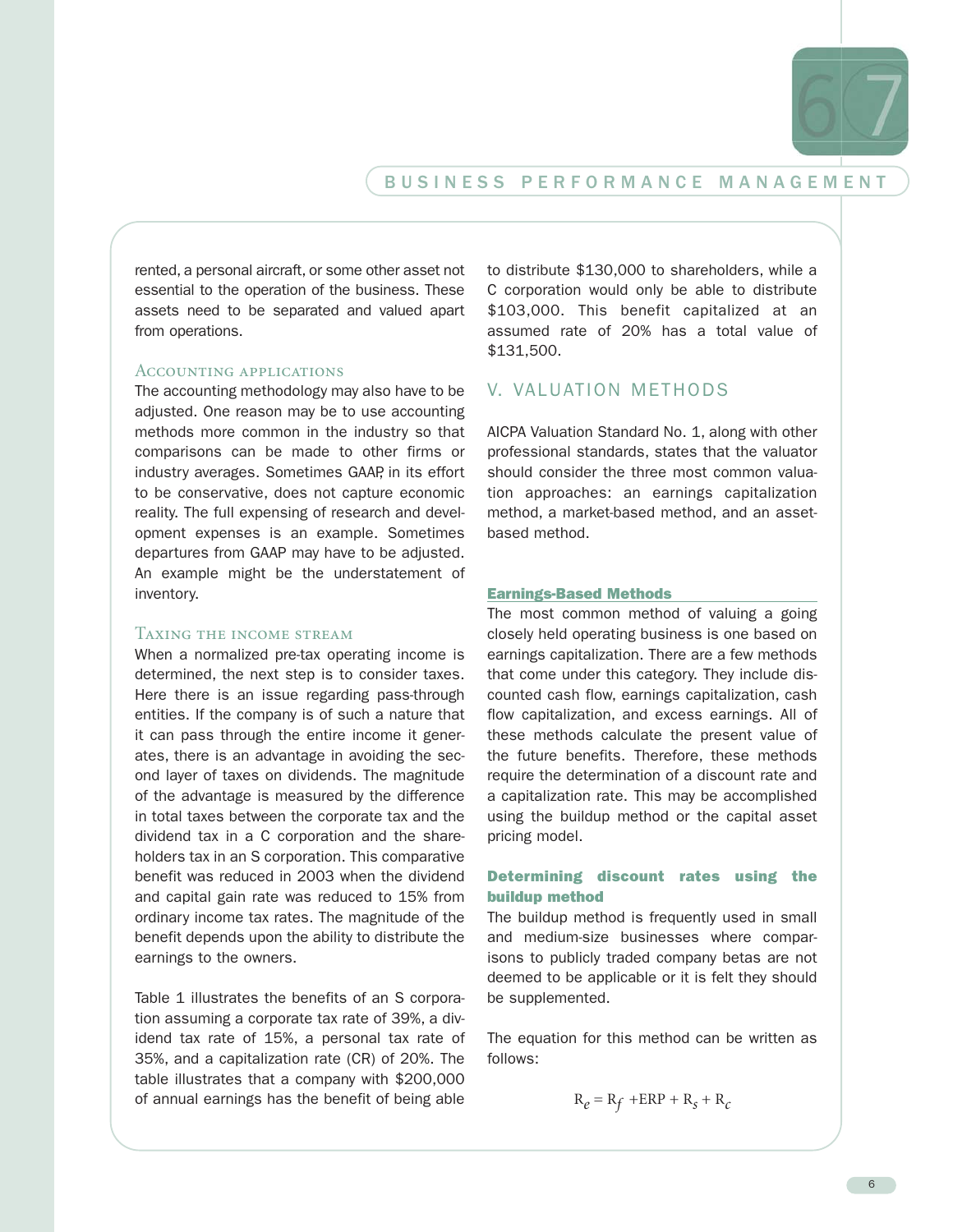

rented, a personal aircraft, or some other asset not essential to the operation of the business. These assets need to be separated and valued apart from operations.

#### ACCOUNTING APPLICATIONS

The accounting methodology may also have to be adjusted. One reason may be to use accounting methods more common in the industry so that comparisons can be made to other firms or industry averages. Sometimes GAAP, in its effort to be conservative, does not capture economic reality. The full expensing of research and development expenses is an example. Sometimes departures from GAAP may have to be adjusted. An example might be the understatement of inventory.

## Taxing the income stream

When a normalized pre-tax operating income is determined, the next step is to consider taxes. Here there is an issue regarding pass-through entities. If the company is of such a nature that it can pass through the entire income it generates, there is an advantage in avoiding the second layer of taxes on dividends. The magnitude of the advantage is measured by the difference in total taxes between the corporate tax and the dividend tax in a C corporation and the shareholders tax in an S corporation. This comparative benefit was reduced in 2003 when the dividend and capital gain rate was reduced to 15% from ordinary income tax rates. The magnitude of the benefit depends upon the ability to distribute the earnings to the owners.

Table 1 illustrates the benefits of an S corporation assuming a corporate tax rate of 39%, a dividend tax rate of 15%, a personal tax rate of 35%, and a capitalization rate (CR) of 20%. The table illustrates that a company with \$200,000 of annual earnings has the benefit of being able to distribute \$130,000 to shareholders, while a C corporation would only be able to distribute \$103,000. This benefit capitalized at an assumed rate of 20% has a total value of \$131,500.

# V. VALUATION METHODS

AICPA Valuation Standard No. 1, along with other professional standards, states that the valuator should consider the three most common valuation approaches: an earnings capitalization method, a market-based method, and an assetbased method.

#### Earnings-Based Methods

The most common method of valuing a going closely held operating business is one based on earnings capitalization. There are a few methods that come under this category. They include discounted cash flow, earnings capitalization, cash flow capitalization, and excess earnings. All of these methods calculate the present value of the future benefits. Therefore, these methods require the determination of a discount rate and a capitalization rate. This may be accomplished using the buildup method or the capital asset pricing model.

# Determining discount rates using the buildup method

The buildup method is frequently used in small and medium-size businesses where comparisons to publicly traded company betas are not deemed to be applicable or it is felt they should be supplemented.

The equation for this method can be written as follows:

$$
R_e = R_f + ERP + R_s + R_c
$$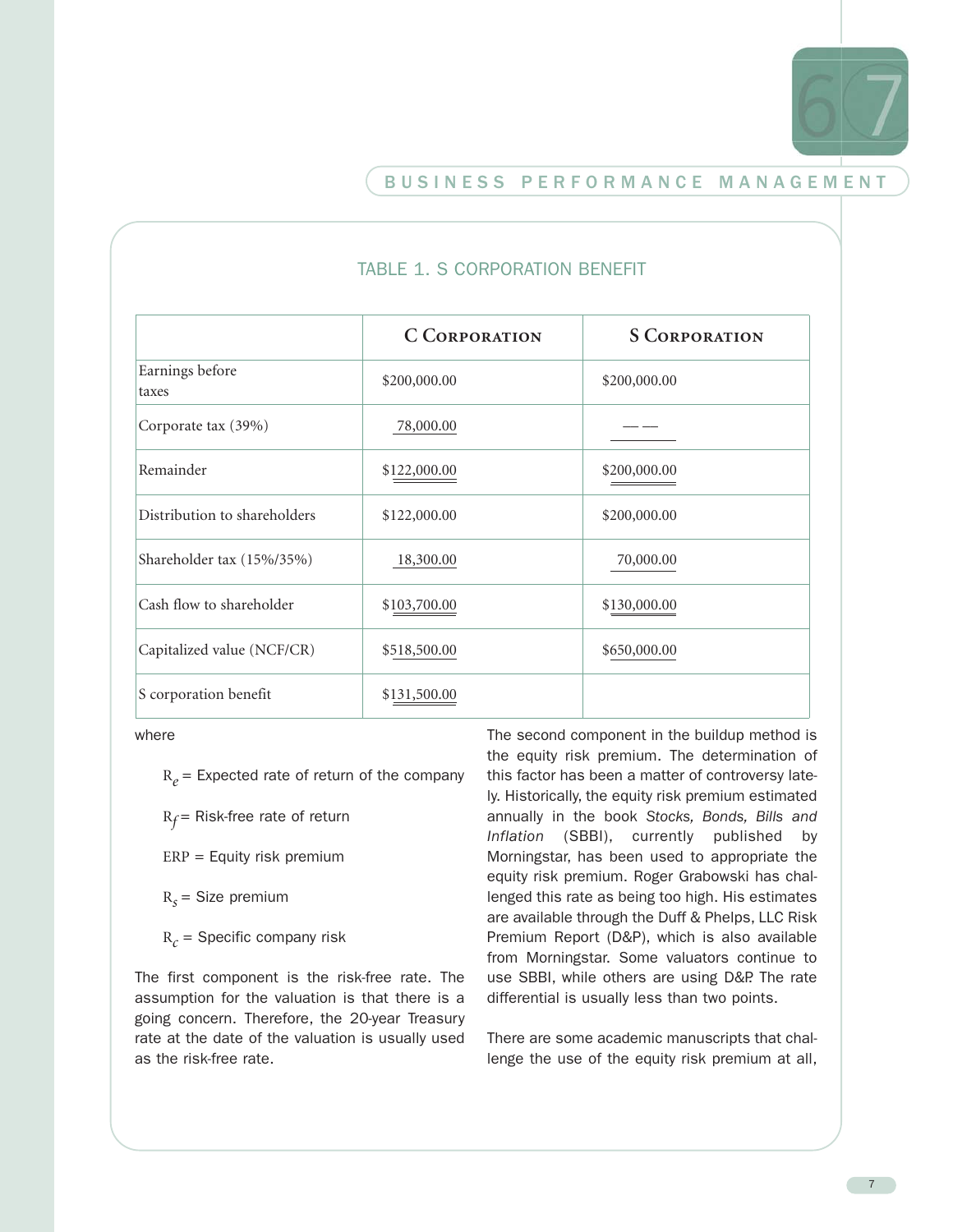

|                              | <b>C CORPORATION</b> | <b>S CORPORATION</b> |
|------------------------------|----------------------|----------------------|
| Earnings before<br>taxes     | \$200,000.00         | \$200,000.00         |
| Corporate tax (39%)          | 78,000.00            |                      |
| Remainder                    | \$122,000.00         | \$200,000.00         |
| Distribution to shareholders | \$122,000.00         | \$200,000.00         |
| Shareholder tax (15%/35%)    | 18,300.00            | 70,000.00            |
| Cash flow to shareholder     | \$103,700.00         | \$130,000.00         |
| Capitalized value (NCF/CR)   | \$518,500.00         | \$650,000.00         |
| S corporation benefit        | \$131,500.00         |                      |

# TABLE 1. S CORPORATION BENEFIT

where

 $R_e$  = Expected rate of return of the company

 $R_f$  = Risk-free rate of return

 $ERP =$  Equity risk premium

R*s* = Size premium

R*c* = Specific company risk

The first component is the risk-free rate. The assumption for the valuation is that there is a going concern. Therefore, the 20-year Treasury rate at the date of the valuation is usually used as the risk-free rate.

The second component in the buildup method is the equity risk premium. The determination of this factor has been a matter of controversy lately. Historically, the equity risk premium estimated annually in the book *Stocks, Bonds, Bills and Inflation* (SBBI), currently published by Morningstar, has been used to appropriate the equity risk premium. Roger Grabowski has challenged this rate as being too high. His estimates are available through the Duff & Phelps, LLC Risk Premium Report (D&P), which is also available from Morningstar. Some valuators continue to use SBBI, while others are using D&P. The rate differential is usually less than two points.

There are some academic manuscripts that challenge the use of the equity risk premium at all,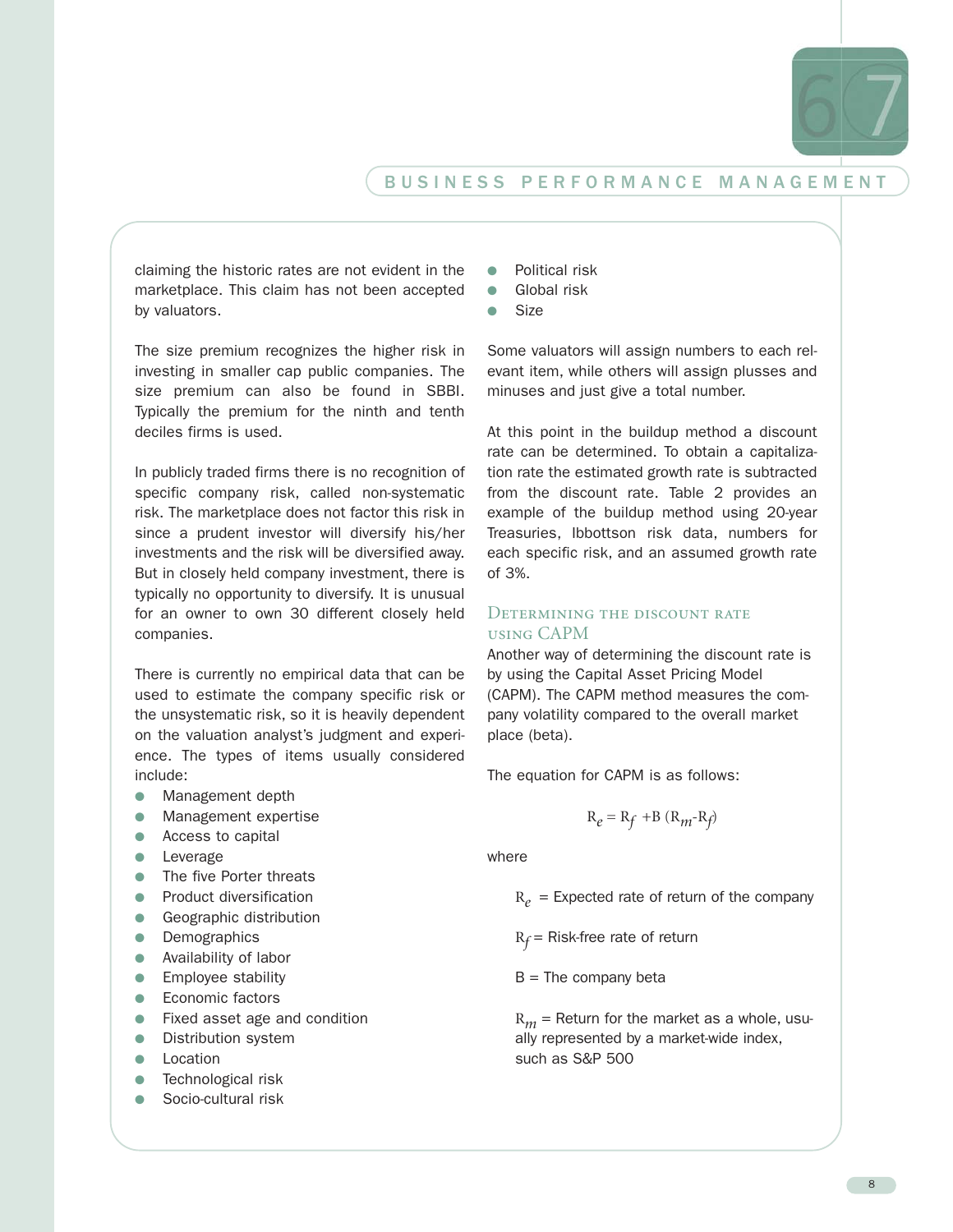

claiming the historic rates are not evident in the marketplace. This claim has not been accepted by valuators.

The size premium recognizes the higher risk in investing in smaller cap public companies. The size premium can also be found in SBBI. Typically the premium for the ninth and tenth deciles firms is used.

In publicly traded firms there is no recognition of specific company risk, called non-systematic risk. The marketplace does not factor this risk in since a prudent investor will diversify his/her investments and the risk will be diversified away. But in closely held company investment, there is typically no opportunity to diversify. It is unusual for an owner to own 30 different closely held companies.

There is currently no empirical data that can be used to estimate the company specific risk or the unsystematic risk, so it is heavily dependent on the valuation analyst's judgment and experience. The types of items usually considered include:

- Management depth
- Management expertise
- Access to capital
- Leverage
- The five Porter threats
- Product diversification
- Geographic distribution
- Demographics
- Availability of labor
- Employee stability
- Economic factors
- Fixed asset age and condition
- Distribution system
- Location
- Technological risk
- Socio-cultural risk
- Political risk
- Global risk
- Size

Some valuators will assign numbers to each relevant item, while others will assign plusses and minuses and just give a total number.

At this point in the buildup method a discount rate can be determined. To obtain a capitalization rate the estimated growth rate is subtracted from the discount rate. Table 2 provides an example of the buildup method using 20-year Treasuries, Ibbottson risk data, numbers for each specific risk, and an assumed growth rate of 3%.

## DETERMINING THE DISCOUNT RATE using CAPM

Another way of determining the discount rate is by using the Capital Asset Pricing Model (CAPM). The CAPM method measures the company volatility compared to the overall market place (beta).

The equation for CAPM is as follows:

$$
R_e = R_f + B (R_m - R_f)
$$

where

 $R_e$  = Expected rate of return of the company

 $R_f$  = Risk-free rate of return

 $B =$  The company beta

 $R_m$  = Return for the market as a whole, usually represented by a market-wide index, such as S&P 500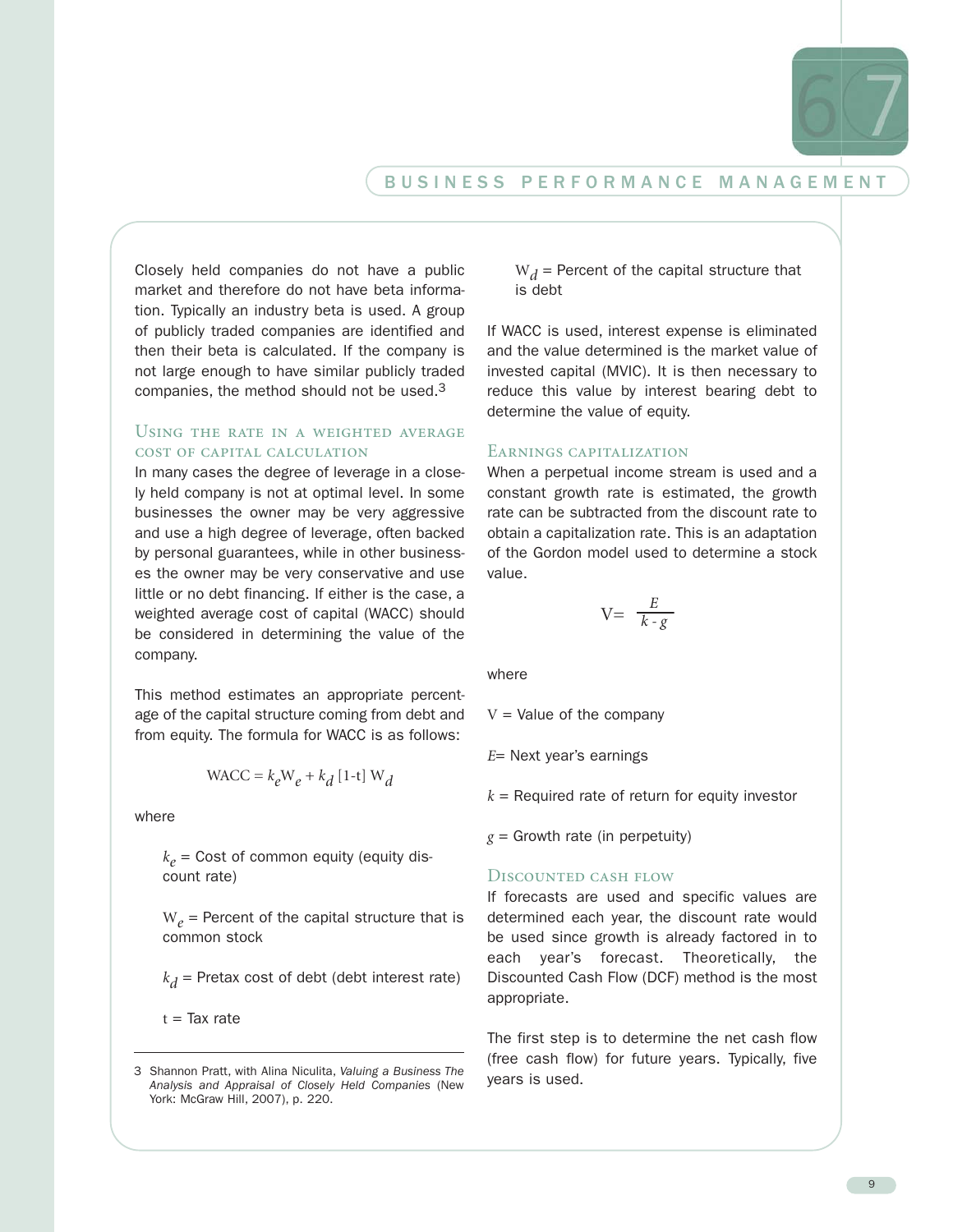

Closely held companies do not have a public market and therefore do not have beta information. Typically an industry beta is used. A group of publicly traded companies are identified and then their beta is calculated. If the company is not large enough to have similar publicly traded companies, the method should not be used.3

## USING THE RATE IN A WEIGHTED AVERAGE cost of capital calculation

In many cases the degree of leverage in a closely held company is not at optimal level. In some businesses the owner may be very aggressive and use a high degree of leverage, often backed by personal guarantees, while in other businesses the owner may be very conservative and use little or no debt financing. If either is the case, a weighted average cost of capital (WACC) should be considered in determining the value of the company.

This method estimates an appropriate percentage of the capital structure coming from debt and from equity. The formula for WACC is as follows:

WACC = 
$$
k_e
$$
W<sub>e</sub> +  $k_d$  [1-t] W<sub>d</sub>

where

 $k_e$  = Cost of common equity (equity discount rate)

 $W_e$  = Percent of the capital structure that is common stock

 $k_d$  = Pretax cost of debt (debt interest rate)

 $t =$ Tax rate

 $W_d$  = Percent of the capital structure that is debt

If WACC is used, interest expense is eliminated and the value determined is the market value of invested capital (MVIC). It is then necessary to reduce this value by interest bearing debt to determine the value of equity.

#### Earnings capitalization

When a perpetual income stream is used and a constant growth rate is estimated, the growth rate can be subtracted from the discount rate to obtain a capitalization rate. This is an adaptation of the Gordon model used to determine a stock value.

$$
V = \frac{E}{k \cdot g}
$$

where

 $V =$  Value of the company

*E*= Next year's earnings

 $k$  = Required rate of return for equity investor

 $g =$  Growth rate (in perpetuity)

#### DISCOUNTED CASH FLOW

If forecasts are used and specific values are determined each year, the discount rate would be used since growth is already factored in to each year's forecast. Theoretically, the Discounted Cash Flow (DCF) method is the most appropriate.

The first step is to determine the net cash flow (free cash flow) for future years. Typically, five years is used.

<sup>3</sup> Shannon Pratt, with Alina Niculita, *Valuing a Business The Analysis and Appraisal of Closely Held Companies* (New York: McGraw Hill, 2007), p. 220.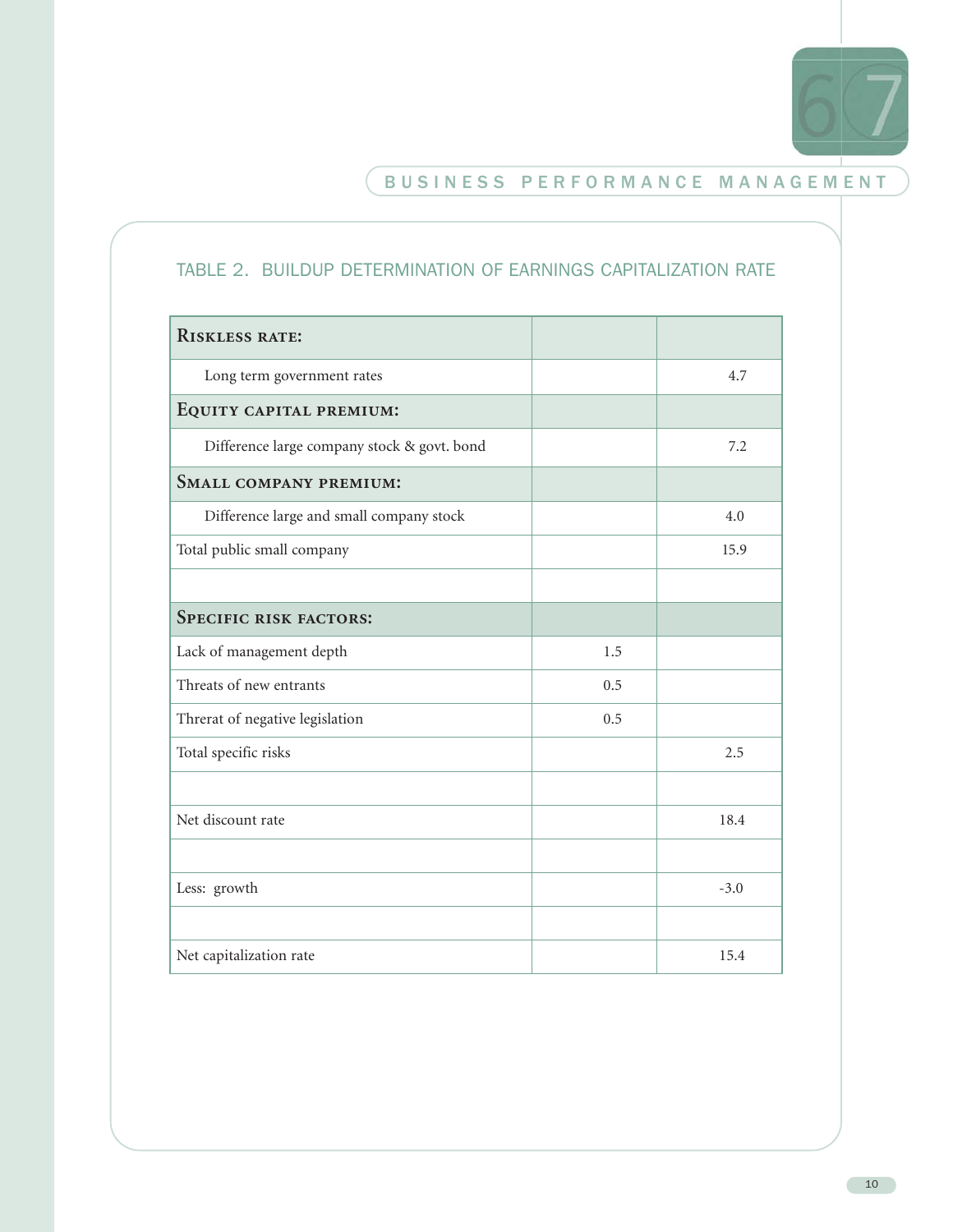

# TABLE 2. BUILDUP DETERMINATION OF EARNINGS CAPITALIZATION RATE

| <b>RISKLESS RATE:</b>                       |     |        |
|---------------------------------------------|-----|--------|
| Long term government rates                  |     | 4.7    |
| EQUITY CAPITAL PREMIUM:                     |     |        |
| Difference large company stock & govt. bond |     | 7.2    |
| <b>SMALL COMPANY PREMIUM:</b>               |     |        |
| Difference large and small company stock    |     | 4.0    |
| Total public small company                  |     | 15.9   |
| <b>SPECIFIC RISK FACTORS:</b>               |     |        |
| Lack of management depth                    | 1.5 |        |
| Threats of new entrants                     | 0.5 |        |
| Threrat of negative legislation             | 0.5 |        |
| Total specific risks                        |     | 2.5    |
| Net discount rate                           |     | 18.4   |
| Less: growth                                |     | $-3.0$ |
| Net capitalization rate                     |     | 15.4   |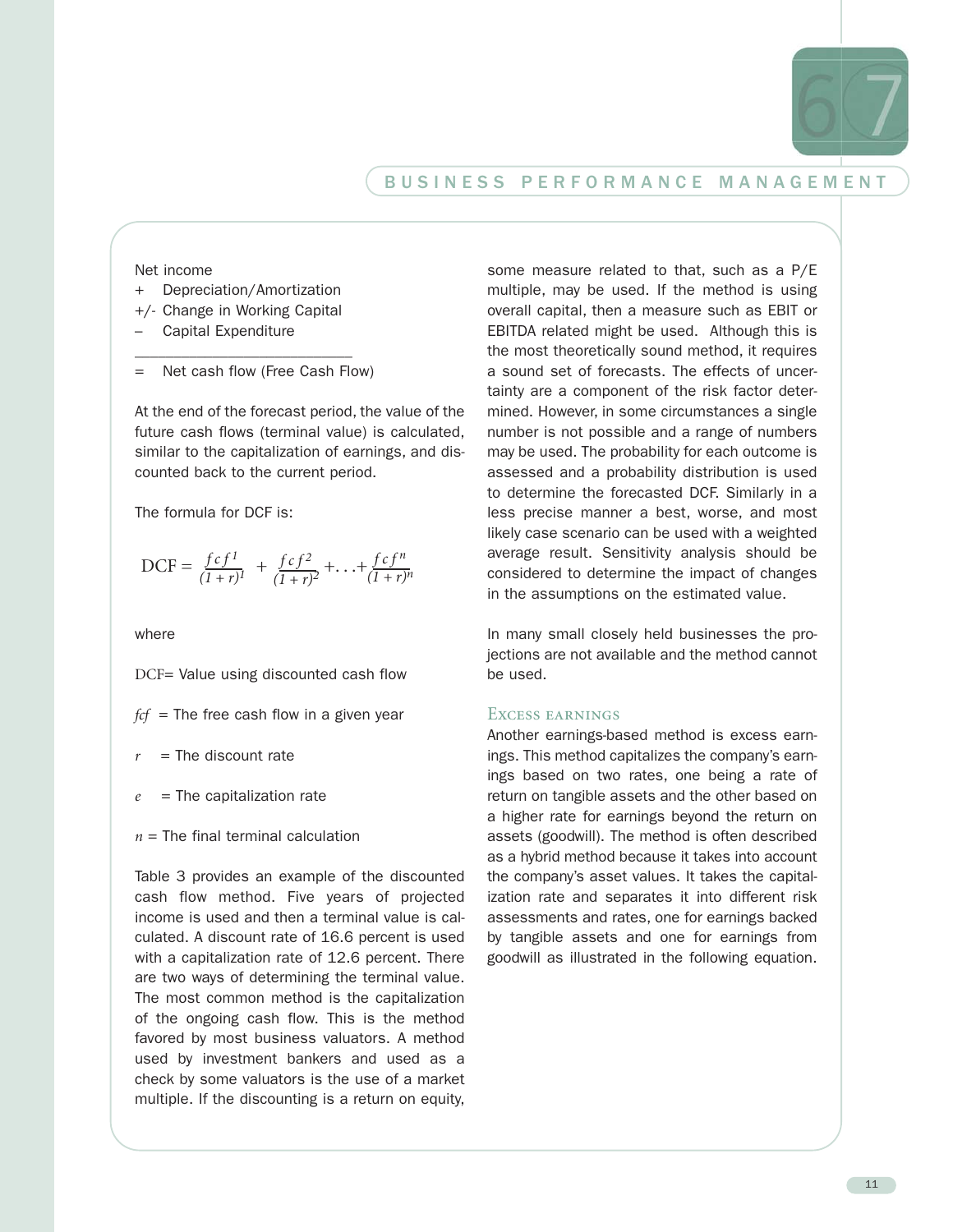

#### Net income

- + Depreciation/Amortization
- +/- Change in Working Capital
- Capital Expenditure
- \_\_\_\_\_\_\_\_\_\_\_\_\_\_\_\_\_\_\_\_\_\_\_\_\_\_\_\_ = Net cash flow (Free Cash Flow)

At the end of the forecast period, the value of the future cash flows (terminal value) is calculated, similar to the capitalization of earnings, and discounted back to the current period.

The formula for DCF is:

$$
\text{DCF} = \frac{fcf^1}{(1+r)^1} + \frac{fcf^2}{(1+r)^2} + \ldots + \frac{fcf^n}{(1+r)^n}
$$

where

DCF= Value using discounted cash flow

- *fcf* = The free cash flow in a given year
- = The discount rate
- *e* = The capitalization rate
- $n =$ The final terminal calculation

Table 3 provides an example of the discounted cash flow method. Five years of projected income is used and then a terminal value is calculated. A discount rate of 16.6 percent is used with a capitalization rate of 12.6 percent. There are two ways of determining the terminal value. The most common method is the capitalization of the ongoing cash flow. This is the method favored by most business valuators. A method used by investment bankers and used as a check by some valuators is the use of a market multiple. If the discounting is a return on equity,

some measure related to that, such as a P/E multiple, may be used. If the method is using overall capital, then a measure such as EBIT or EBITDA related might be used. Although this is the most theoretically sound method, it requires a sound set of forecasts. The effects of uncertainty are a component of the risk factor determined. However, in some circumstances a single number is not possible and a range of numbers may be used. The probability for each outcome is assessed and a probability distribution is used to determine the forecasted DCF. Similarly in a less precise manner a best, worse, and most likely case scenario can be used with a weighted average result. Sensitivity analysis should be considered to determine the impact of changes in the assumptions on the estimated value.

In many small closely held businesses the projections are not available and the method cannot be used.

# Excess earnings

Another earnings-based method is excess earnings. This method capitalizes the company's earnings based on two rates, one being a rate of return on tangible assets and the other based on a higher rate for earnings beyond the return on assets (goodwill). The method is often described as a hybrid method because it takes into account the company's asset values. It takes the capitalization rate and separates it into different risk assessments and rates, one for earnings backed by tangible assets and one for earnings from goodwill as illustrated in the following equation.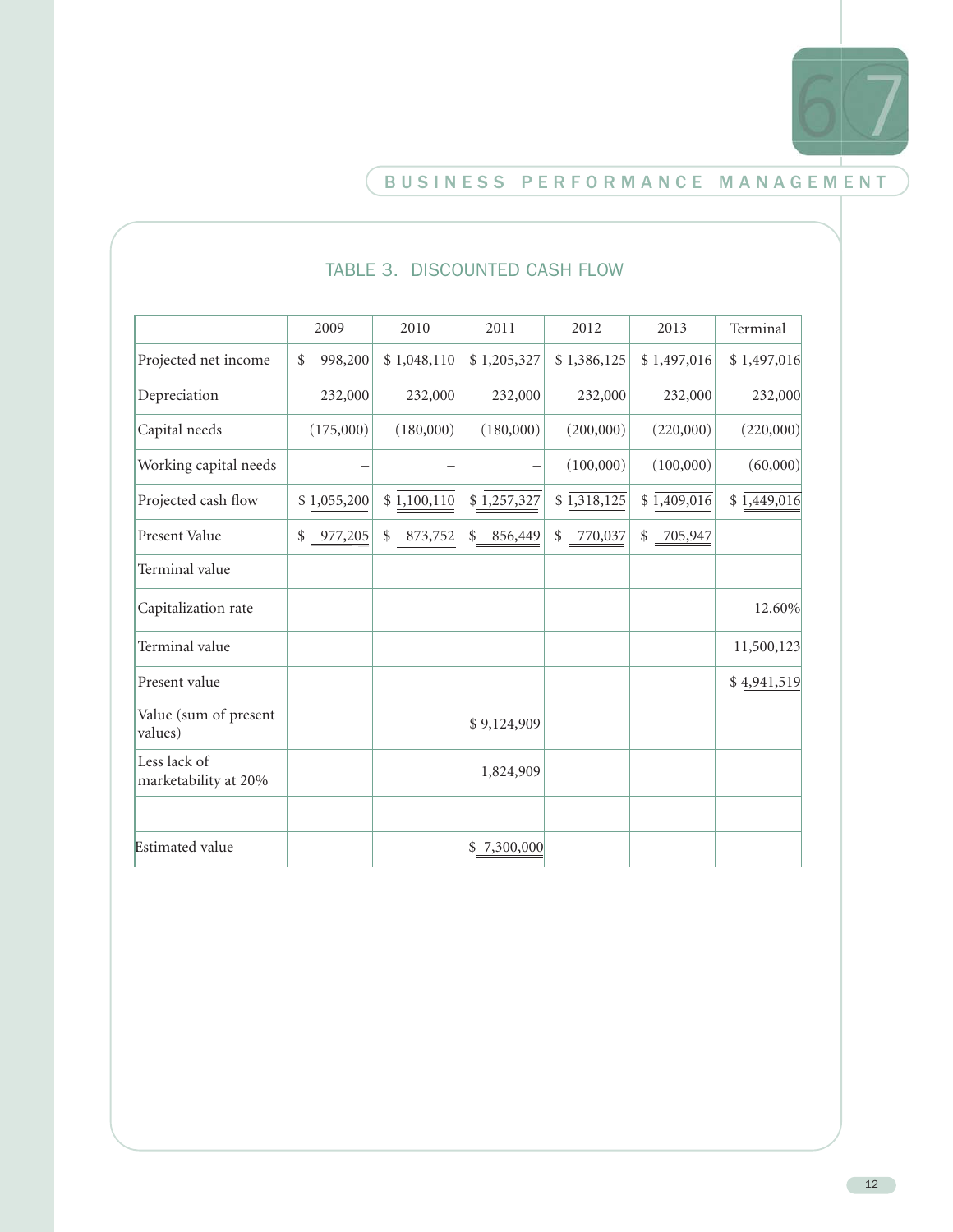

|                                      | 2009          | 2010          | 2011          | 2012          | 2013          | Terminal    |
|--------------------------------------|---------------|---------------|---------------|---------------|---------------|-------------|
| Projected net income                 | 998,200<br>\$ | \$1,048,110   | \$1,205,327   | \$1,386,125   | \$1,497,016   | \$1,497,016 |
| Depreciation                         | 232,000       | 232,000       | 232,000       | 232,000       | 232,000       | 232,000     |
| Capital needs                        | (175,000)     | (180,000)     | (180,000)     | (200,000)     | (220,000)     | (220,000)   |
| Working capital needs                |               |               |               | (100,000)     | (100,000)     | (60,000)    |
| Projected cash flow                  | \$1,055,200   | \$1,100,110   | \$1,257,327   | \$1,318,125   | \$1,409,016   | \$1,449,016 |
| Present Value                        | \$<br>977,205 | \$<br>873,752 | \$<br>856,449 | 770,037<br>\$ | \$<br>705,947 |             |
| Terminal value                       |               |               |               |               |               |             |
| Capitalization rate                  |               |               |               |               |               | 12.60%      |
| Terminal value                       |               |               |               |               |               | 11,500,123  |
| Present value                        |               |               |               |               |               | \$4,941,519 |
| Value (sum of present<br>values)     |               |               | \$9,124,909   |               |               |             |
| Less lack of<br>marketability at 20% |               |               | 1,824,909     |               |               |             |
|                                      |               |               |               |               |               |             |
| Estimated value                      |               |               | \$7,300,000   |               |               |             |

# TABLE 3. DISCOUNTED CASH FLOW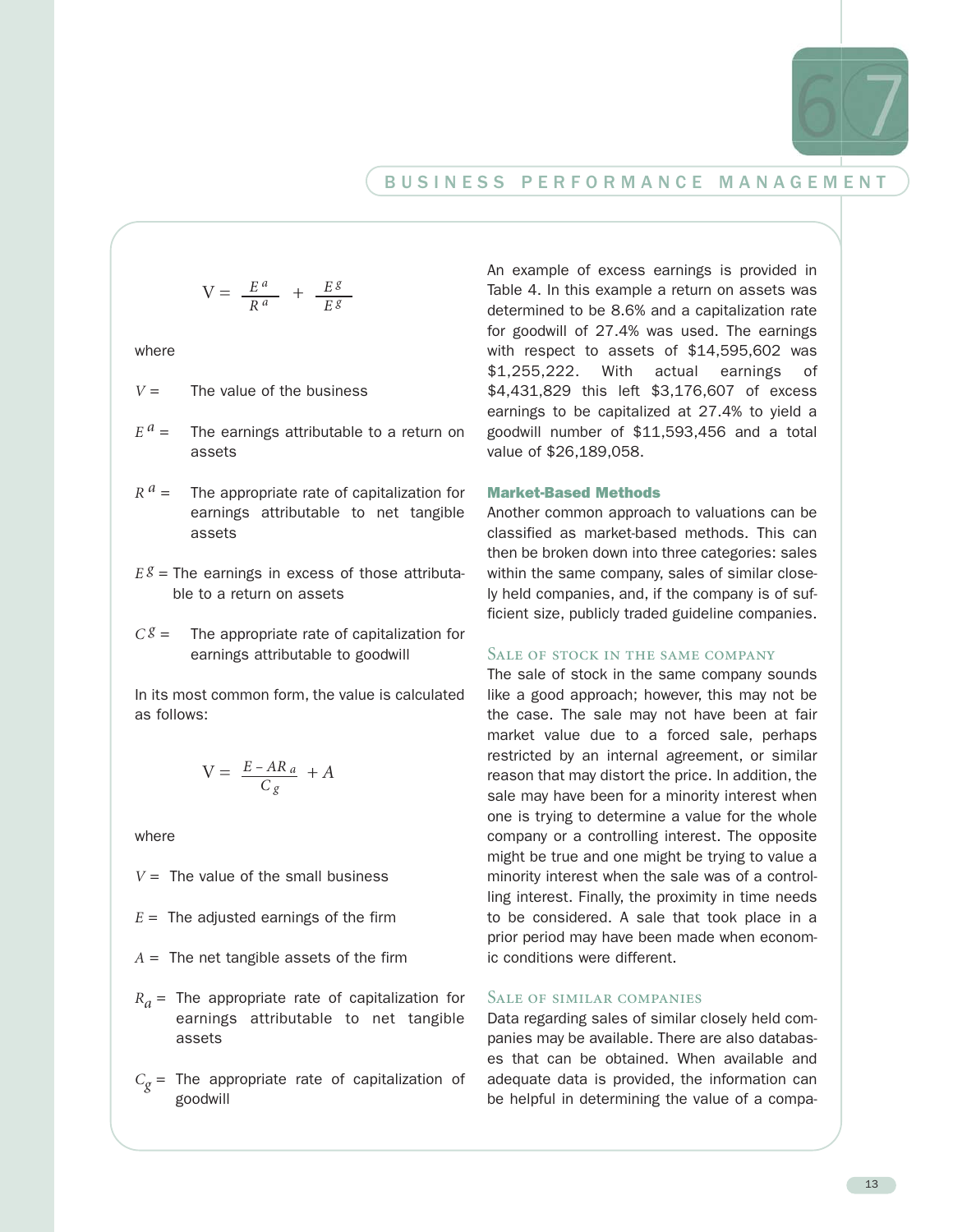

$$
V = \frac{E^a}{R^a} + \frac{E^g}{E^g}
$$

where

- $V =$  The value of the business
- $E^a =$  The earnings attributable to a return on assets
- $R^a =$  The appropriate rate of capitalization for earnings attributable to net tangible assets
- $E$ <sup> $g$ </sup> = The earnings in excess of those attributable to a return on assets
- $C<sup>g</sup>$  = The appropriate rate of capitalization for earnings attributable to goodwill

In its most common form, the value is calculated as follows:

$$
V = \frac{E - AR_a}{C_g} + A
$$

where

- $V =$  The value of the small business
- $E =$  The adjusted earnings of the firm
- $A =$ The net tangible assets of the firm
- $R_a$  = The appropriate rate of capitalization for earnings attributable to net tangible assets
- $C_{\varrho}$  = The appropriate rate of capitalization of goodwill

An example of excess earnings is provided in Table 4. In this example a return on assets was determined to be 8.6% and a capitalization rate for goodwill of 27.4% was used. The earnings with respect to assets of \$14,595,602 was \$1,255,222. With actual earnings of \$4,431,829 this left \$3,176,607 of excess earnings to be capitalized at 27.4% to yield a goodwill number of \$11,593,456 and a total value of \$26,189,058.

#### Market-Based Methods

Another common approach to valuations can be classified as market-based methods. This can then be broken down into three categories: sales within the same company, sales of similar closely held companies, and, if the company is of sufficient size, publicly traded guideline companies.

# Sale of stock in the same company

The sale of stock in the same company sounds like a good approach; however, this may not be the case. The sale may not have been at fair market value due to a forced sale, perhaps restricted by an internal agreement, or similar reason that may distort the price. In addition, the sale may have been for a minority interest when one is trying to determine a value for the whole company or a controlling interest. The opposite might be true and one might be trying to value a minority interest when the sale was of a controlling interest. Finally, the proximity in time needs to be considered. A sale that took place in a prior period may have been made when economic conditions were different.

#### Sale of similar companies

Data regarding sales of similar closely held companies may be available. There are also databases that can be obtained. When available and adequate data is provided, the information can be helpful in determining the value of a compa-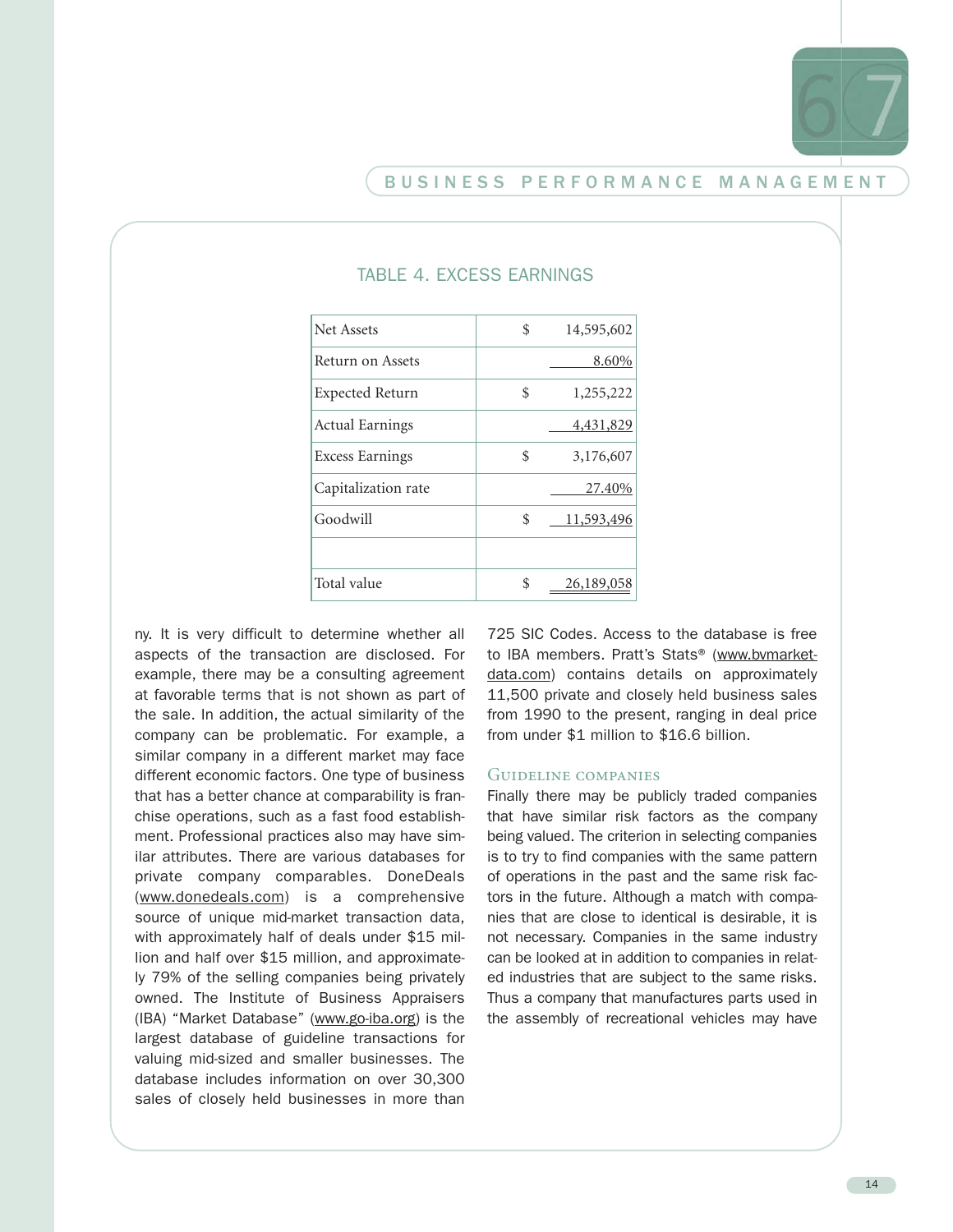

| Net Assets             | \$<br>14,595,602 |
|------------------------|------------------|
| Return on Assets       | 8.60%            |
| Expected Return        | \$<br>1,255,222  |
| <b>Actual Earnings</b> | 4,431,829        |
| Excess Earnings        | \$<br>3,176,607  |
| Capitalization rate    | 27.40%           |
| Goodwill               | \$<br>11,593,496 |
|                        |                  |
| Total value            | \$<br>26,189,058 |

# TABLE 4. EXCESS EARNINGS

ny. It is very difficult to determine whether all aspects of the transaction are disclosed. For example, there may be a consulting agreement at favorable terms that is not shown as part of the sale. In addition, the actual similarity of the company can be problematic. For example, a similar company in a different market may face different economic factors. One type of business that has a better chance at comparability is franchise operations, such as a fast food establishment. Professional practices also may have similar attributes. There are various databases for private company comparables. DoneDeals (www.donedeals.com) is a comprehensive source of unique mid-market transaction data, with approximately half of deals under \$15 million and half over \$15 million, and approximately 79% of the selling companies being privately owned. The Institute of Business Appraisers (IBA) "Market Database" (www.go-iba.org) is the largest database of guideline transactions for valuing mid-sized and smaller businesses. The database includes information on over 30,300 sales of closely held businesses in more than

725 SIC Codes. Access to the database is free to IBA members. Pratt's Stats® (www.bvmarketdata.com) contains details on approximately 11,500 private and closely held business sales from 1990 to the present, ranging in deal price from under \$1 million to \$16.6 billion.

#### Guideline companies

Finally there may be publicly traded companies that have similar risk factors as the company being valued. The criterion in selecting companies is to try to find companies with the same pattern of operations in the past and the same risk factors in the future. Although a match with companies that are close to identical is desirable, it is not necessary. Companies in the same industry can be looked at in addition to companies in related industries that are subject to the same risks. Thus a company that manufactures parts used in the assembly of recreational vehicles may have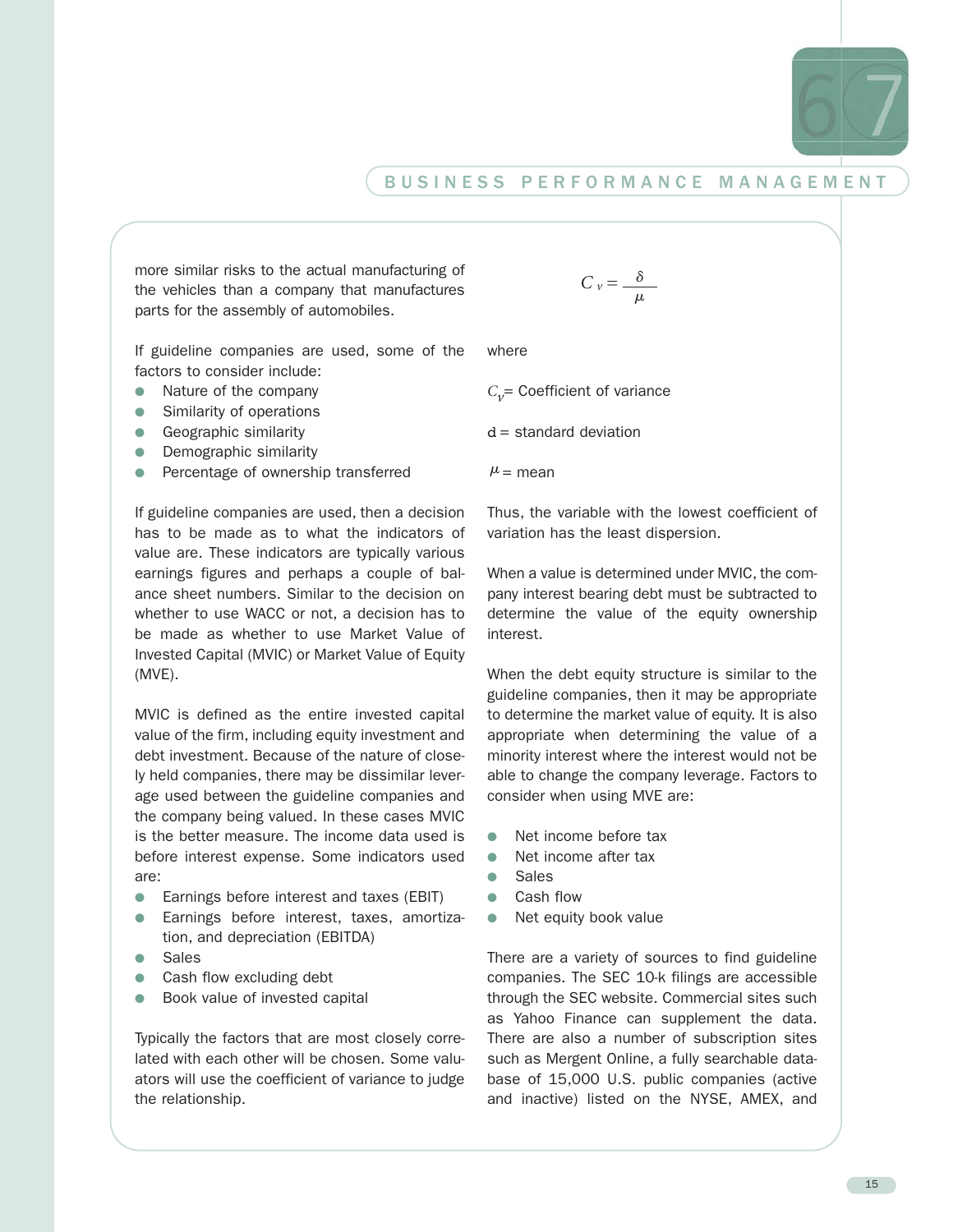

more similar risks to the actual manufacturing of the vehicles than a company that manufactures parts for the assembly of automobiles.

If guideline companies are used, some of the factors to consider include:

- Nature of the company
- Similarity of operations
- Geographic similarity
- Demographic similarity
- Percentage of ownership transferred

If guideline companies are used, then a decision has to be made as to what the indicators of value are. These indicators are typically various earnings figures and perhaps a couple of balance sheet numbers. Similar to the decision on whether to use WACC or not, a decision has to be made as whether to use Market Value of Invested Capital (MVIC) or Market Value of Equity (MVE).

MVIC is defined as the entire invested capital value of the firm, including equity investment and debt investment. Because of the nature of closely held companies, there may be dissimilar leverage used between the guideline companies and the company being valued. In these cases MVIC is the better measure. The income data used is before interest expense. Some indicators used are:

- Earnings before interest and taxes (EBIT)
- Earnings before interest, taxes, amortization, and depreciation (EBITDA)
- Sales
- Cash flow excluding debt
- Book value of invested capital

Typically the factors that are most closely correlated with each other will be chosen. Some valuators will use the coefficient of variance to judge the relationship.

$$
C_v = \frac{\delta}{\mu}
$$

where

- $C_v$ = Coefficient of variance
- $d =$  standard deviation
- $\mu$  = mean

Thus, the variable with the lowest coefficient of variation has the least dispersion.

When a value is determined under MVIC, the company interest bearing debt must be subtracted to determine the value of the equity ownership interest.

When the debt equity structure is similar to the guideline companies, then it may be appropriate to determine the market value of equity. It is also appropriate when determining the value of a minority interest where the interest would not be able to change the company leverage. Factors to consider when using MVE are:

- Net income before tax
- Net income after tax
- Sales
- Cash flow
- Net equity book value

There are a variety of sources to find guideline companies. The SEC 10-k filings are accessible through the SEC website. Commercial sites such as Yahoo Finance can supplement the data. There are also a number of subscription sites such as Mergent Online, a fully searchable database of 15,000 U.S. public companies (active and inactive) listed on the NYSE, AMEX, and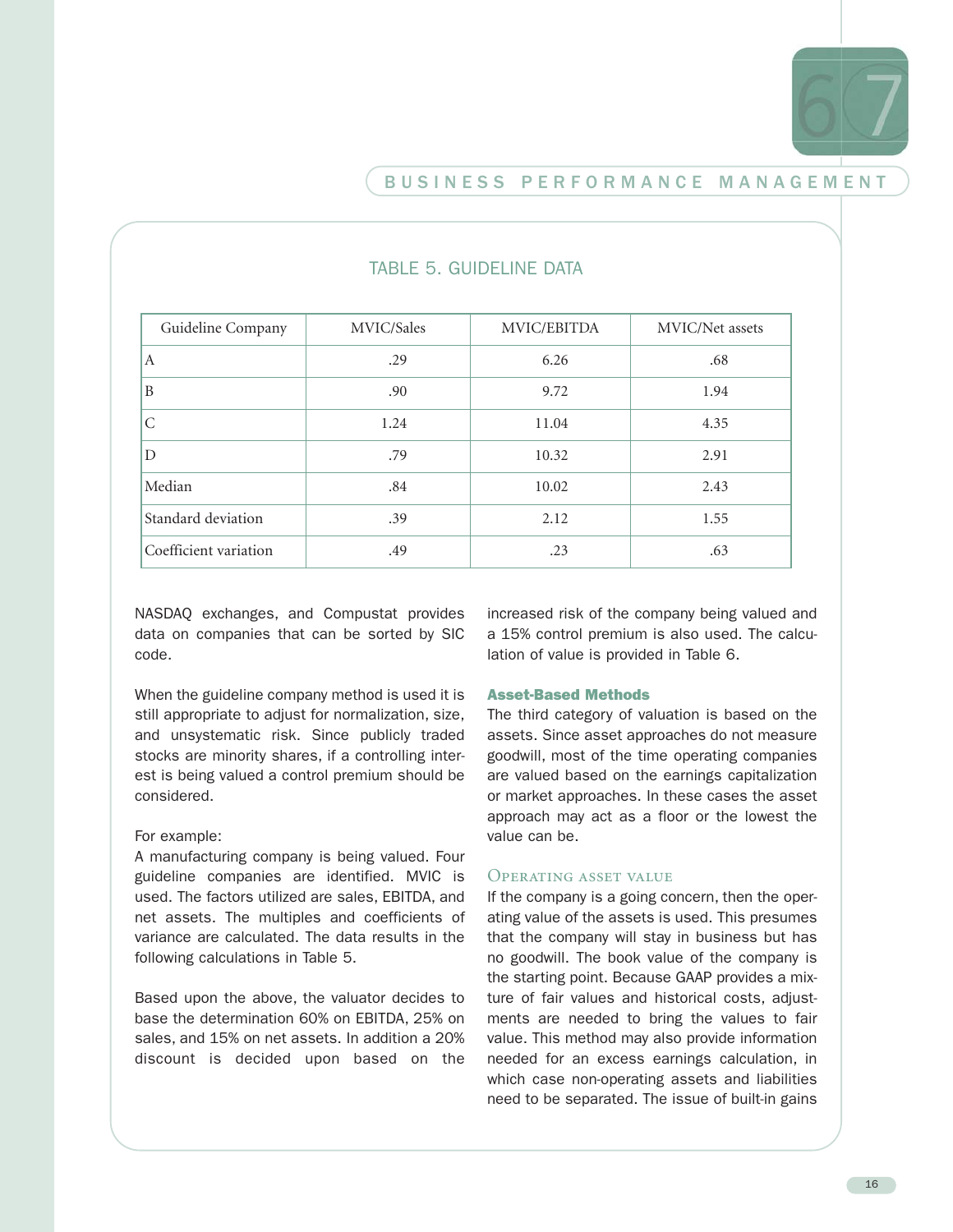

| Guideline Company     | MVIC/Sales | MVIC/EBITDA | MVIC/Net assets |
|-----------------------|------------|-------------|-----------------|
| A                     | .29        | 6.26        | .68             |
| B                     | .90        | 9.72        | 1.94            |
| C                     | 1.24       | 11.04       | 4.35            |
| D                     | .79        | 10.32       | 2.91            |
| Median                | .84        | 10.02       | 2.43            |
| Standard deviation    | .39        | 2.12        | 1.55            |
| Coefficient variation | .49        | .23         | .63             |

# TABLE 5. GUIDELINE DATA

NASDAQ exchanges, and Compustat provides data on companies that can be sorted by SIC code.

When the guideline company method is used it is still appropriate to adjust for normalization, size, and unsystematic risk. Since publicly traded stocks are minority shares, if a controlling interest is being valued a control premium should be considered.

#### For example:

A manufacturing company is being valued. Four guideline companies are identified. MVIC is used. The factors utilized are sales, EBITDA, and net assets. The multiples and coefficients of variance are calculated. The data results in the following calculations in Table 5.

Based upon the above, the valuator decides to base the determination 60% on EBITDA, 25% on sales, and 15% on net assets. In addition a 20% discount is decided upon based on the increased risk of the company being valued and a 15% control premium is also used. The calculation of value is provided in Table 6.

#### Asset-Based Methods

The third category of valuation is based on the assets. Since asset approaches do not measure goodwill, most of the time operating companies are valued based on the earnings capitalization or market approaches. In these cases the asset approach may act as a floor or the lowest the value can be.

### Operating asset value

If the company is a going concern, then the operating value of the assets is used. This presumes that the company will stay in business but has no goodwill. The book value of the company is the starting point. Because GAAP provides a mixture of fair values and historical costs, adjustments are needed to bring the values to fair value. This method may also provide information needed for an excess earnings calculation, in which case non-operating assets and liabilities need to be separated. The issue of built-in gains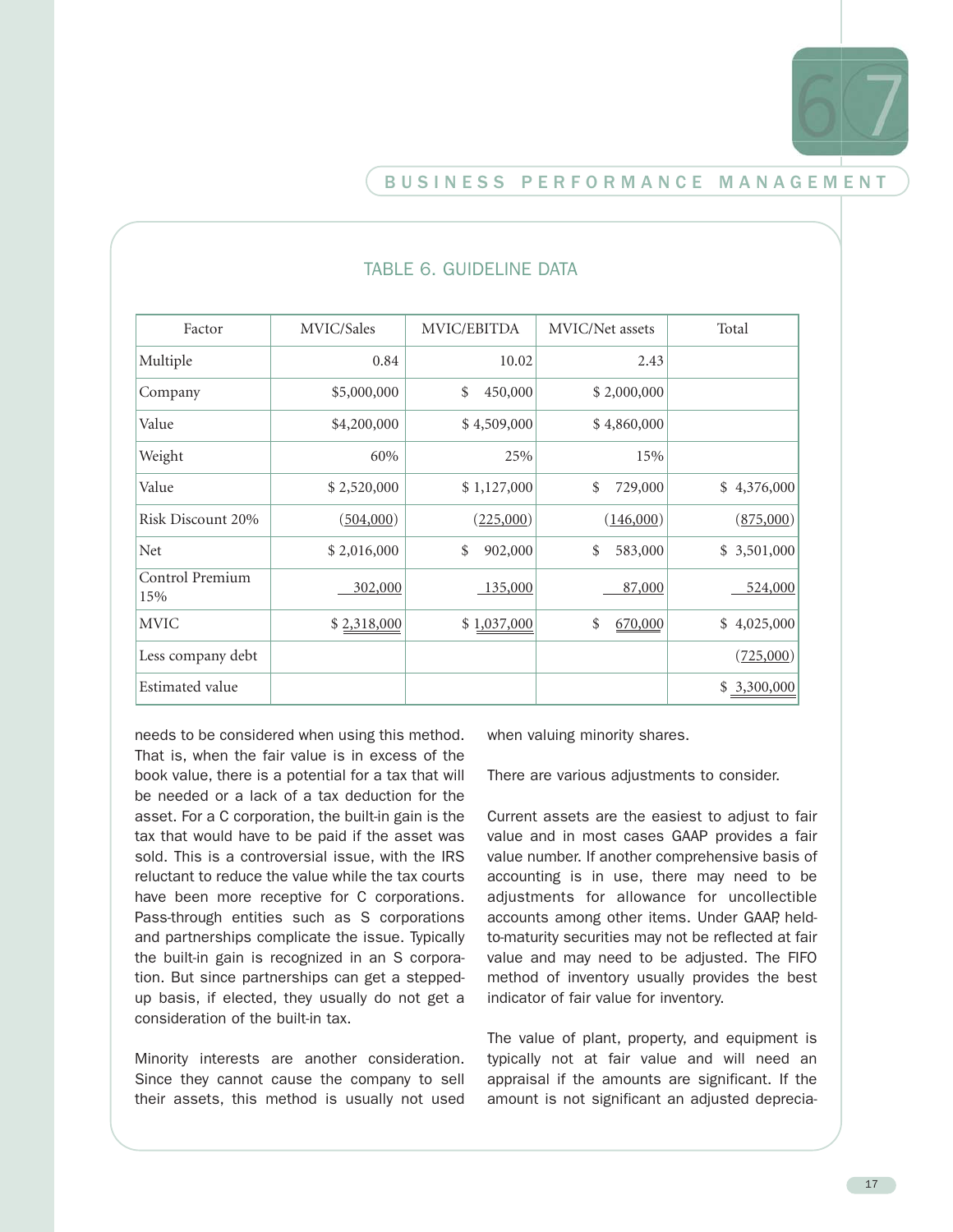

| Factor                 | MVIC/Sales  | MVIC/EBITDA   | <b>MVIC/Net assets</b> | Total       |
|------------------------|-------------|---------------|------------------------|-------------|
| Multiple               | 0.84        | 10.02         | 2.43                   |             |
| Company                | \$5,000,000 | \$<br>450,000 | \$2,000,000            |             |
| Value                  | \$4,200,000 | \$4,509,000   | \$4,860,000            |             |
| Weight                 | 60%         | 25%           | 15%                    |             |
| Value                  | \$2,520,000 | \$1,127,000   | \$<br>729,000          | \$4,376,000 |
| Risk Discount 20%      | (504,000)   | (225,000)     | (146,000)              | (875,000)   |
| <b>Net</b>             | \$2,016,000 | \$<br>902,000 | \$<br>583,000          | \$3,501,000 |
| Control Premium<br>15% | 302,000     | 135,000       | 87,000                 | 524,000     |
| <b>MVIC</b>            | \$2,318,000 | \$1,037,000   | \$<br>670,000          | \$4,025,000 |
| Less company debt      |             |               |                        | (725,000)   |
| Estimated value        |             |               |                        | \$3,300,000 |

# TABLE 6. GUIDELINE DATA

needs to be considered when using this method. That is, when the fair value is in excess of the book value, there is a potential for a tax that will be needed or a lack of a tax deduction for the asset. For a C corporation, the built-in gain is the tax that would have to be paid if the asset was sold. This is a controversial issue, with the IRS reluctant to reduce the value while the tax courts have been more receptive for C corporations. Pass-through entities such as S corporations and partnerships complicate the issue. Typically the built-in gain is recognized in an S corporation. But since partnerships can get a steppedup basis, if elected, they usually do not get a consideration of the built-in tax.

Minority interests are another consideration. Since they cannot cause the company to sell their assets, this method is usually not used when valuing minority shares.

There are various adjustments to consider.

Current assets are the easiest to adjust to fair value and in most cases GAAP provides a fair value number. If another comprehensive basis of accounting is in use, there may need to be adjustments for allowance for uncollectible accounts among other items. Under GAAP, heldto-maturity securities may not be reflected at fair value and may need to be adjusted. The FIFO method of inventory usually provides the best indicator of fair value for inventory.

The value of plant, property, and equipment is typically not at fair value and will need an appraisal if the amounts are significant. If the amount is not significant an adjusted deprecia-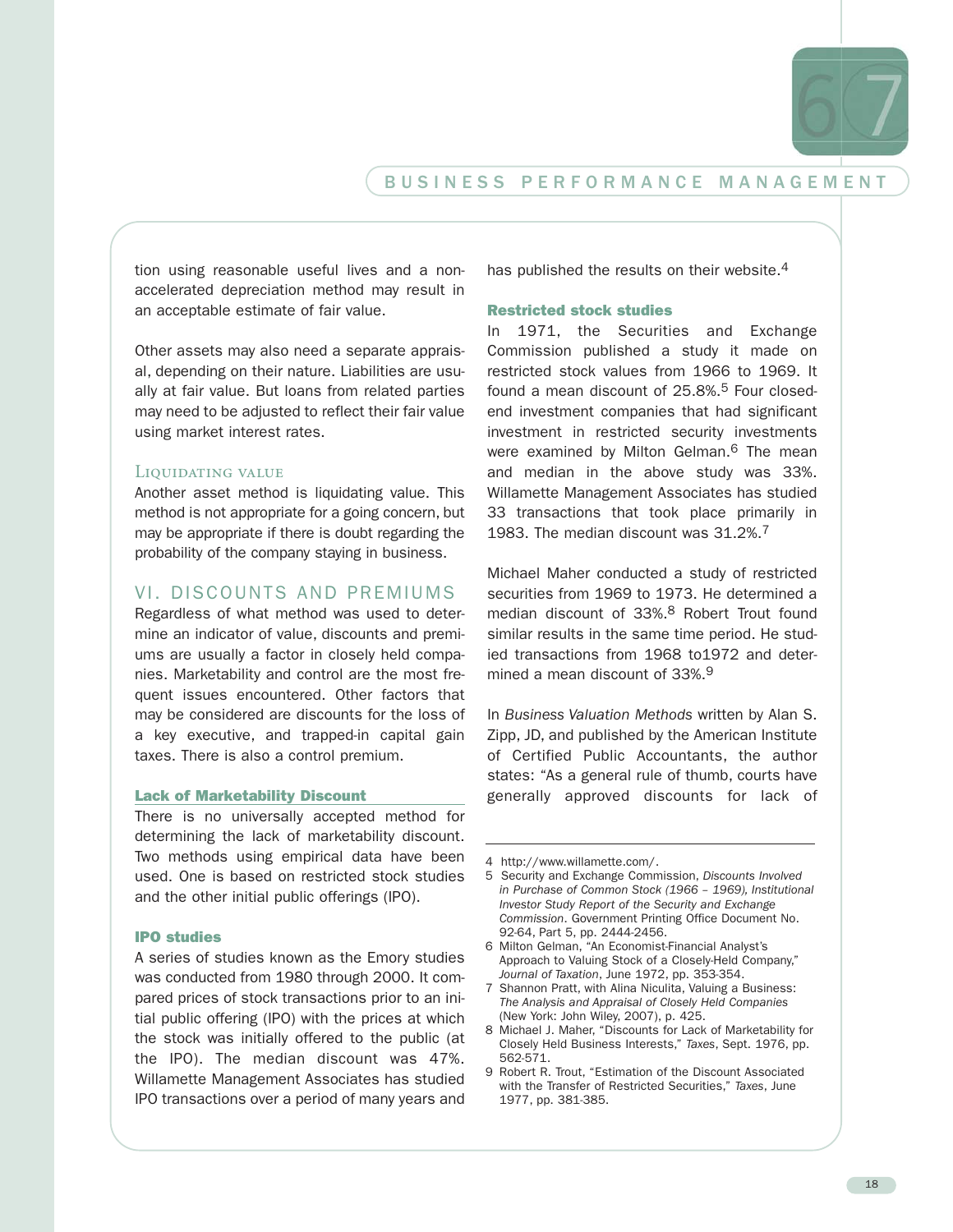

tion using reasonable useful lives and a nonaccelerated depreciation method may result in an acceptable estimate of fair value.

Other assets may also need a separate appraisal, depending on their nature. Liabilities are usually at fair value. But loans from related parties may need to be adjusted to reflect their fair value using market interest rates.

#### Liquidating value

Another asset method is liquidating value. This method is not appropriate for a going concern, but may be appropriate if there is doubt regarding the probability of the company staying in business.

# VI. DISCOUNTS AND PREMIUMS

Regardless of what method was used to determine an indicator of value, discounts and premiums are usually a factor in closely held companies. Marketability and control are the most frequent issues encountered. Other factors that may be considered are discounts for the loss of a key executive, and trapped-in capital gain taxes. There is also a control premium.

#### Lack of Marketability Discount

There is no universally accepted method for determining the lack of marketability discount. Two methods using empirical data have been used. One is based on restricted stock studies and the other initial public offerings (IPO).

#### IPO studies

A series of studies known as the Emory studies was conducted from 1980 through 2000. It compared prices of stock transactions prior to an initial public offering (IPO) with the prices at which the stock was initially offered to the public (at the IPO). The median discount was 47%. Willamette Management Associates has studied IPO transactions over a period of many years and has published the results on their website.<sup>4</sup>

#### Restricted stock studies

In 1971, the Securities and Exchange Commission published a study it made on restricted stock values from 1966 to 1969. It found a mean discount of 25.8%.<sup>5</sup> Four closedend investment companies that had significant investment in restricted security investments were examined by Milton Gelman.<sup>6</sup> The mean and median in the above study was 33%. Willamette Management Associates has studied 33 transactions that took place primarily in 1983. The median discount was 31.2%.7

Michael Maher conducted a study of restricted securities from 1969 to 1973. He determined a median discount of 33%.<sup>8</sup> Robert Trout found similar results in the same time period. He studied transactions from 1968 to1972 and determined a mean discount of 33%.9

In *Business Valuation Methods* written by Alan S. Zipp, JD, and published by the American Institute of Certified Public Accountants, the author states: "As a general rule of thumb, courts have generally approved discounts for lack of

- 6 Milton Gelman, "An Economist-Financial Analyst's Approach to Valuing Stock of a Closely-Held Company," *Journal of Taxation*, June 1972, pp. 353-354.
- 7 Shannon Pratt, with Alina Niculita, Valuing a Business: *The Analysis and Appraisal of Closely Held Companies* (New York: John Wiley, 2007), p. 425.
- 8 Michael J. Maher, "Discounts for Lack of Marketability for Closely Held Business Interests," *Taxes*, Sept. 1976, pp. 562-571.
- 9 Robert R. Trout, "Estimation of the Discount Associated with the Transfer of Restricted Securities," *Taxes*, June 1977, pp. 381-385.

<sup>4</sup> http://www.willamette.com/.

<sup>5</sup> Security and Exchange Commission, *Discounts Involved in Purchase of Common Stock (1966 – 1969), Institutional Investor Study Report of the Security and Exchange Commission*. Government Printing Office Document No. 92-64, Part 5, pp. 2444-2456.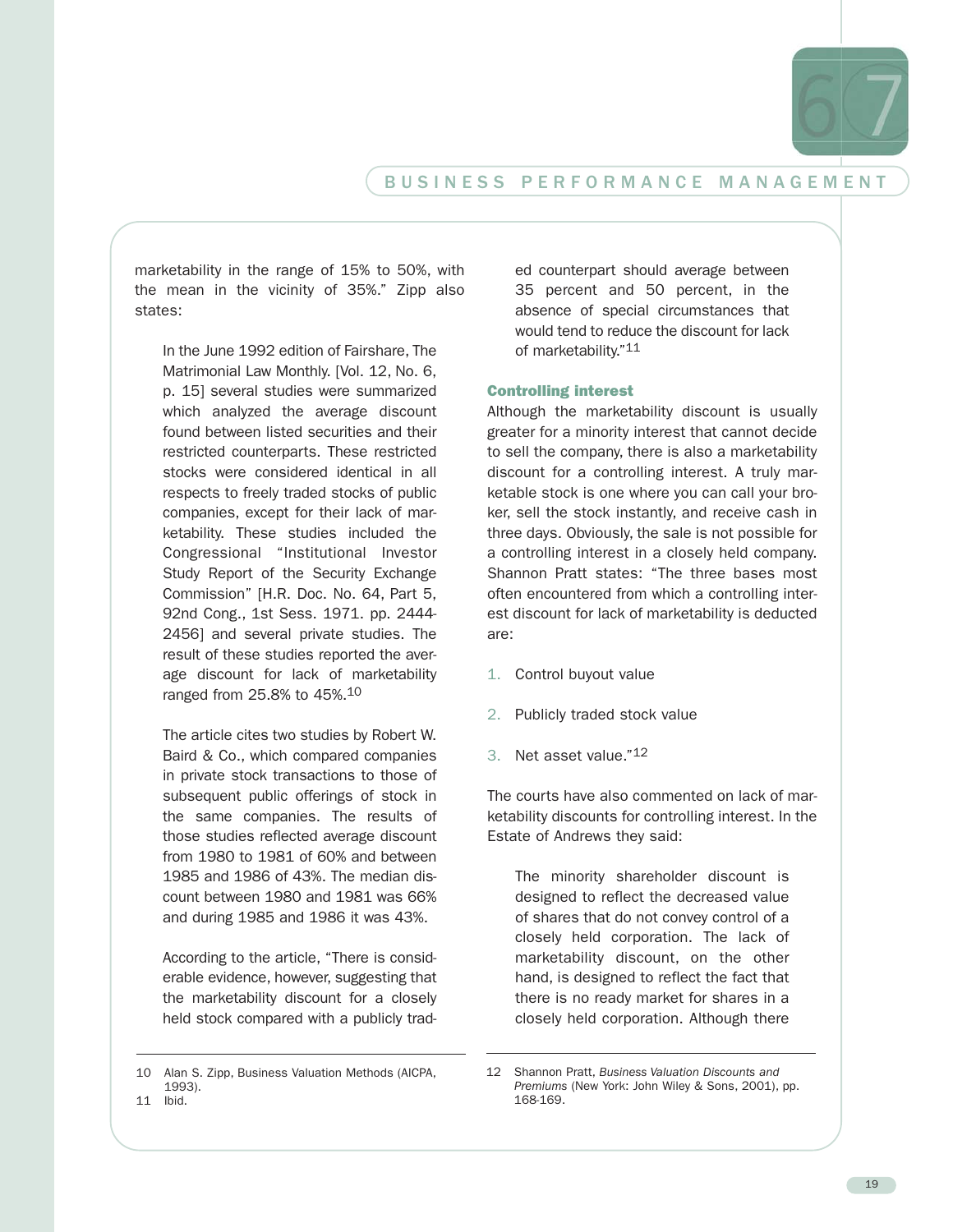

marketability in the range of 15% to 50%, with the mean in the vicinity of 35%." Zipp also states:

In the June 1992 edition of Fairshare, The Matrimonial Law Monthly. [Vol. 12, No. 6, p. 15] several studies were summarized which analyzed the average discount found between listed securities and their restricted counterparts. These restricted stocks were considered identical in all respects to freely traded stocks of public companies, except for their lack of marketability. These studies included the Congressional "Institutional Investor Study Report of the Security Exchange Commission" [H.R. Doc. No. 64, Part 5, 92nd Cong., 1st Sess. 1971. pp. 2444- 2456] and several private studies. The result of these studies reported the average discount for lack of marketability ranged from 25.8% to 45%.10

The article cites two studies by Robert W. Baird & Co., which compared companies in private stock transactions to those of subsequent public offerings of stock in the same companies. The results of those studies reflected average discount from 1980 to 1981 of 60% and between 1985 and 1986 of 43%. The median discount between 1980 and 1981 was 66% and during 1985 and 1986 it was 43%.

According to the article, "There is considerable evidence, however, suggesting that the marketability discount for a closely held stock compared with a publicly traded counterpart should average between 35 percent and 50 percent, in the absence of special circumstances that would tend to reduce the discount for lack of marketability."11

#### Controlling interest

Although the marketability discount is usually greater for a minority interest that cannot decide to sell the company, there is also a marketability discount for a controlling interest. A truly marketable stock is one where you can call your broker, sell the stock instantly, and receive cash in three days. Obviously, the sale is not possible for a controlling interest in a closely held company. Shannon Pratt states: "The three bases most often encountered from which a controlling interest discount for lack of marketability is deducted are:

- 1. Control buyout value
- 2. Publicly traded stock value
- 3. Net asset value."12

The courts have also commented on lack of marketability discounts for controlling interest. In the Estate of Andrews they said:

The minority shareholder discount is designed to reflect the decreased value of shares that do not convey control of a closely held corporation. The lack of marketability discount, on the other hand, is designed to reflect the fact that there is no ready market for shares in a closely held corporation. Although there

<sup>10</sup> Alan S. Zipp, Business Valuation Methods (AICPA, 1993).

<sup>11</sup> Ibid.

<sup>12</sup> Shannon Pratt, *Business Valuation Discounts and Premiums* (New York: John Wiley & Sons, 2001), pp. 168-169.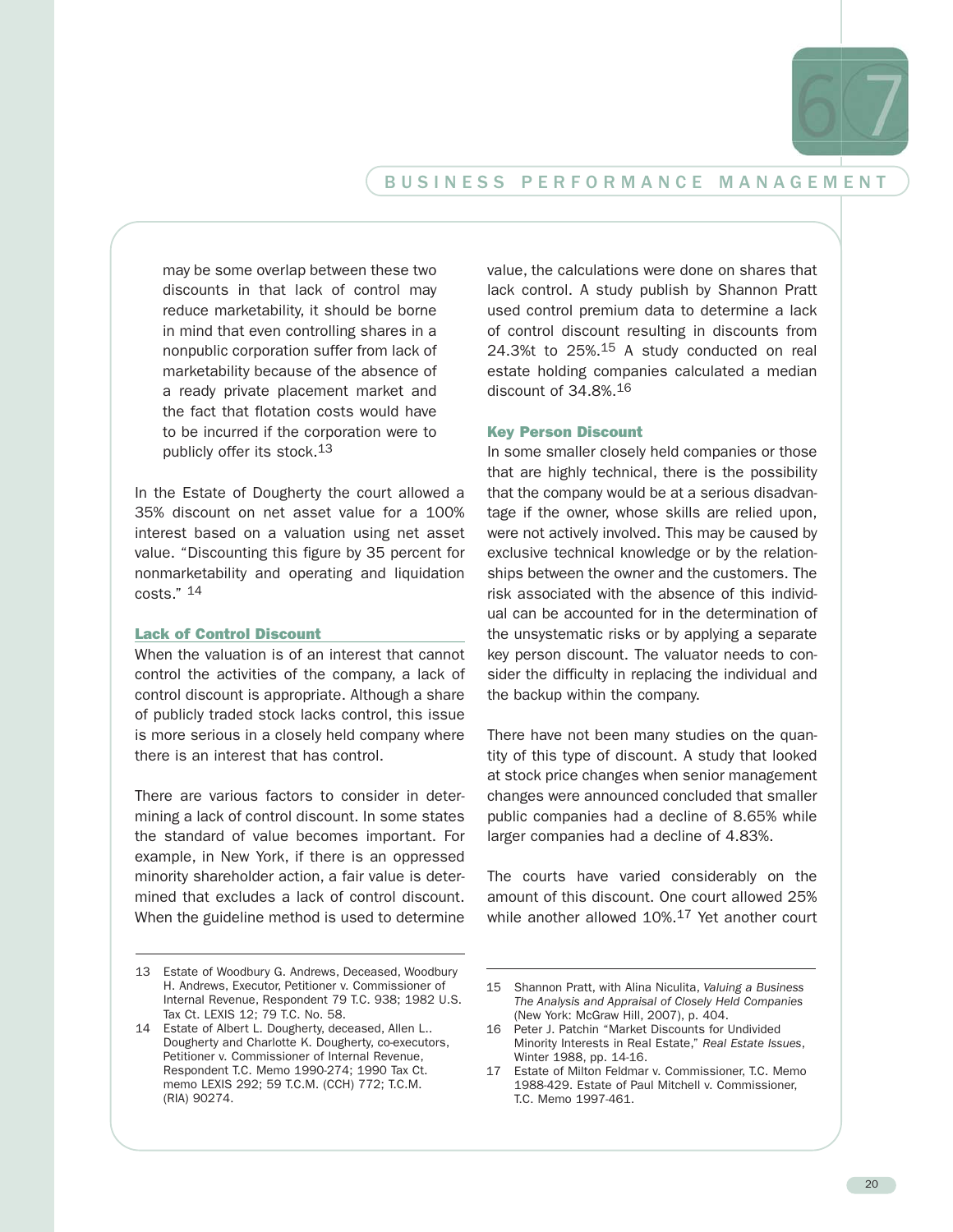

may be some overlap between these two discounts in that lack of control may reduce marketability, it should be borne in mind that even controlling shares in a nonpublic corporation suffer from lack of marketability because of the absence of a ready private placement market and the fact that flotation costs would have to be incurred if the corporation were to publicly offer its stock.13

In the Estate of Dougherty the court allowed a 35% discount on net asset value for a 100% interest based on a valuation using net asset value. "Discounting this figure by 35 percent for nonmarketability and operating and liquidation costs." 14

#### Lack of Control Discount

When the valuation is of an interest that cannot control the activities of the company, a lack of control discount is appropriate. Although a share of publicly traded stock lacks control, this issue is more serious in a closely held company where there is an interest that has control.

There are various factors to consider in determining a lack of control discount. In some states the standard of value becomes important. For example, in New York, if there is an oppressed minority shareholder action, a fair value is determined that excludes a lack of control discount. When the guideline method is used to determine value, the calculations were done on shares that lack control. A study publish by Shannon Pratt used control premium data to determine a lack of control discount resulting in discounts from 24.3%t to 25%.15 A study conducted on real estate holding companies calculated a median discount of 34.8%.16

#### Key Person Discount

In some smaller closely held companies or those that are highly technical, there is the possibility that the company would be at a serious disadvantage if the owner, whose skills are relied upon, were not actively involved. This may be caused by exclusive technical knowledge or by the relationships between the owner and the customers. The risk associated with the absence of this individual can be accounted for in the determination of the unsystematic risks or by applying a separate key person discount. The valuator needs to consider the difficulty in replacing the individual and the backup within the company.

There have not been many studies on the quantity of this type of discount. A study that looked at stock price changes when senior management changes were announced concluded that smaller public companies had a decline of 8.65% while larger companies had a decline of 4.83%.

The courts have varied considerably on the amount of this discount. One court allowed 25% while another allowed 10%.<sup>17</sup> Yet another court

<sup>13</sup> Estate of Woodbury G. Andrews, Deceased, Woodbury H. Andrews, Executor, Petitioner v. Commissioner of Internal Revenue, Respondent 79 T.C. 938; 1982 U.S. Tax Ct. LEXIS 12; 79 T.C. No. 58.

<sup>14</sup> Estate of Albert L. Dougherty, deceased, Allen L.. Dougherty and Charlotte K. Dougherty, co-executors, Petitioner v. Commissioner of Internal Revenue, Respondent T.C. Memo 1990-274; 1990 Tax Ct. memo LEXIS 292; 59 T.C.M. (CCH) 772; T.C.M. (RIA) 90274.

<sup>15</sup> Shannon Pratt, with Alina Niculita, *Valuing a Business The Analysis and Appraisal of Closely Held Companies* (New York: McGraw Hill, 2007), p. 404.

<sup>16</sup> Peter J. Patchin "Market Discounts for Undivided Minority Interests in Real Estate," *Real Estate Issues*, Winter 1988, pp. 14-16.

<sup>17</sup> Estate of Milton Feldmar v. Commissioner, T.C. Memo 1988-429. Estate of Paul Mitchell v. Commissioner, T.C. Memo 1997-461.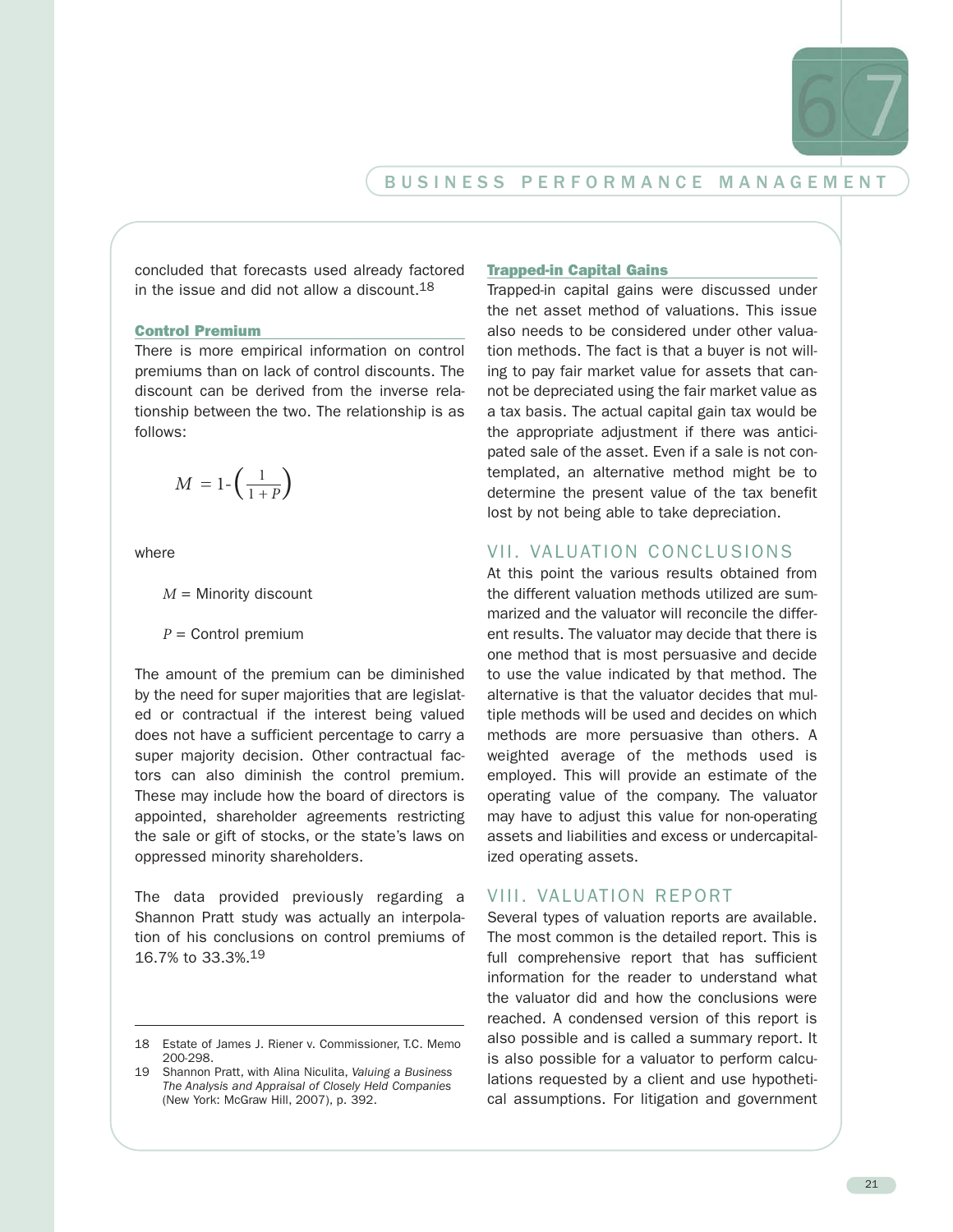

concluded that forecasts used already factored in the issue and did not allow a discount.<sup>18</sup>

#### Control Premium

There is more empirical information on control premiums than on lack of control discounts. The discount can be derived from the inverse relationship between the two. The relationship is as follows:

$$
M = 1 - \left(\frac{1}{1+P}\right)
$$

where

*M* = Minority discount

#### *P* = Control premium

The amount of the premium can be diminished by the need for super majorities that are legislated or contractual if the interest being valued does not have a sufficient percentage to carry a super majority decision. Other contractual factors can also diminish the control premium. These may include how the board of directors is appointed, shareholder agreements restricting the sale or gift of stocks, or the state's laws on oppressed minority shareholders.

The data provided previously regarding a Shannon Pratt study was actually an interpolation of his conclusions on control premiums of 16.7% to 33.3%.19

#### Trapped-in Capital Gains

Trapped-in capital gains were discussed under the net asset method of valuations. This issue also needs to be considered under other valuation methods. The fact is that a buyer is not willing to pay fair market value for assets that cannot be depreciated using the fair market value as a tax basis. The actual capital gain tax would be the appropriate adjustment if there was anticipated sale of the asset. Even if a sale is not contemplated, an alternative method might be to determine the present value of the tax benefit lost by not being able to take depreciation.

# VII. VALUATION CONCLUSIONS

At this point the various results obtained from the different valuation methods utilized are summarized and the valuator will reconcile the different results. The valuator may decide that there is one method that is most persuasive and decide to use the value indicated by that method. The alternative is that the valuator decides that multiple methods will be used and decides on which methods are more persuasive than others. A weighted average of the methods used is employed. This will provide an estimate of the operating value of the company. The valuator may have to adjust this value for non-operating assets and liabilities and excess or undercapitalized operating assets.

## VIII. VALUATION REPORT

Several types of valuation reports are available. The most common is the detailed report. This is full comprehensive report that has sufficient information for the reader to understand what the valuator did and how the conclusions were reached. A condensed version of this report is also possible and is called a summary report. It is also possible for a valuator to perform calculations requested by a client and use hypothetical assumptions. For litigation and government

<sup>18</sup> Estate of James J. Riener v. Commissioner, T.C. Memo 200-298.

<sup>19</sup> Shannon Pratt, with Alina Niculita, *Valuing a Business The Analysis and Appraisal of Closely Held Companies* (New York: McGraw Hill, 2007), p. 392.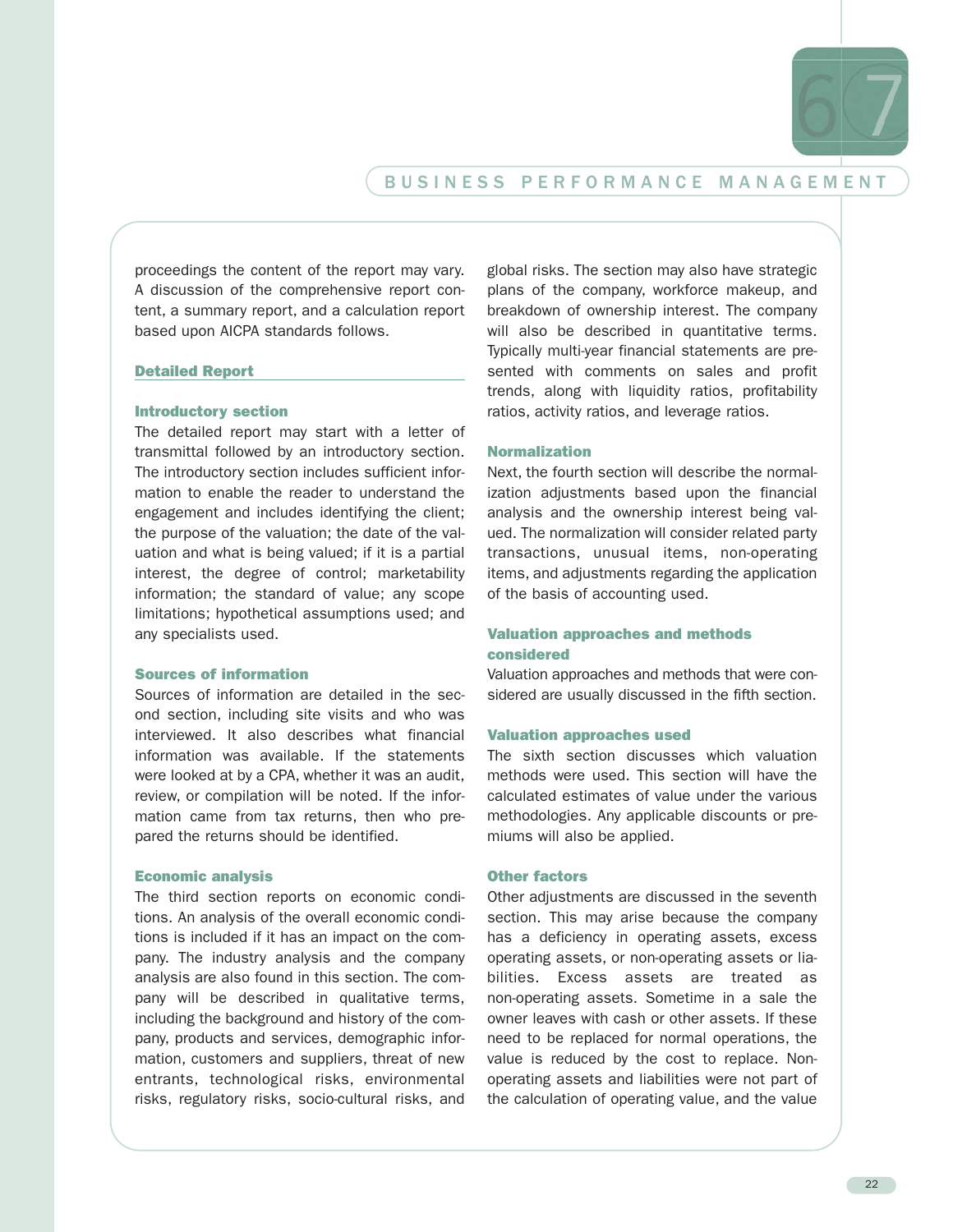

proceedings the content of the report may vary. A discussion of the comprehensive report content, a summary report, and a calculation report based upon AICPA standards follows.

#### Detailed Report

#### Introductory section

The detailed report may start with a letter of transmittal followed by an introductory section. The introductory section includes sufficient information to enable the reader to understand the engagement and includes identifying the client; the purpose of the valuation; the date of the valuation and what is being valued; if it is a partial interest, the degree of control; marketability information; the standard of value; any scope limitations; hypothetical assumptions used; and any specialists used.

#### Sources of information

Sources of information are detailed in the second section, including site visits and who was interviewed. It also describes what financial information was available. If the statements were looked at by a CPA, whether it was an audit, review, or compilation will be noted. If the information came from tax returns, then who prepared the returns should be identified.

#### Economic analysis

The third section reports on economic conditions. An analysis of the overall economic conditions is included if it has an impact on the company. The industry analysis and the company analysis are also found in this section. The company will be described in qualitative terms, including the background and history of the company, products and services, demographic information, customers and suppliers, threat of new entrants, technological risks, environmental risks, regulatory risks, socio-cultural risks, and global risks. The section may also have strategic plans of the company, workforce makeup, and breakdown of ownership interest. The company will also be described in quantitative terms. Typically multi-year financial statements are presented with comments on sales and profit trends, along with liquidity ratios, profitability ratios, activity ratios, and leverage ratios.

#### Normalization

Next, the fourth section will describe the normalization adjustments based upon the financial analysis and the ownership interest being valued. The normalization will consider related party transactions, unusual items, non-operating items, and adjustments regarding the application of the basis of accounting used.

# Valuation approaches and methods considered

Valuation approaches and methods that were considered are usually discussed in the fifth section.

#### Valuation approaches used

The sixth section discusses which valuation methods were used. This section will have the calculated estimates of value under the various methodologies. Any applicable discounts or premiums will also be applied.

#### Other factors

Other adjustments are discussed in the seventh section. This may arise because the company has a deficiency in operating assets, excess operating assets, or non-operating assets or liabilities. Excess assets are treated as non-operating assets. Sometime in a sale the owner leaves with cash or other assets. If these need to be replaced for normal operations, the value is reduced by the cost to replace. Nonoperating assets and liabilities were not part of the calculation of operating value, and the value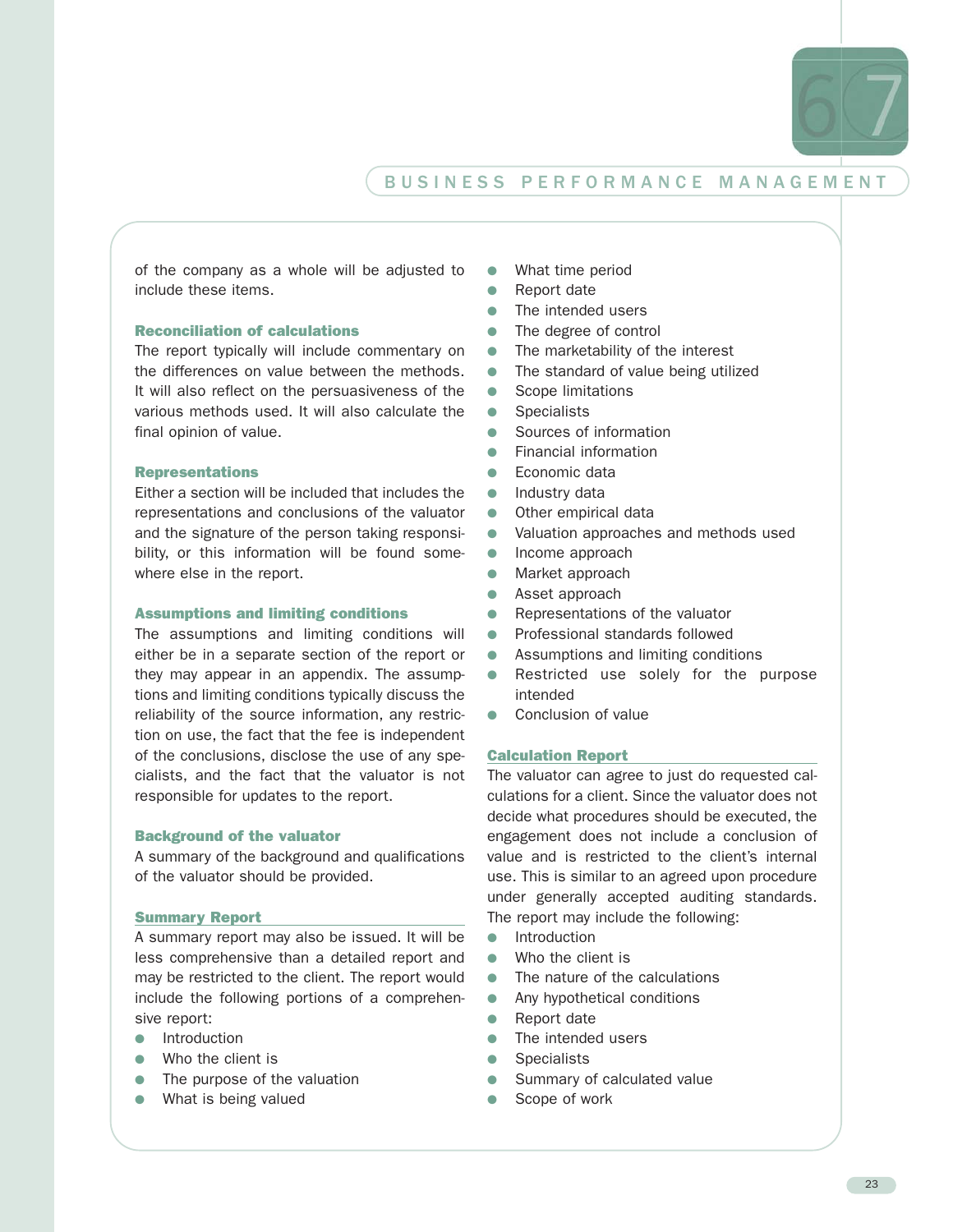

of the company as a whole will be adjusted to include these items.

#### Reconciliation of calculations

The report typically will include commentary on the differences on value between the methods. It will also reflect on the persuasiveness of the various methods used. It will also calculate the final opinion of value.

#### Representations

Either a section will be included that includes the representations and conclusions of the valuator and the signature of the person taking responsibility, or this information will be found somewhere else in the report.

#### Assumptions and limiting conditions

The assumptions and limiting conditions will either be in a separate section of the report or they may appear in an appendix. The assumptions and limiting conditions typically discuss the reliability of the source information, any restriction on use, the fact that the fee is independent of the conclusions, disclose the use of any specialists, and the fact that the valuator is not responsible for updates to the report.

#### Background of the valuator

A summary of the background and qualifications of the valuator should be provided.

#### Summary Report

A summary report may also be issued. It will be less comprehensive than a detailed report and may be restricted to the client. The report would include the following portions of a comprehensive report:

- **•** Introduction
- Who the client is
- The purpose of the valuation
- What is being valued
- What time period
- Report date
- The intended users
- The degree of control
- The marketability of the interest
- The standard of value being utilized
- Scope limitations
- Specialists
- Sources of information
- Financial information
- Economic data
- Industry data
- Other empirical data
- Valuation approaches and methods used
- Income approach
- Market approach
- Asset approach
- Representations of the valuator
- Professional standards followed
- Assumptions and limiting conditions
- Restricted use solely for the purpose intended
- Conclusion of value

#### Calculation Report

The valuator can agree to just do requested calculations for a client. Since the valuator does not decide what procedures should be executed, the engagement does not include a conclusion of value and is restricted to the client's internal use. This is similar to an agreed upon procedure under generally accepted auditing standards. The report may include the following:

- **•** Introduction
- Who the client is
- The nature of the calculations
- Any hypothetical conditions
- Report date
- The intended users
- Specialists
- Summary of calculated value
- Scope of work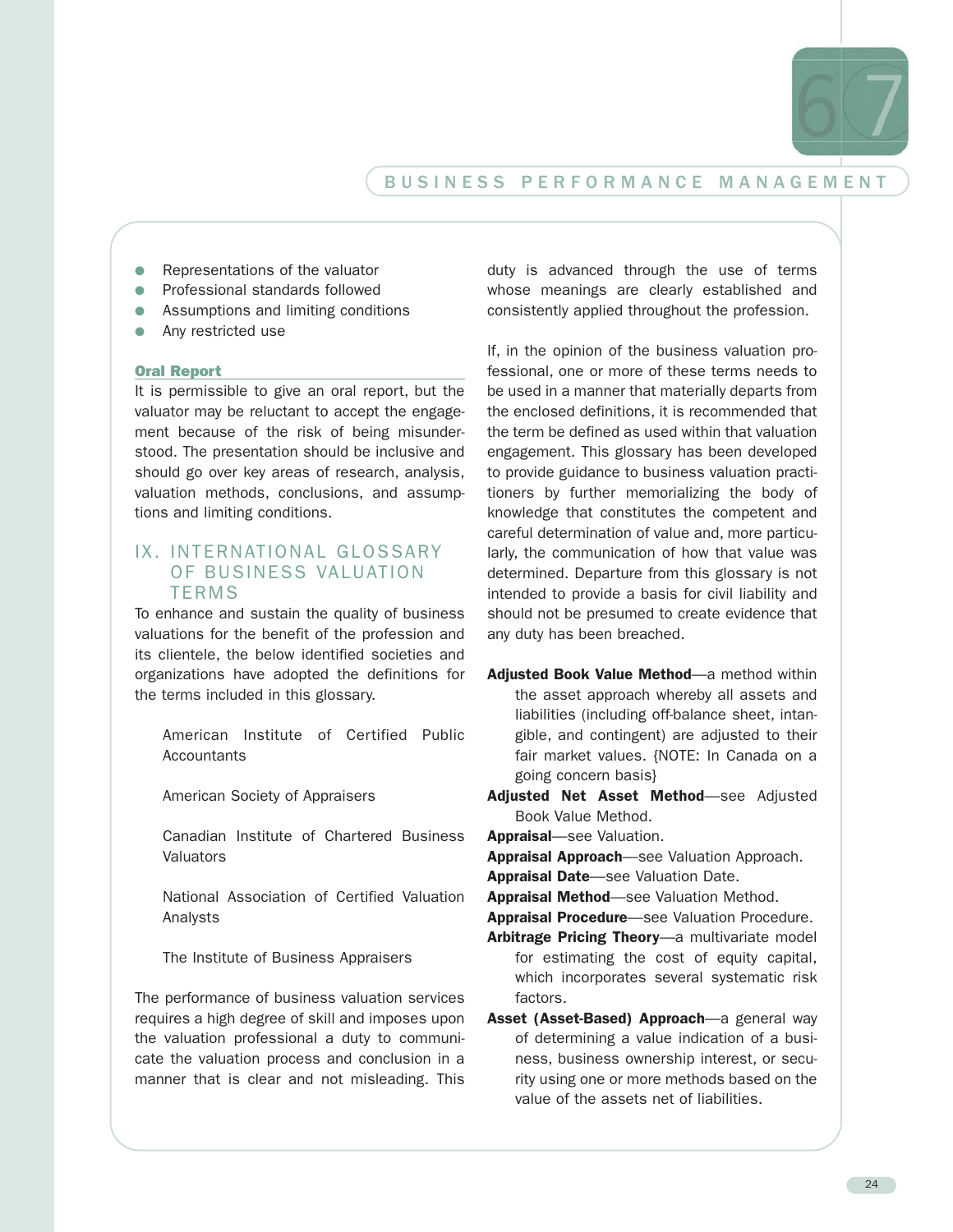

- Representations of the valuator
- Professional standards followed
- Assumptions and limiting conditions
- Any restricted use

#### Oral Report

It is permissible to give an oral report, but the valuator may be reluctant to accept the engagement because of the risk of being misunderstood. The presentation should be inclusive and should go over key areas of research, analysis, valuation methods, conclusions, and assumptions and limiting conditions.

# IX. INTERNATIONAL GLOSSARY OF BUSINESS VALUATION **TERMS**

To enhance and sustain the quality of business valuations for the benefit of the profession and its clientele, the below identified societies and organizations have adopted the definitions for the terms included in this glossary.

American Institute of Certified Public **Accountants** 

American Society of Appraisers

Canadian Institute of Chartered Business **Valuators** 

National Association of Certified Valuation Analysts

The Institute of Business Appraisers

The performance of business valuation services requires a high degree of skill and imposes upon the valuation professional a duty to communicate the valuation process and conclusion in a manner that is clear and not misleading. This

duty is advanced through the use of terms whose meanings are clearly established and consistently applied throughout the profession.

If, in the opinion of the business valuation professional, one or more of these terms needs to be used in a manner that materially departs from the enclosed definitions, it is recommended that the term be defined as used within that valuation engagement. This glossary has been developed to provide guidance to business valuation practitioners by further memorializing the body of knowledge that constitutes the competent and careful determination of value and, more particularly, the communication of how that value was determined. Departure from this glossary is not intended to provide a basis for civil liability and should not be presumed to create evidence that any duty has been breached.

- Adjusted Book Value Method—a method within the asset approach whereby all assets and liabilities (including off-balance sheet, intangible, and contingent) are adjusted to their fair market values. {NOTE: In Canada on a going concern basis}
- Adjusted Net Asset Method—see Adjusted Book Value Method.

Appraisal—see Valuation.

Appraisal Approach—see Valuation Approach.

Appraisal Date—see Valuation Date.

- Appraisal Method—see Valuation Method.
- Appraisal Procedure—see Valuation Procedure.
- Arbitrage Pricing Theory-a multivariate model for estimating the cost of equity capital, which incorporates several systematic risk factors.
- Asset (Asset-Based) Approach—a general way of determining a value indication of a business, business ownership interest, or security using one or more methods based on the value of the assets net of liabilities.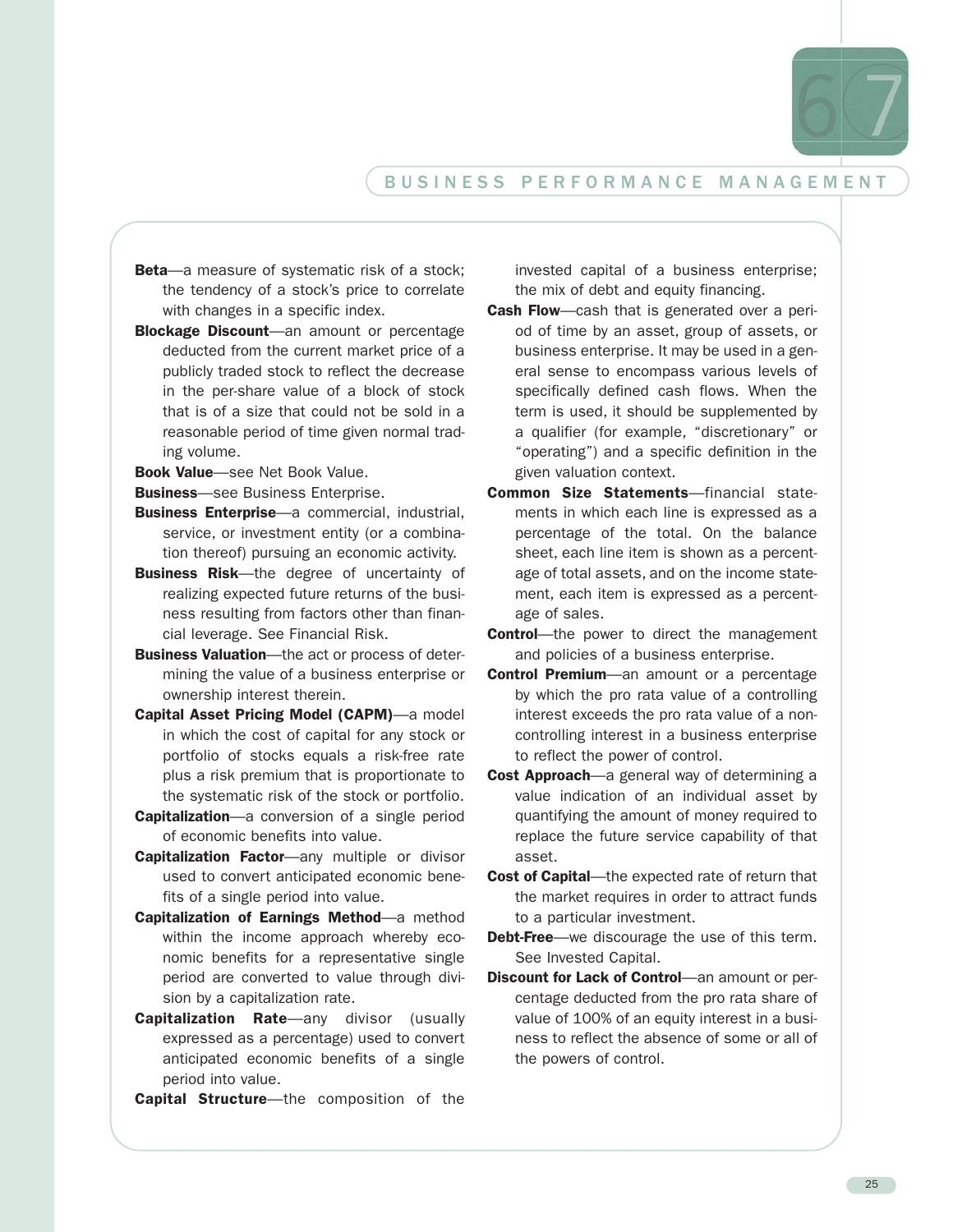

- **Beta**—a measure of systematic risk of a stock; the tendency of a stock's price to correlate with changes in a specific index.
- **Blockage Discount**—an amount or percentage deducted from the current market price of a publicly traded stock to reflect the decrease in the per-share value of a block of stock that is of a size that could not be sold in a reasonable period of time given normal trading volume.

Book Value—see Net Book Value.

Business—see Business Enterprise.

- Business Enterprise—a commercial, industrial, service, or investment entity (or a combination thereof) pursuing an economic activity.
- **Business Risk--the degree of uncertainty of** realizing expected future returns of the business resulting from factors other than financial leverage. See Financial Risk.
- Business Valuation—the act or process of determining the value of a business enterprise or ownership interest therein.
- Capital Asset Pricing Model (CAPM)—a model in which the cost of capital for any stock or portfolio of stocks equals a risk-free rate plus a risk premium that is proportionate to the systematic risk of the stock or portfolio.
- **Capitalization—a** conversion of a single period of economic benefits into value.
- Capitalization Factor-any multiple or divisor used to convert anticipated economic benefits of a single period into value.
- Capitalization of Earnings Method—a method within the income approach whereby economic benefits for a representative single period are converted to value through division by a capitalization rate.
- Capitalization Rate—any divisor (usually expressed as a percentage) used to convert anticipated economic benefits of a single period into value.

Capital Structure—the composition of the

invested capital of a business enterprise; the mix of debt and equity financing.

- **Cash Flow**—cash that is generated over a period of time by an asset, group of assets, or business enterprise. It may be used in a general sense to encompass various levels of specifically defined cash flows. When the term is used, it should be supplemented by a qualifier (for example, "discretionary" or "operating") and a specific definition in the given valuation context.
- Common Size Statements—financial statements in which each line is expressed as a percentage of the total. On the balance sheet, each line item is shown as a percentage of total assets, and on the income statement, each item is expressed as a percentage of sales.
- **Control**—the power to direct the management and policies of a business enterprise.
- Control Premium—an amount or a percentage by which the pro rata value of a controlling interest exceeds the pro rata value of a noncontrolling interest in a business enterprise to reflect the power of control.
- **Cost Approach—a** general way of determining a value indication of an individual asset by quantifying the amount of money required to replace the future service capability of that asset.
- Cost of Capital—the expected rate of return that the market requires in order to attract funds to a particular investment.
- **Debt-Free**—we discourage the use of this term. See Invested Capital.
- Discount for Lack of Control—an amount or percentage deducted from the pro rata share of value of 100% of an equity interest in a business to reflect the absence of some or all of the powers of control.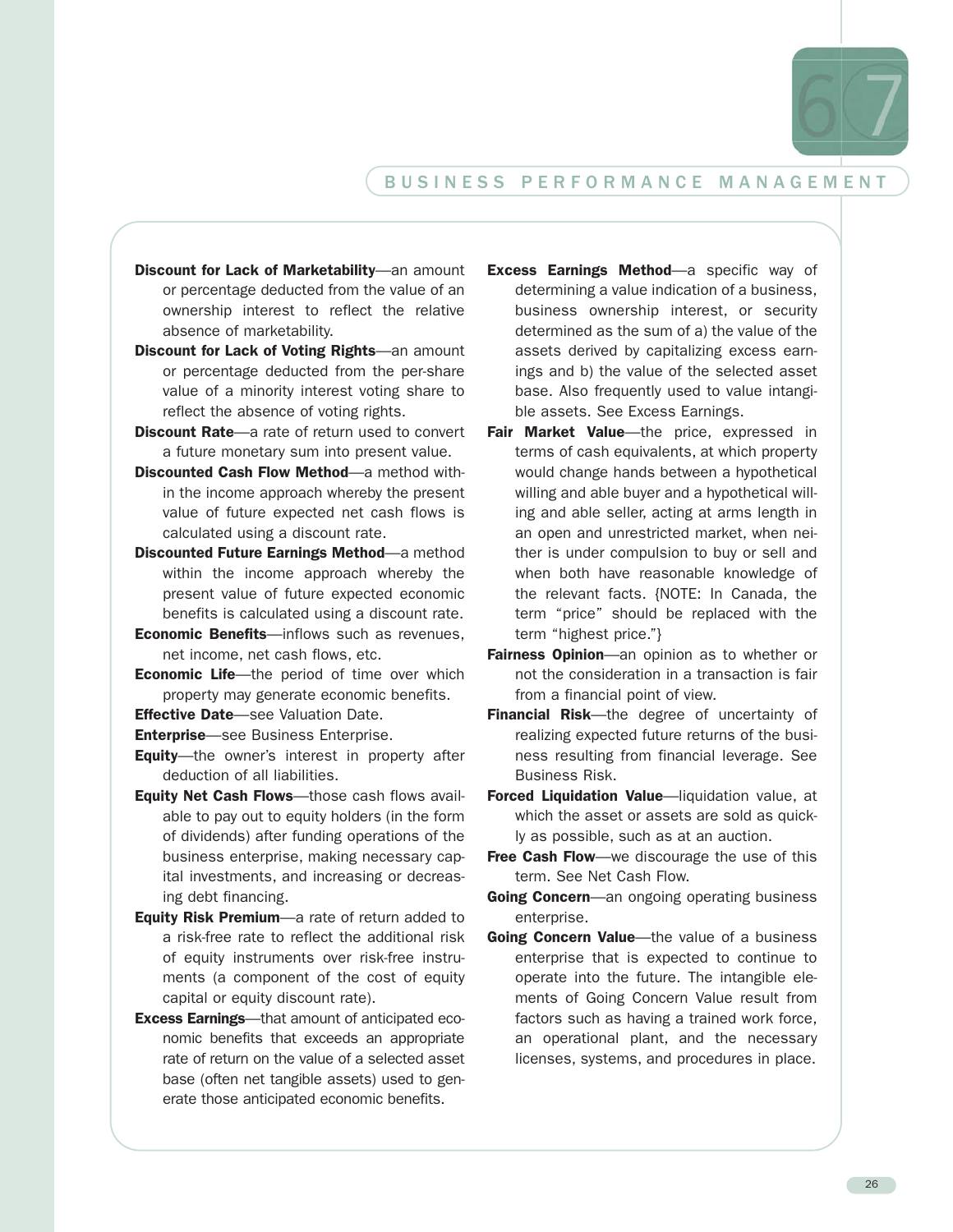

- Discount for Lack of Marketability—an amount or percentage deducted from the value of an ownership interest to reflect the relative absence of marketability.
- Discount for Lack of Voting Rights-an amount or percentage deducted from the per-share value of a minority interest voting share to reflect the absence of voting rights.
- **Discount Rate**—a rate of return used to convert a future monetary sum into present value.
- Discounted Cash Flow Method—a method within the income approach whereby the present value of future expected net cash flows is calculated using a discount rate.
- Discounted Future Earnings Method—a method within the income approach whereby the present value of future expected economic benefits is calculated using a discount rate.
- Economic Benefits-inflows such as revenues, net income, net cash flows, etc.
- **Economic Life**—the period of time over which property may generate economic benefits.

Effective Date—see Valuation Date.

- Enterprise—see Business Enterprise.
- **Equity**—the owner's interest in property after deduction of all liabilities.
- Equity Net Cash Flows—those cash flows available to pay out to equity holders (in the form of dividends) after funding operations of the business enterprise, making necessary capital investments, and increasing or decreasing debt financing.
- Equity Risk Premium—a rate of return added to a risk-free rate to reflect the additional risk of equity instruments over risk-free instruments (a component of the cost of equity capital or equity discount rate).
- Excess Earnings—that amount of anticipated economic benefits that exceeds an appropriate rate of return on the value of a selected asset base (often net tangible assets) used to generate those anticipated economic benefits.
- Excess Earnings Method—a specific way of determining a value indication of a business, business ownership interest, or security determined as the sum of a) the value of the assets derived by capitalizing excess earnings and b) the value of the selected asset base. Also frequently used to value intangible assets. See Excess Earnings.
- Fair Market Value—the price, expressed in terms of cash equivalents, at which property would change hands between a hypothetical willing and able buyer and a hypothetical willing and able seller, acting at arms length in an open and unrestricted market, when neither is under compulsion to buy or sell and when both have reasonable knowledge of the relevant facts. {NOTE: In Canada, the term "price" should be replaced with the term "highest price."}
- Fairness Opinion—an opinion as to whether or not the consideration in a transaction is fair from a financial point of view.
- Financial Risk—the degree of uncertainty of realizing expected future returns of the business resulting from financial leverage. See Business Risk.
- Forced Liquidation Value-liquidation value, at which the asset or assets are sold as quickly as possible, such as at an auction.
- Free Cash Flow—we discourage the use of this term. See Net Cash Flow.
- Going Concern-an ongoing operating business enterprise.
- Going Concern Value—the value of a business enterprise that is expected to continue to operate into the future. The intangible elements of Going Concern Value result from factors such as having a trained work force, an operational plant, and the necessary licenses, systems, and procedures in place.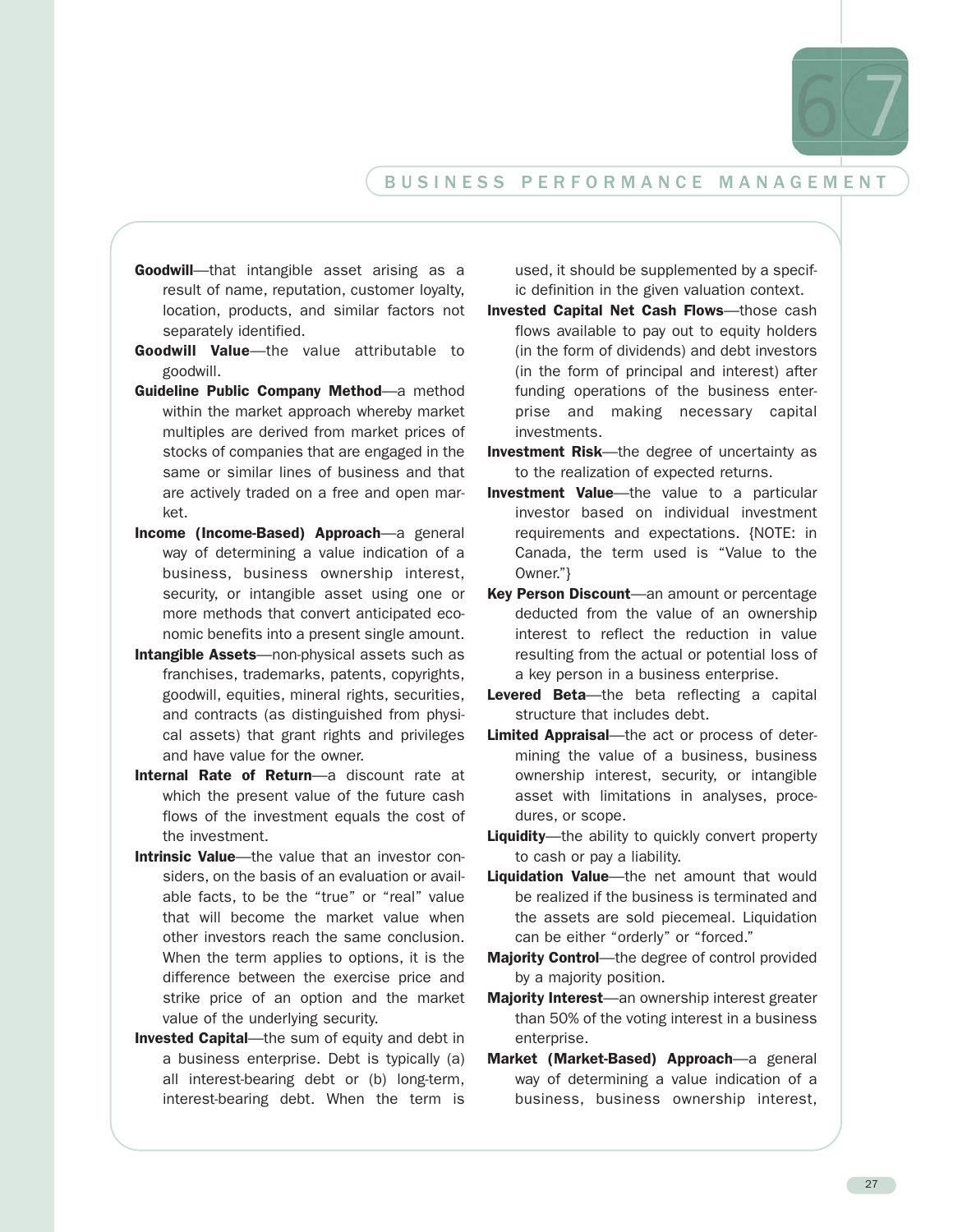

- Goodwill—that intangible asset arising as a result of name, reputation, customer loyalty, location, products, and similar factors not separately identified.
- Goodwill Value-the value attributable to goodwill.
- Guideline Public Company Method—a method within the market approach whereby market multiples are derived from market prices of stocks of companies that are engaged in the same or similar lines of business and that are actively traded on a free and open market.
- Income (Income-Based) Approach—a general way of determining a value indication of a business, business ownership interest, security, or intangible asset using one or more methods that convert anticipated economic benefits into a present single amount.
- Intangible Assets—non-physical assets such as franchises, trademarks, patents, copyrights, goodwill, equities, mineral rights, securities, and contracts (as distinguished from physical assets) that grant rights and privileges and have value for the owner.
- Internal Rate of Return—a discount rate at which the present value of the future cash flows of the investment equals the cost of the investment.
- Intrinsic Value—the value that an investor considers, on the basis of an evaluation or available facts, to be the "true" or "real" value that will become the market value when other investors reach the same conclusion. When the term applies to options, it is the difference between the exercise price and strike price of an option and the market value of the underlying security.
- **Invested Capital—the sum of equity and debt in** a business enterprise. Debt is typically (a) all interest-bearing debt or (b) long-term, interest-bearing debt. When the term is

used, it should be supplemented by a specific definition in the given valuation context.

- Invested Capital Net Cash Flows—those cash flows available to pay out to equity holders (in the form of dividends) and debt investors (in the form of principal and interest) after funding operations of the business enterprise and making necessary capital investments.
- **Investment Risk—the degree of uncertainty as** to the realization of expected returns.
- **Investment Value**—the value to a particular investor based on individual investment requirements and expectations. {NOTE: in Canada, the term used is "Value to the Owner."}
- Key Person Discount—an amount or percentage deducted from the value of an ownership interest to reflect the reduction in value resulting from the actual or potential loss of a key person in a business enterprise.
- Levered Beta—the beta reflecting a capital structure that includes debt.
- Limited Appraisal—the act or process of determining the value of a business, business ownership interest, security, or intangible asset with limitations in analyses, procedures, or scope.
- Liquidity-the ability to quickly convert property to cash or pay a liability.
- **Liquidation Value**—the net amount that would be realized if the business is terminated and the assets are sold piecemeal. Liquidation can be either "orderly" or "forced."
- Majority Control—the degree of control provided by a majority position.
- Majority Interest—an ownership interest greater than 50% of the voting interest in a business enterprise.
- Market (Market-Based) Approach—a general way of determining a value indication of a business, business ownership interest,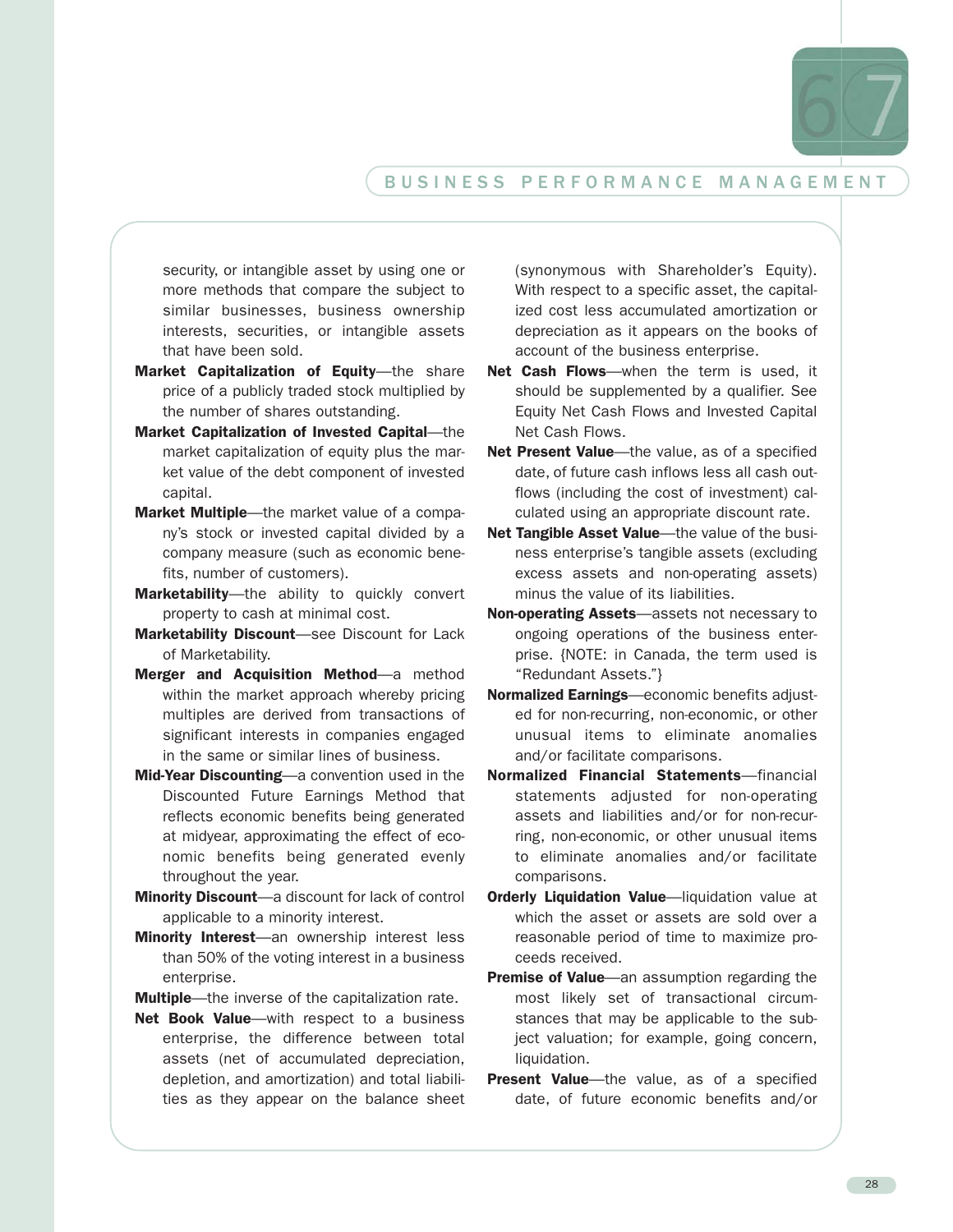

security, or intangible asset by using one or more methods that compare the subject to similar businesses, business ownership interests, securities, or intangible assets that have been sold.

- Market Capitalization of Equity—the share price of a publicly traded stock multiplied by the number of shares outstanding.
- Market Capitalization of Invested Capital—the market capitalization of equity plus the market value of the debt component of invested capital.
- Market Multiple—the market value of a company's stock or invested capital divided by a company measure (such as economic benefits, number of customers).
- Marketability—the ability to quickly convert property to cash at minimal cost.
- Marketability Discount—see Discount for Lack of Marketability.
- Merger and Acquisition Method—a method within the market approach whereby pricing multiples are derived from transactions of significant interests in companies engaged in the same or similar lines of business.
- Mid-Year Discounting—a convention used in the Discounted Future Earnings Method that reflects economic benefits being generated at midyear, approximating the effect of economic benefits being generated evenly throughout the year.
- Minority Discount—a discount for lack of control applicable to a minority interest.
- Minority Interest—an ownership interest less than 50% of the voting interest in a business enterprise.

**Multiple**—the inverse of the capitalization rate.

Net Book Value—with respect to a business enterprise, the difference between total assets (net of accumulated depreciation, depletion, and amortization) and total liabilities as they appear on the balance sheet

(synonymous with Shareholder's Equity). With respect to a specific asset, the capitalized cost less accumulated amortization or depreciation as it appears on the books of account of the business enterprise.

- Net Cash Flows—when the term is used, it should be supplemented by a qualifier. See Equity Net Cash Flows and Invested Capital Net Cash Flows.
- Net Present Value—the value, as of a specified date, of future cash inflows less all cash outflows (including the cost of investment) calculated using an appropriate discount rate.
- Net Tangible Asset Value—the value of the business enterprise's tangible assets (excluding excess assets and non-operating assets) minus the value of its liabilities.
- Non-operating Assets-assets not necessary to ongoing operations of the business enterprise. {NOTE: in Canada, the term used is "Redundant Assets."}
- Normalized Earnings—economic benefits adjusted for non-recurring, non-economic, or other unusual items to eliminate anomalies and/or facilitate comparisons.
- Normalized Financial Statements—financial statements adjusted for non-operating assets and liabilities and/or for non-recurring, non-economic, or other unusual items to eliminate anomalies and/or facilitate comparisons.
- Orderly Liquidation Value-liquidation value at which the asset or assets are sold over a reasonable period of time to maximize proceeds received.
- **Premise of Value**—an assumption regarding the most likely set of transactional circumstances that may be applicable to the subject valuation; for example, going concern, liquidation.
- Present Value—the value, as of a specified date, of future economic benefits and/or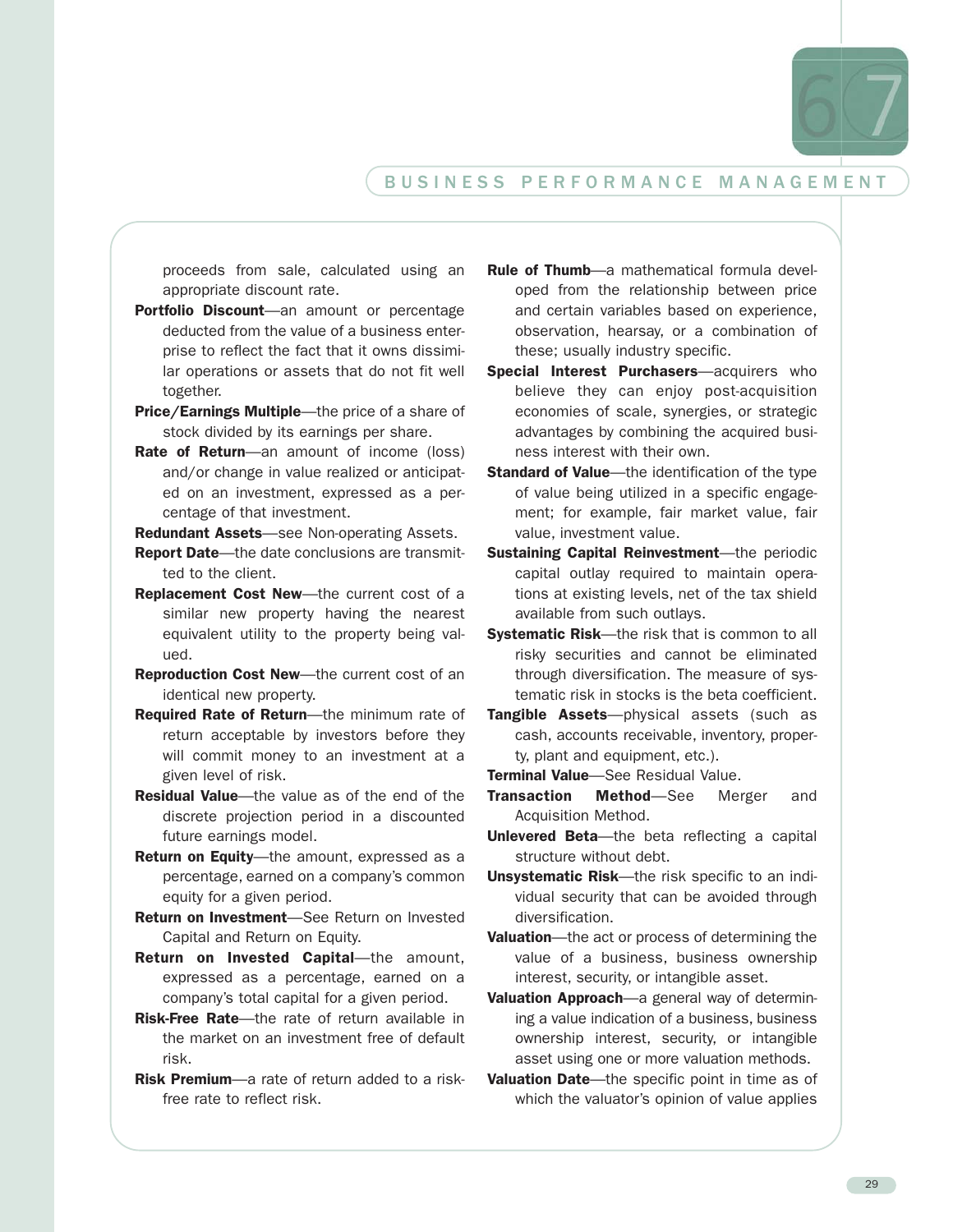

proceeds from sale, calculated using an appropriate discount rate.

- Portfolio Discount—an amount or percentage deducted from the value of a business enterprise to reflect the fact that it owns dissimilar operations or assets that do not fit well together.
- Price/Earnings Multiple—the price of a share of stock divided by its earnings per share.
- Rate of Return—an amount of income (loss) and/or change in value realized or anticipated on an investment, expressed as a percentage of that investment.

Redundant Assets—see Non-operating Assets.

- **Report Date**—the date conclusions are transmitted to the client.
- Replacement Cost New-the current cost of a similar new property having the nearest equivalent utility to the property being valued.
- Reproduction Cost New-the current cost of an identical new property.
- Required Rate of Return—the minimum rate of return acceptable by investors before they will commit money to an investment at a given level of risk.
- Residual Value—the value as of the end of the discrete projection period in a discounted future earnings model.
- **Return on Equity**—the amount, expressed as a percentage, earned on a company's common equity for a given period.
- Return on Investment—See Return on Invested Capital and Return on Equity.
- Return on Invested Capital-the amount, expressed as a percentage, earned on a company's total capital for a given period.
- Risk-Free Rate-the rate of return available in the market on an investment free of default risk.
- Risk Premium—a rate of return added to a riskfree rate to reflect risk.
- **Rule of Thumb**—a mathematical formula developed from the relationship between price and certain variables based on experience, observation, hearsay, or a combination of these; usually industry specific.
- Special Interest Purchasers-acquirers who believe they can enjoy post-acquisition economies of scale, synergies, or strategic advantages by combining the acquired business interest with their own.
- Standard of Value—the identification of the type of value being utilized in a specific engagement; for example, fair market value, fair value, investment value.
- Sustaining Capital Reinvestment-the periodic capital outlay required to maintain operations at existing levels, net of the tax shield available from such outlays.
- Systematic Risk—the risk that is common to all risky securities and cannot be eliminated through diversification. The measure of systematic risk in stocks is the beta coefficient.
- Tangible Assets—physical assets (such as cash, accounts receivable, inventory, property, plant and equipment, etc.).

Terminal Value—See Residual Value.

- Transaction Method-See Merger and Acquisition Method.
- Unlevered Beta-the beta reflecting a capital structure without debt.
- Unsystematic Risk—the risk specific to an individual security that can be avoided through diversification.
- Valuation—the act or process of determining the value of a business, business ownership interest, security, or intangible asset.
- Valuation Approach—a general way of determining a value indication of a business, business ownership interest, security, or intangible asset using one or more valuation methods.
- Valuation Date—the specific point in time as of which the valuator's opinion of value applies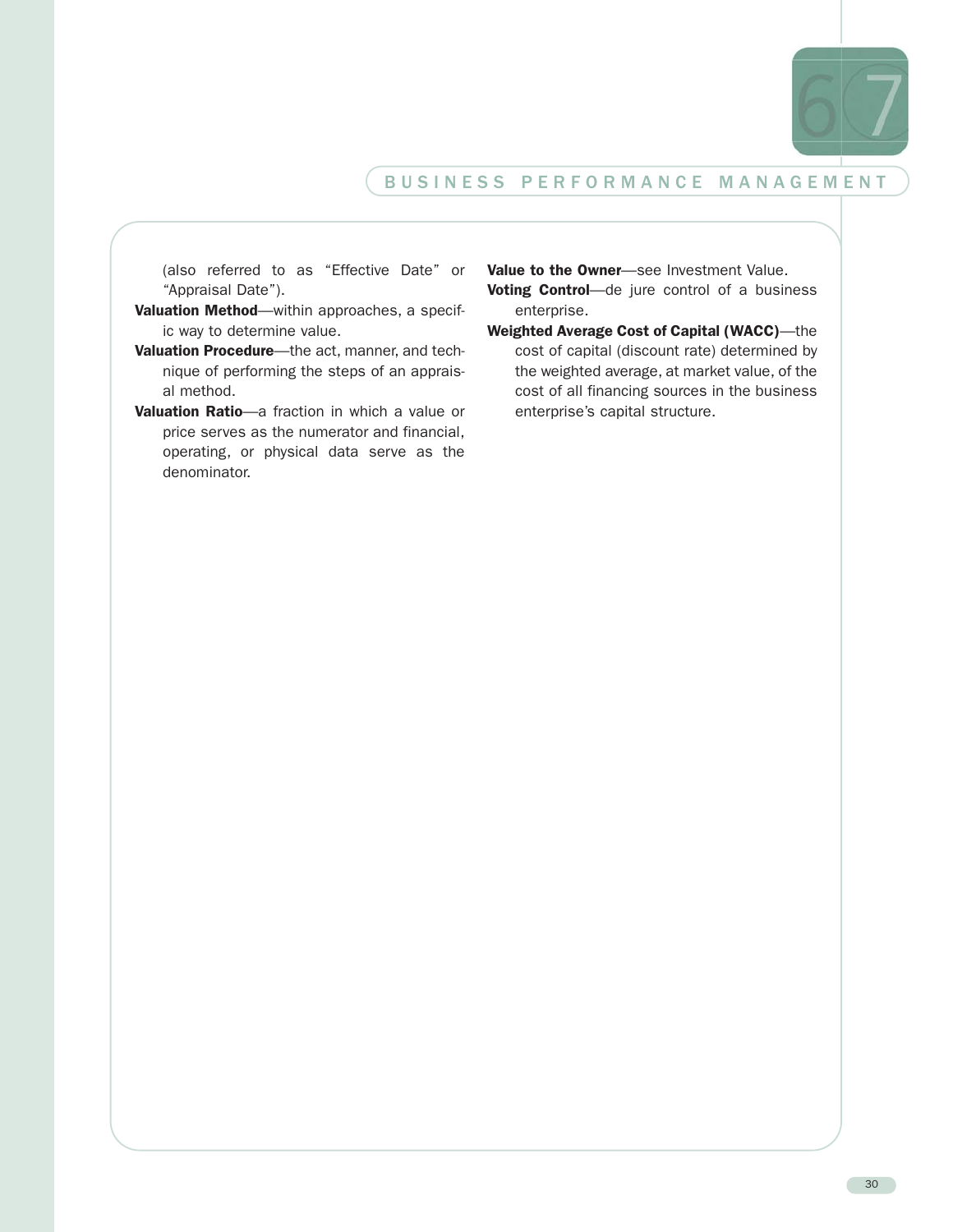

(also referred to as "Effective Date" or "Appraisal Date").

- Valuation Method—within approaches, a specific way to determine value.
- Valuation Procedure—the act, manner, and technique of performing the steps of an appraisal method.
- Valuation Ratio—a fraction in which a value or price serves as the numerator and financial, operating, or physical data serve as the denominator.
- Value to the Owner-see Investment Value. Voting Control-de jure control of a business enterprise.
- Weighted Average Cost of Capital (WACC)—the cost of capital (discount rate) determined by the weighted average, at market value, of the cost of all financing sources in the business enterprise's capital structure.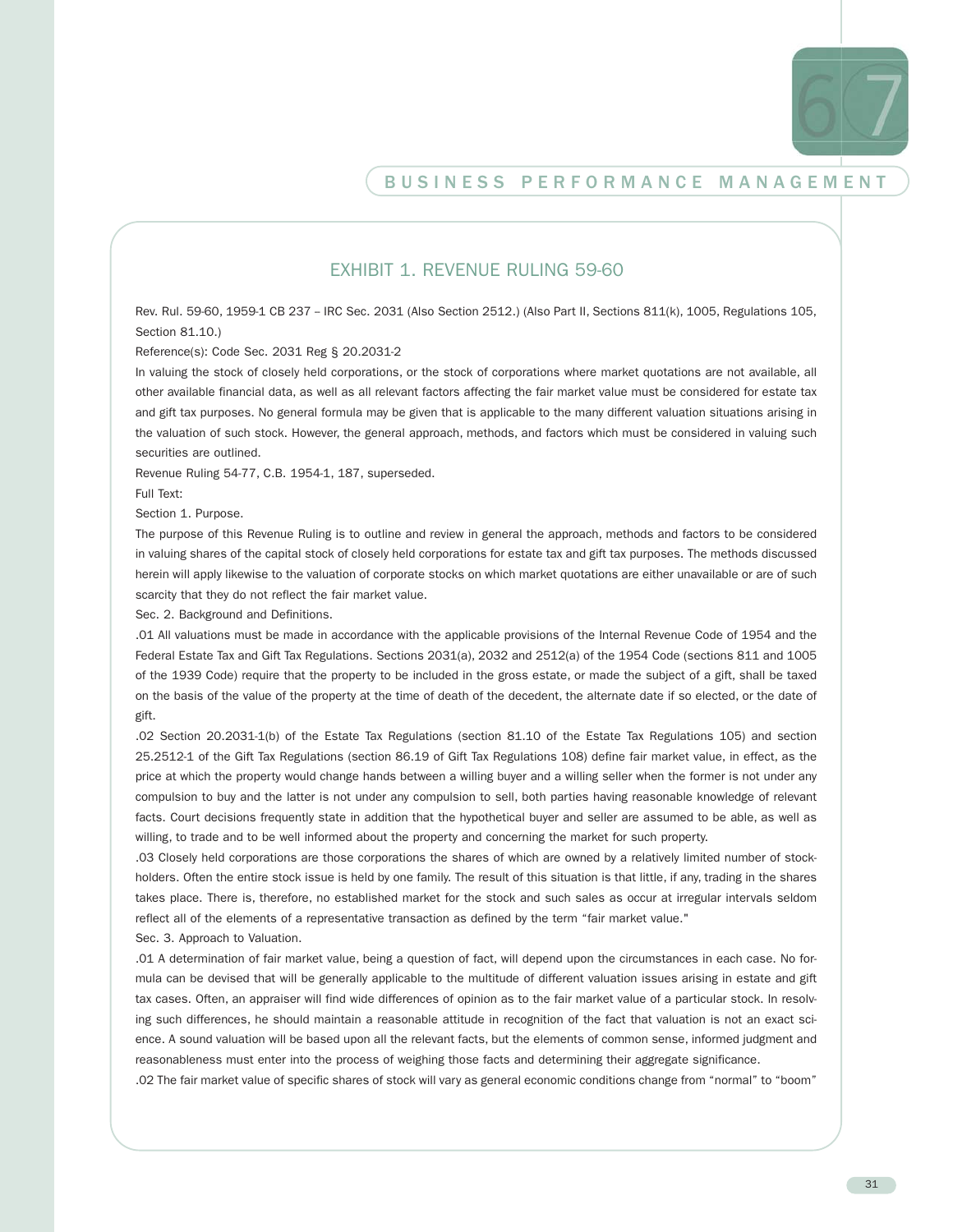

# EXHIBIT 1. REVENUE RULING 59-60

Rev. Rul. 59-60, 1959-1 CB 237 - IRC Sec. 2031 (Also Section 2512.) (Also Part II, Sections 811(k), 1005, Regulations 105, Section 81.10.)

Reference(s): Code Sec. 2031 Reg § 20.2031-2

In valuing the stock of closely held corporations, or the stock of corporations where market quotations are not available, all other available financial data, as well as all relevant factors affecting the fair market value must be considered for estate tax and gift tax purposes. No general formula may be given that is applicable to the many different valuation situations arising in the valuation of such stock. However, the general approach, methods, and factors which must be considered in valuing such securities are outlined.

Revenue Ruling 54-77, C.B. 1954-1, 187, superseded.

Full Text:

Section 1. Purpose.

The purpose of this Revenue Ruling is to outline and review in general the approach, methods and factors to be considered in valuing shares of the capital stock of closely held corporations for estate tax and gift tax purposes. The methods discussed herein will apply likewise to the valuation of corporate stocks on which market quotations are either unavailable or are of such scarcity that they do not reflect the fair market value.

Sec. 2. Background and Definitions.

.01 All valuations must be made in accordance with the applicable provisions of the Internal Revenue Code of 1954 and the Federal Estate Tax and Gift Tax Regulations. Sections 2031(a), 2032 and 2512(a) of the 1954 Code (sections 811 and 1005 of the 1939 Code) require that the property to be included in the gross estate, or made the subject of a gift, shall be taxed on the basis of the value of the property at the time of death of the decedent, the alternate date if so elected, or the date of gift.

.02 Section 20.2031-1(b) of the Estate Tax Regulations (section 81.10 of the Estate Tax Regulations 105) and section 25.2512-1 of the Gift Tax Regulations (section 86.19 of Gift Tax Regulations 108) define fair market value, in effect, as the price at which the property would change hands between a willing buyer and a willing seller when the former is not under any compulsion to buy and the latter is not under any compulsion to sell, both parties having reasonable knowledge of relevant facts. Court decisions frequently state in addition that the hypothetical buyer and seller are assumed to be able, as well as willing, to trade and to be well informed about the property and concerning the market for such property.

.03 Closely held corporations are those corporations the shares of which are owned by a relatively limited number of stockholders. Often the entire stock issue is held by one family. The result of this situation is that little, if any, trading in the shares takes place. There is, therefore, no established market for the stock and such sales as occur at irregular intervals seldom reflect all of the elements of a representative transaction as defined by the term "fair market value."

Sec. 3. Approach to Valuation.

.01 A determination of fair market value, being a question of fact, will depend upon the circumstances in each case. No formula can be devised that will be generally applicable to the multitude of different valuation issues arising in estate and gift tax cases. Often, an appraiser will find wide differences of opinion as to the fair market value of a particular stock. In resolving such differences, he should maintain a reasonable attitude in recognition of the fact that valuation is not an exact science. A sound valuation will be based upon all the relevant facts, but the elements of common sense, informed judgment and reasonableness must enter into the process of weighing those facts and determining their aggregate significance.

.02 The fair market value of specific shares of stock will vary as general economic conditions change from "normal" to "boom"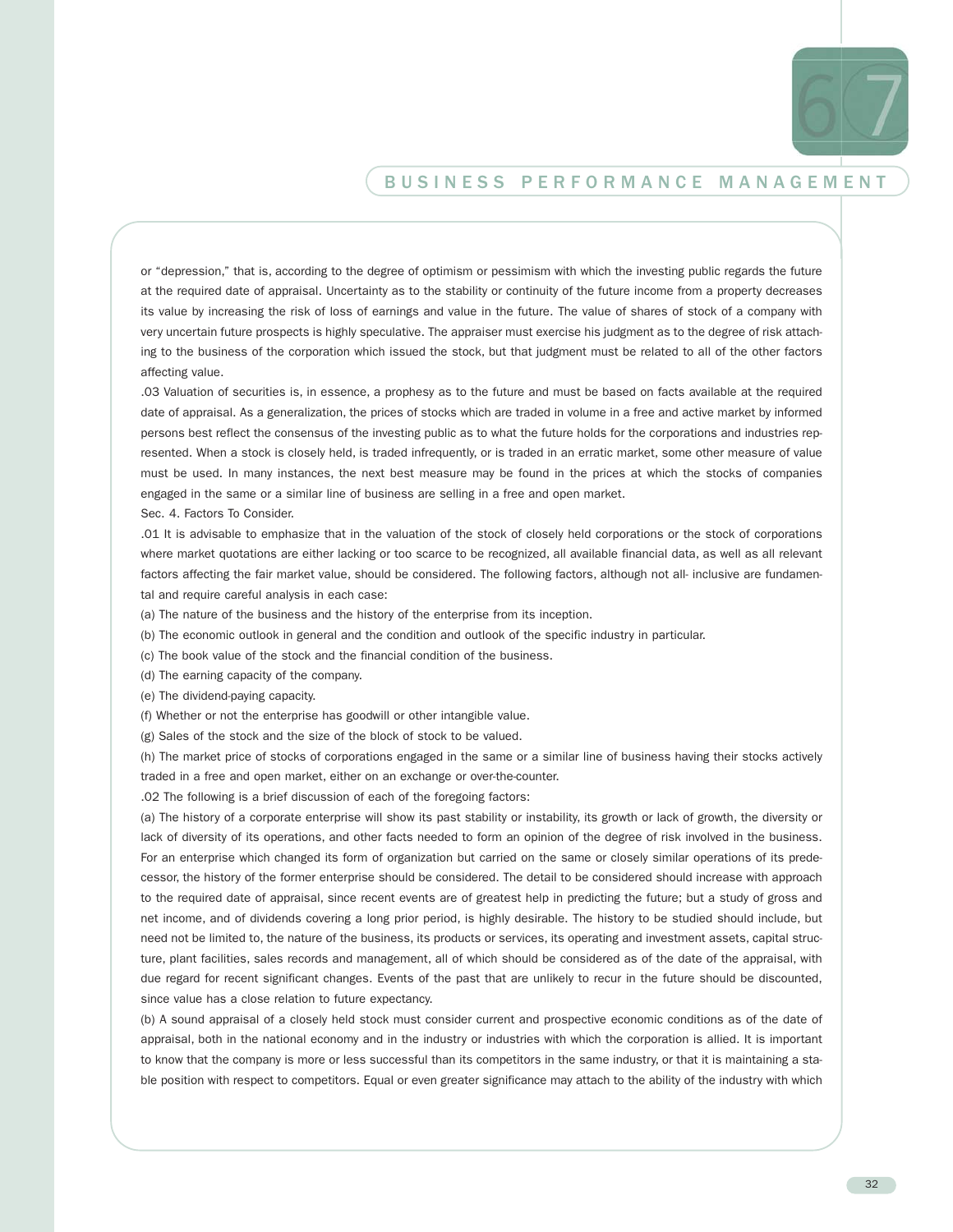

or "depression," that is, according to the degree of optimism or pessimism with which the investing public regards the future at the required date of appraisal. Uncertainty as to the stability or continuity of the future income from a property decreases its value by increasing the risk of loss of earnings and value in the future. The value of shares of stock of a company with very uncertain future prospects is highly speculative. The appraiser must exercise his judgment as to the degree of risk attaching to the business of the corporation which issued the stock, but that judgment must be related to all of the other factors affecting value.

.03 Valuation of securities is, in essence, a prophesy as to the future and must be based on facts available at the required date of appraisal. As a generalization, the prices of stocks which are traded in volume in a free and active market by informed persons best reflect the consensus of the investing public as to what the future holds for the corporations and industries represented. When a stock is closely held, is traded infrequently, or is traded in an erratic market, some other measure of value must be used. In many instances, the next best measure may be found in the prices at which the stocks of companies engaged in the same or a similar line of business are selling in a free and open market.

Sec. 4. Factors To Consider.

.01 It is advisable to emphasize that in the valuation of the stock of closely held corporations or the stock of corporations where market quotations are either lacking or too scarce to be recognized, all available financial data, as well as all relevant factors affecting the fair market value, should be considered. The following factors, although not all- inclusive are fundamental and require careful analysis in each case:

- (a) The nature of the business and the history of the enterprise from its inception.
- (b) The economic outlook in general and the condition and outlook of the specific industry in particular.
- (c) The book value of the stock and the financial condition of the business.
- (d) The earning capacity of the company.
- (e) The dividend-paying capacity.
- (f) Whether or not the enterprise has goodwill or other intangible value.

(g) Sales of the stock and the size of the block of stock to be valued.

(h) The market price of stocks of corporations engaged in the same or a similar line of business having their stocks actively traded in a free and open market, either on an exchange or over-the-counter.

.02 The following is a brief discussion of each of the foregoing factors:

(a) The history of a corporate enterprise will show its past stability or instability, its growth or lack of growth, the diversity or lack of diversity of its operations, and other facts needed to form an opinion of the degree of risk involved in the business. For an enterprise which changed its form of organization but carried on the same or closely similar operations of its predecessor, the history of the former enterprise should be considered. The detail to be considered should increase with approach to the required date of appraisal, since recent events are of greatest help in predicting the future; but a study of gross and net income, and of dividends covering a long prior period, is highly desirable. The history to be studied should include, but need not be limited to, the nature of the business, its products or services, its operating and investment assets, capital structure, plant facilities, sales records and management, all of which should be considered as of the date of the appraisal, with due regard for recent significant changes. Events of the past that are unlikely to recur in the future should be discounted, since value has a close relation to future expectancy.

(b) A sound appraisal of a closely held stock must consider current and prospective economic conditions as of the date of appraisal, both in the national economy and in the industry or industries with which the corporation is allied. It is important to know that the company is more or less successful than its competitors in the same industry, or that it is maintaining a stable position with respect to competitors. Equal or even greater significance may attach to the ability of the industry with which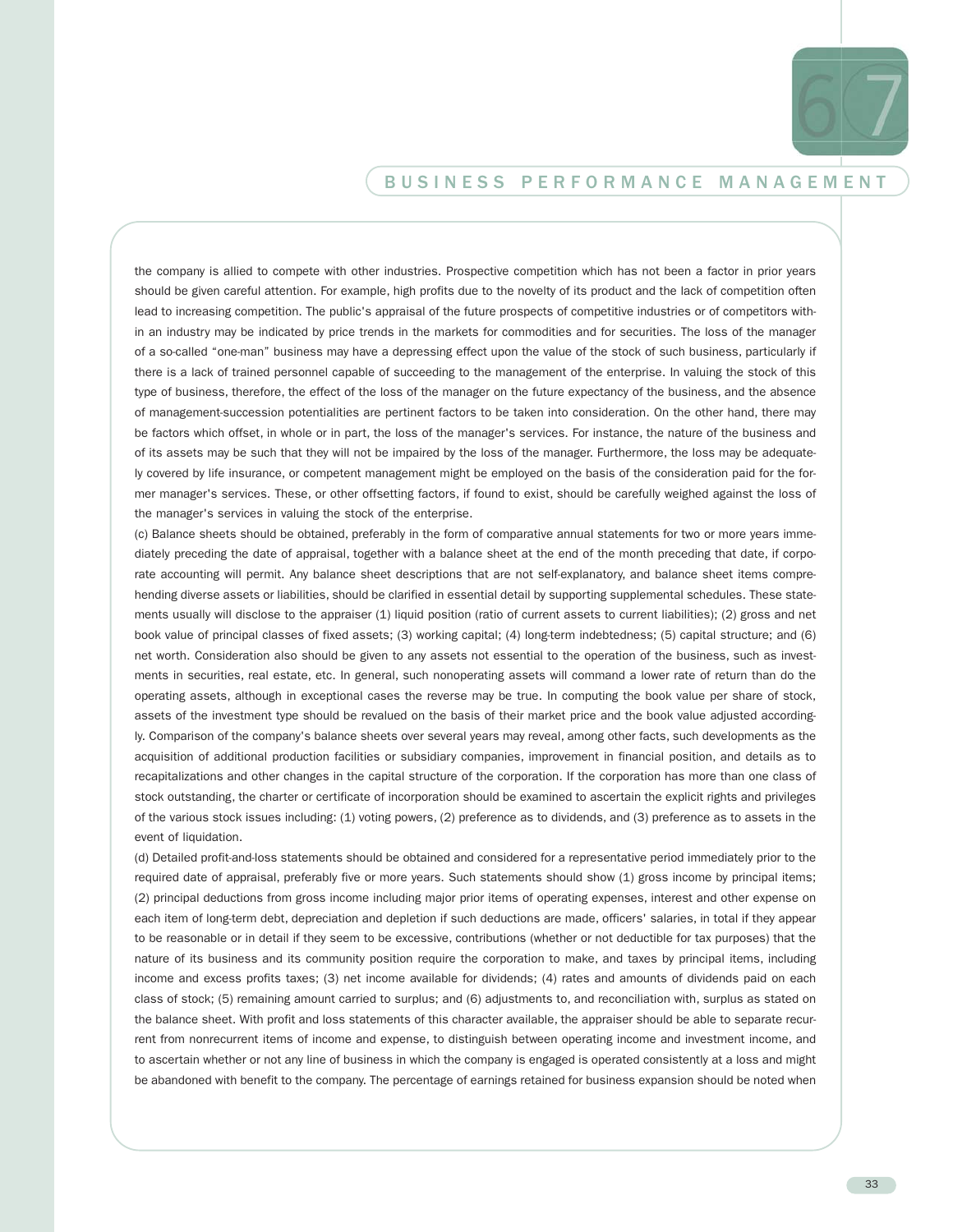

the company is allied to compete with other industries. Prospective competition which has not been a factor in prior years should be given careful attention. For example, high profits due to the novelty of its product and the lack of competition often lead to increasing competition. The public's appraisal of the future prospects of competitive industries or of competitors within an industry may be indicated by price trends in the markets for commodities and for securities. The loss of the manager of a so-called "one-man" business may have a depressing effect upon the value of the stock of such business, particularly if there is a lack of trained personnel capable of succeeding to the management of the enterprise. In valuing the stock of this type of business, therefore, the effect of the loss of the manager on the future expectancy of the business, and the absence of management-succession potentialities are pertinent factors to be taken into consideration. On the other hand, there may be factors which offset, in whole or in part, the loss of the manager's services. For instance, the nature of the business and of its assets may be such that they will not be impaired by the loss of the manager. Furthermore, the loss may be adequately covered by life insurance, or competent management might be employed on the basis of the consideration paid for the former manager's services. These, or other offsetting factors, if found to exist, should be carefully weighed against the loss of the manager's services in valuing the stock of the enterprise.

(c) Balance sheets should be obtained, preferably in the form of comparative annual statements for two or more years immediately preceding the date of appraisal, together with a balance sheet at the end of the month preceding that date, if corporate accounting will permit. Any balance sheet descriptions that are not self-explanatory, and balance sheet items comprehending diverse assets or liabilities, should be clarified in essential detail by supporting supplemental schedules. These statements usually will disclose to the appraiser (1) liquid position (ratio of current assets to current liabilities); (2) gross and net book value of principal classes of fixed assets; (3) working capital; (4) long-term indebtedness; (5) capital structure; and (6) net worth. Consideration also should be given to any assets not essential to the operation of the business, such as investments in securities, real estate, etc. In general, such nonoperating assets will command a lower rate of return than do the operating assets, although in exceptional cases the reverse may be true. In computing the book value per share of stock, assets of the investment type should be revalued on the basis of their market price and the book value adjusted accordingly. Comparison of the company's balance sheets over several years may reveal, among other facts, such developments as the acquisition of additional production facilities or subsidiary companies, improvement in financial position, and details as to recapitalizations and other changes in the capital structure of the corporation. If the corporation has more than one class of stock outstanding, the charter or certificate of incorporation should be examined to ascertain the explicit rights and privileges of the various stock issues including: (1) voting powers, (2) preference as to dividends, and (3) preference as to assets in the event of liquidation.

(d) Detailed profit-and-loss statements should be obtained and considered for a representative period immediately prior to the required date of appraisal, preferably five or more years. Such statements should show (1) gross income by principal items; (2) principal deductions from gross income including major prior items of operating expenses, interest and other expense on each item of long-term debt, depreciation and depletion if such deductions are made, officers' salaries, in total if they appear to be reasonable or in detail if they seem to be excessive, contributions (whether or not deductible for tax purposes) that the nature of its business and its community position require the corporation to make, and taxes by principal items, including income and excess profits taxes; (3) net income available for dividends; (4) rates and amounts of dividends paid on each class of stock; (5) remaining amount carried to surplus; and (6) adjustments to, and reconciliation with, surplus as stated on the balance sheet. With profit and loss statements of this character available, the appraiser should be able to separate recurrent from nonrecurrent items of income and expense, to distinguish between operating income and investment income, and to ascertain whether or not any line of business in which the company is engaged is operated consistently at a loss and might be abandoned with benefit to the company. The percentage of earnings retained for business expansion should be noted when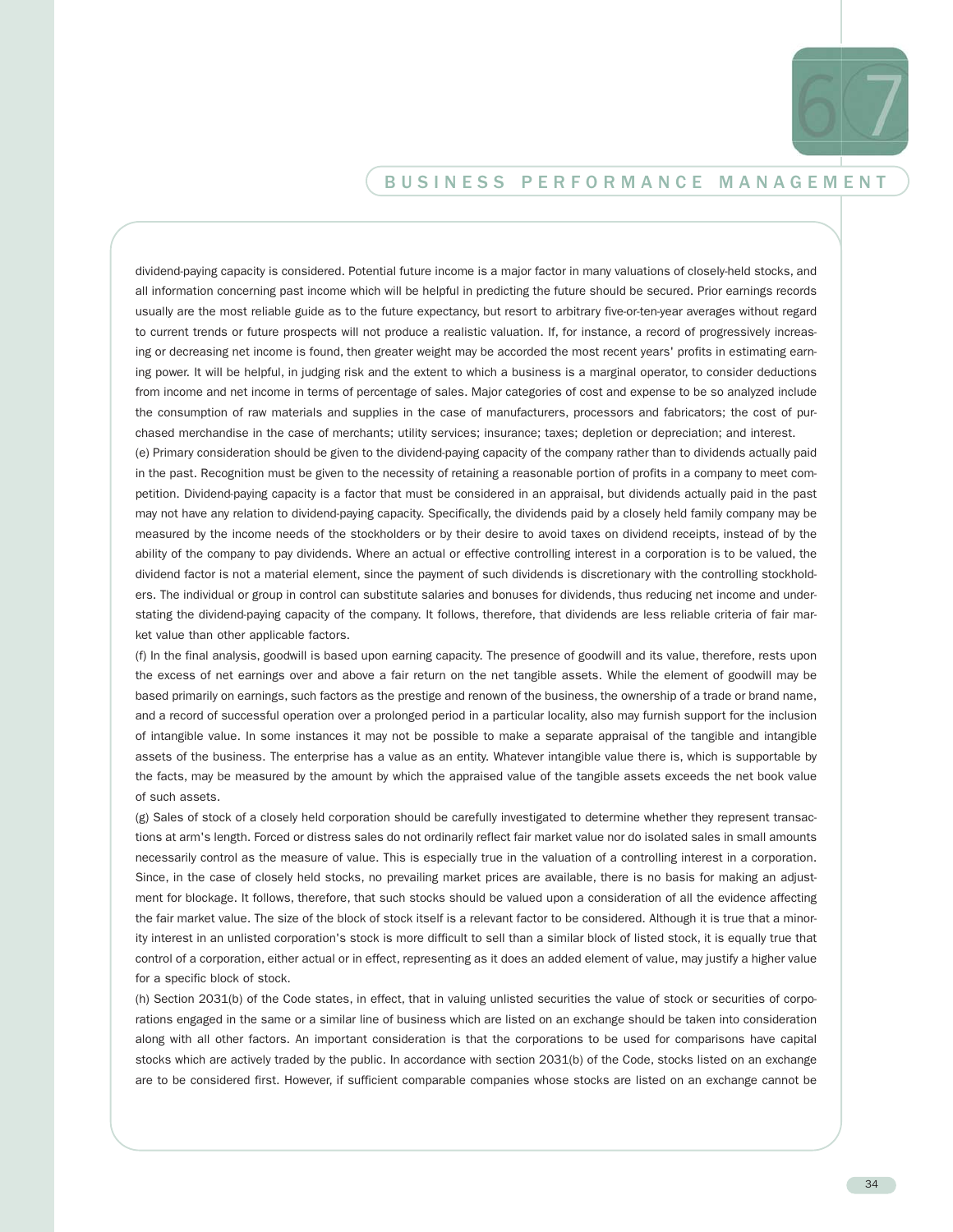

dividend-paying capacity is considered. Potential future income is a major factor in many valuations of closely-held stocks, and all information concerning past income which will be helpful in predicting the future should be secured. Prior earnings records usually are the most reliable guide as to the future expectancy, but resort to arbitrary five-or-ten-year averages without regard to current trends or future prospects will not produce a realistic valuation. If, for instance, a record of progressively increasing or decreasing net income is found, then greater weight may be accorded the most recent years' profits in estimating earning power. It will be helpful, in judging risk and the extent to which a business is a marginal operator, to consider deductions from income and net income in terms of percentage of sales. Major categories of cost and expense to be so analyzed include the consumption of raw materials and supplies in the case of manufacturers, processors and fabricators; the cost of purchased merchandise in the case of merchants; utility services; insurance; taxes; depletion or depreciation; and interest. (e) Primary consideration should be given to the dividend-paying capacity of the company rather than to dividends actually paid in the past. Recognition must be given to the necessity of retaining a reasonable portion of profits in a company to meet competition. Dividend-paying capacity is a factor that must be considered in an appraisal, but dividends actually paid in the past may not have any relation to dividend-paying capacity. Specifically, the dividends paid by a closely held family company may be measured by the income needs of the stockholders or by their desire to avoid taxes on dividend receipts, instead of by the ability of the company to pay dividends. Where an actual or effective controlling interest in a corporation is to be valued, the dividend factor is not a material element, since the payment of such dividends is discretionary with the controlling stockholders. The individual or group in control can substitute salaries and bonuses for dividends, thus reducing net income and understating the dividend-paying capacity of the company. It follows, therefore, that dividends are less reliable criteria of fair market value than other applicable factors.

(f) In the final analysis, goodwill is based upon earning capacity. The presence of goodwill and its value, therefore, rests upon the excess of net earnings over and above a fair return on the net tangible assets. While the element of goodwill may be based primarily on earnings, such factors as the prestige and renown of the business, the ownership of a trade or brand name, and a record of successful operation over a prolonged period in a particular locality, also may furnish support for the inclusion of intangible value. In some instances it may not be possible to make a separate appraisal of the tangible and intangible assets of the business. The enterprise has a value as an entity. Whatever intangible value there is, which is supportable by the facts, may be measured by the amount by which the appraised value of the tangible assets exceeds the net book value of such assets.

(g) Sales of stock of a closely held corporation should be carefully investigated to determine whether they represent transactions at arm's length. Forced or distress sales do not ordinarily reflect fair market value nor do isolated sales in small amounts necessarily control as the measure of value. This is especially true in the valuation of a controlling interest in a corporation. Since, in the case of closely held stocks, no prevailing market prices are available, there is no basis for making an adjustment for blockage. It follows, therefore, that such stocks should be valued upon a consideration of all the evidence affecting the fair market value. The size of the block of stock itself is a relevant factor to be considered. Although it is true that a minority interest in an unlisted corporation's stock is more difficult to sell than a similar block of listed stock, it is equally true that control of a corporation, either actual or in effect, representing as it does an added element of value, may justify a higher value for a specific block of stock.

(h) Section 2031(b) of the Code states, in effect, that in valuing unlisted securities the value of stock or securities of corporations engaged in the same or a similar line of business which are listed on an exchange should be taken into consideration along with all other factors. An important consideration is that the corporations to be used for comparisons have capital stocks which are actively traded by the public. In accordance with section 2031(b) of the Code, stocks listed on an exchange are to be considered first. However, if sufficient comparable companies whose stocks are listed on an exchange cannot be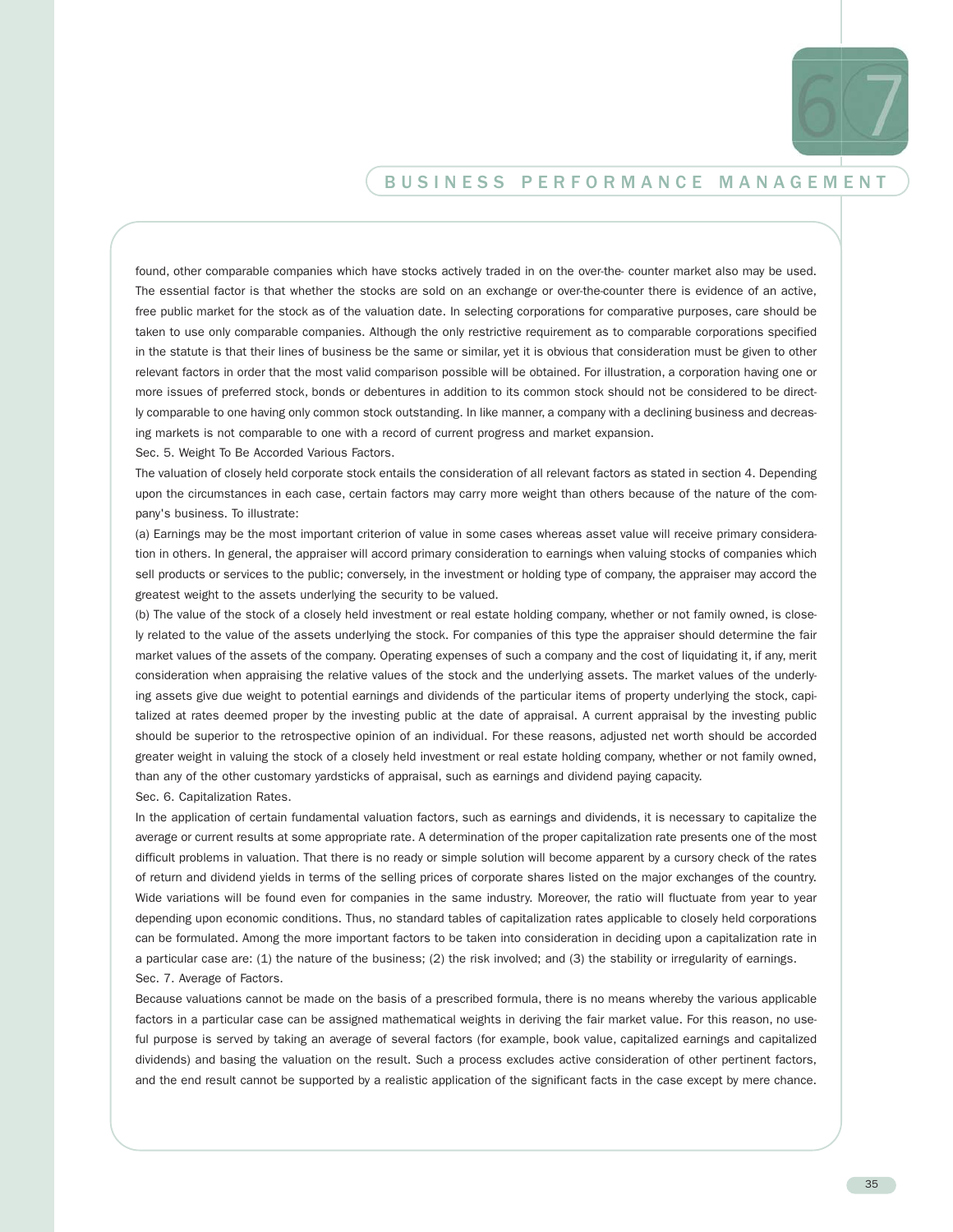

found, other comparable companies which have stocks actively traded in on the over-the- counter market also may be used. The essential factor is that whether the stocks are sold on an exchange or over-the-counter there is evidence of an active, free public market for the stock as of the valuation date. In selecting corporations for comparative purposes, care should be taken to use only comparable companies. Although the only restrictive requirement as to comparable corporations specified in the statute is that their lines of business be the same or similar, yet it is obvious that consideration must be given to other relevant factors in order that the most valid comparison possible will be obtained. For illustration, a corporation having one or more issues of preferred stock, bonds or debentures in addition to its common stock should not be considered to be directly comparable to one having only common stock outstanding. In like manner, a company with a declining business and decreasing markets is not comparable to one with a record of current progress and market expansion.

Sec. 5. Weight To Be Accorded Various Factors.

The valuation of closely held corporate stock entails the consideration of all relevant factors as stated in section 4. Depending upon the circumstances in each case, certain factors may carry more weight than others because of the nature of the company's business. To illustrate:

(a) Earnings may be the most important criterion of value in some cases whereas asset value will receive primary consideration in others. In general, the appraiser will accord primary consideration to earnings when valuing stocks of companies which sell products or services to the public; conversely, in the investment or holding type of company, the appraiser may accord the greatest weight to the assets underlying the security to be valued.

(b) The value of the stock of a closely held investment or real estate holding company, whether or not family owned, is closely related to the value of the assets underlying the stock. For companies of this type the appraiser should determine the fair market values of the assets of the company. Operating expenses of such a company and the cost of liquidating it, if any, merit consideration when appraising the relative values of the stock and the underlying assets. The market values of the underlying assets give due weight to potential earnings and dividends of the particular items of property underlying the stock, capitalized at rates deemed proper by the investing public at the date of appraisal. A current appraisal by the investing public should be superior to the retrospective opinion of an individual. For these reasons, adjusted net worth should be accorded greater weight in valuing the stock of a closely held investment or real estate holding company, whether or not family owned, than any of the other customary yardsticks of appraisal, such as earnings and dividend paying capacity.

Sec. 6. Capitalization Rates.

In the application of certain fundamental valuation factors, such as earnings and dividends, it is necessary to capitalize the average or current results at some appropriate rate. A determination of the proper capitalization rate presents one of the most difficult problems in valuation. That there is no ready or simple solution will become apparent by a cursory check of the rates of return and dividend yields in terms of the selling prices of corporate shares listed on the major exchanges of the country. Wide variations will be found even for companies in the same industry. Moreover, the ratio will fluctuate from year to year depending upon economic conditions. Thus, no standard tables of capitalization rates applicable to closely held corporations can be formulated. Among the more important factors to be taken into consideration in deciding upon a capitalization rate in a particular case are: (1) the nature of the business; (2) the risk involved; and (3) the stability or irregularity of earnings. Sec. 7. Average of Factors.

Because valuations cannot be made on the basis of a prescribed formula, there is no means whereby the various applicable factors in a particular case can be assigned mathematical weights in deriving the fair market value. For this reason, no useful purpose is served by taking an average of several factors (for example, book value, capitalized earnings and capitalized dividends) and basing the valuation on the result. Such a process excludes active consideration of other pertinent factors, and the end result cannot be supported by a realistic application of the significant facts in the case except by mere chance.